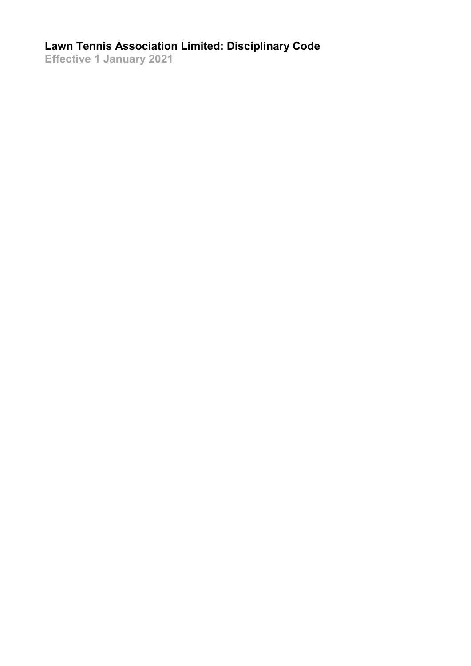# **Lawn Tennis Association Limited: Disciplinary Code**

**Effective 1 January 2021**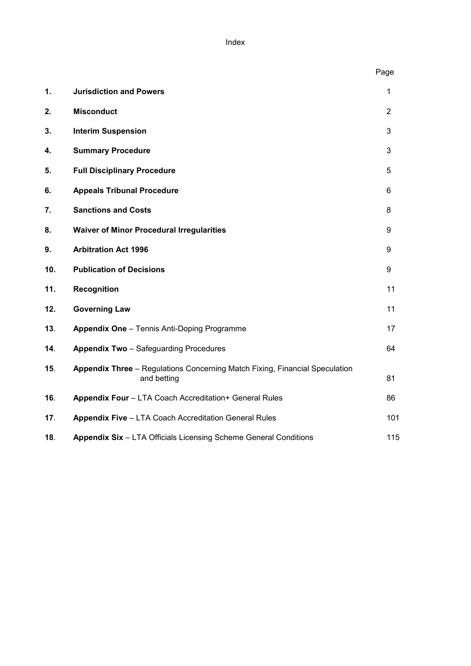Index

|     |                                                                                            | Page           |
|-----|--------------------------------------------------------------------------------------------|----------------|
| 1.  | <b>Jurisdiction and Powers</b>                                                             | 1              |
| 2.  | <b>Misconduct</b>                                                                          | $\overline{2}$ |
| 3.  | <b>Interim Suspension</b>                                                                  | 3              |
| 4.  | <b>Summary Procedure</b>                                                                   | 3              |
| 5.  | <b>Full Disciplinary Procedure</b>                                                         | 5              |
| 6.  | <b>Appeals Tribunal Procedure</b>                                                          | 6              |
| 7.  | <b>Sanctions and Costs</b>                                                                 | 8              |
| 8.  | <b>Waiver of Minor Procedural Irregularities</b>                                           | 9              |
| 9.  | <b>Arbitration Act 1996</b>                                                                | 9              |
| 10. | <b>Publication of Decisions</b>                                                            | 9              |
| 11. | Recognition                                                                                | 11             |
| 12. | <b>Governing Law</b>                                                                       | 11             |
| 13. | <b>Appendix One</b> - Tennis Anti-Doping Programme                                         | 17             |
| 14. | <b>Appendix Two</b> - Safeguarding Procedures                                              | 64             |
| 15. | Appendix Three - Regulations Concerning Match Fixing, Financial Speculation<br>and betting | 81             |
| 16. | Appendix Four - LTA Coach Accreditation+ General Rules                                     | 86             |
| 17. | <b>Appendix Five - LTA Coach Accreditation General Rules</b>                               | 101            |
| 18. | Appendix Six - LTA Officials Licensing Scheme General Conditions                           | 115            |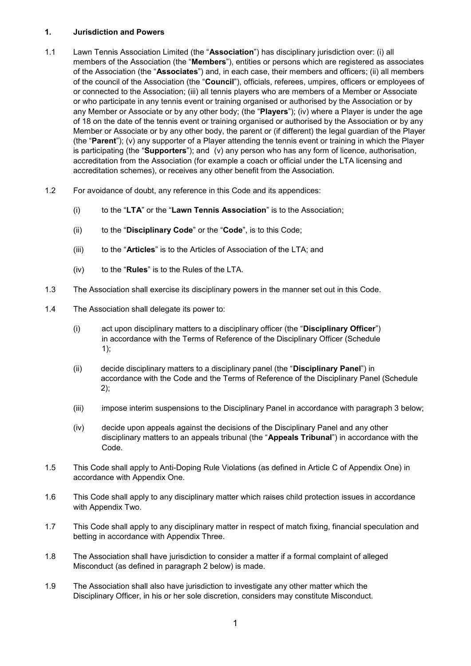# **1. Jurisdiction and Powers**

- 1.1 Lawn Tennis Association Limited (the "**Association**") has disciplinary jurisdiction over: (i) all members of the Association (the "**Members**"), entities or persons which are registered as associates of the Association (the "**Associates**") and, in each case, their members and officers; (ii) all members of the council of the Association (the "**Council**"), officials, referees, umpires, officers or employees of or connected to the Association; (iii) all tennis players who are members of a Member or Associate or who participate in any tennis event or training organised or authorised by the Association or by any Member or Associate or by any other body; (the "**Players**"); (iv) where a Player is under the age of 18 on the date of the tennis event or training organised or authorised by the Association or by any Member or Associate or by any other body, the parent or (if different) the legal guardian of the Player (the "**Parent**"); (v) any supporter of a Player attending the tennis event or training in which the Player is participating (the "**Supporters**"); and (v) any person who has any form of licence, authorisation, accreditation from the Association (for example a coach or official under the LTA licensing and accreditation schemes), or receives any other benefit from the Association.
- 1.2 For avoidance of doubt, any reference in this Code and its appendices:
	- (i) to the "**LTA**" or the "**Lawn Tennis Association**" is to the Association;
	- (ii) to the "**Disciplinary Code**" or the "**Code**", is to this Code;
	- (iii) to the "**Articles**" is to the Articles of Association of the LTA; and
	- (iv) to the "**Rules**" is to the Rules of the LTA.
- 1.3 The Association shall exercise its disciplinary powers in the manner set out in this Code.
- 1.4 The Association shall delegate its power to:
	- (i) act upon disciplinary matters to a disciplinary officer (the "**Disciplinary Officer**") in accordance with the Terms of Reference of the Disciplinary Officer (Schedule 1);
	- (ii) decide disciplinary matters to a disciplinary panel (the "**Disciplinary Panel**") in accordance with the Code and the Terms of Reference of the Disciplinary Panel (Schedule 2);
	- (iii) impose interim suspensions to the Disciplinary Panel in accordance with paragraph 3 below;
	- (iv) decide upon appeals against the decisions of the Disciplinary Panel and any other disciplinary matters to an appeals tribunal (the "**Appeals Tribunal**") in accordance with the Code.
- 1.5 This Code shall apply to Anti-Doping Rule Violations (as defined in Article C of Appendix One) in accordance with Appendix One.
- 1.6 This Code shall apply to any disciplinary matter which raises child protection issues in accordance with Appendix Two.
- 1.7 This Code shall apply to any disciplinary matter in respect of match fixing, financial speculation and betting in accordance with Appendix Three.
- 1.8 The Association shall have jurisdiction to consider a matter if a formal complaint of alleged Misconduct (as defined in paragraph 2 below) is made.
- 1.9 The Association shall also have jurisdiction to investigate any other matter which the Disciplinary Officer, in his or her sole discretion, considers may constitute Misconduct.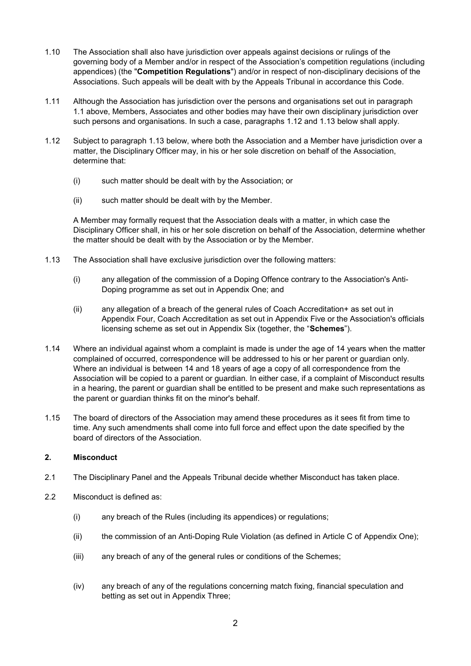- 1.10 The Association shall also have jurisdiction over appeals against decisions or rulings of the governing body of a Member and/or in respect of the Association's competition regulations (including appendices) (the "**Competition Regulations**") and/or in respect of non-disciplinary decisions of the Associations. Such appeals will be dealt with by the Appeals Tribunal in accordance this Code.
- 1.11 Although the Association has jurisdiction over the persons and organisations set out in paragraph 1.1 above, Members, Associates and other bodies may have their own disciplinary jurisdiction over such persons and organisations. In such a case, paragraphs 1.12 and 1.13 below shall apply.
- 1.12 Subject to paragraph 1.13 below, where both the Association and a Member have jurisdiction over a matter, the Disciplinary Officer may, in his or her sole discretion on behalf of the Association, determine that:
	- (i) such matter should be dealt with by the Association; or
	- (ii) such matter should be dealt with by the Member.

A Member may formally request that the Association deals with a matter, in which case the Disciplinary Officer shall, in his or her sole discretion on behalf of the Association, determine whether the matter should be dealt with by the Association or by the Member.

- 1.13 The Association shall have exclusive jurisdiction over the following matters:
	- (i) any allegation of the commission of a Doping Offence contrary to the Association's Anti-Doping programme as set out in Appendix One; and
	- (ii) any allegation of a breach of the general rules of Coach Accreditation+ as set out in Appendix Four, Coach Accreditation as set out in Appendix Five or the Association's officials licensing scheme as set out in Appendix Six (together, the "**Schemes**").
- 1.14 Where an individual against whom a complaint is made is under the age of 14 years when the matter complained of occurred, correspondence will be addressed to his or her parent or guardian only. Where an individual is between 14 and 18 years of age a copy of all correspondence from the Association will be copied to a parent or guardian. In either case, if a complaint of Misconduct results in a hearing, the parent or guardian shall be entitled to be present and make such representations as the parent or guardian thinks fit on the minor's behalf.
- 1.15 The board of directors of the Association may amend these procedures as it sees fit from time to time. Any such amendments shall come into full force and effect upon the date specified by the board of directors of the Association.

# **2. Misconduct**

- 2.1 The Disciplinary Panel and the Appeals Tribunal decide whether Misconduct has taken place.
- 2.2 Misconduct is defined as:
	- (i) any breach of the Rules (including its appendices) or regulations;
	- (ii) the commission of an Anti-Doping Rule Violation (as defined in Article C of Appendix One);
	- (iii) any breach of any of the general rules or conditions of the Schemes;
	- (iv) any breach of any of the regulations concerning match fixing, financial speculation and betting as set out in Appendix Three;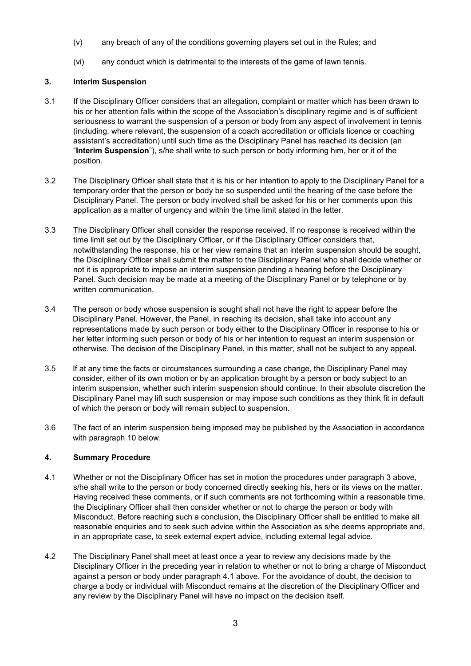- (v) any breach of any of the conditions governing players set out in the Rules; and
- (vi) any conduct which is detrimental to the interests of the game of lawn tennis.

# **3. Interim Suspension**

- 3.1 If the Disciplinary Officer considers that an allegation, complaint or matter which has been drawn to his or her attention falls within the scope of the Association's disciplinary regime and is of sufficient seriousness to warrant the suspension of a person or body from any aspect of involvement in tennis (including, where relevant, the suspension of a coach accreditation or officials licence or coaching assistant's accreditation) until such time as the Disciplinary Panel has reached its decision (an "**Interim Suspension**"), s/he shall write to such person or body informing him, her or it of the position.
- 3.2 The Disciplinary Officer shall state that it is his or her intention to apply to the Disciplinary Panel for a temporary order that the person or body be so suspended until the hearing of the case before the Disciplinary Panel. The person or body involved shall be asked for his or her comments upon this application as a matter of urgency and within the time limit stated in the letter.
- 3.3 The Disciplinary Officer shall consider the response received. If no response is received within the time limit set out by the Disciplinary Officer, or if the Disciplinary Officer considers that, notwithstanding the response, his or her view remains that an interim suspension should be sought, the Disciplinary Officer shall submit the matter to the Disciplinary Panel who shall decide whether or not it is appropriate to impose an interim suspension pending a hearing before the Disciplinary Panel. Such decision may be made at a meeting of the Disciplinary Panel or by telephone or by written communication.
- 3.4 The person or body whose suspension is sought shall not have the right to appear before the Disciplinary Panel. However, the Panel, in reaching its decision, shall take into account any representations made by such person or body either to the Disciplinary Officer in response to his or her letter informing such person or body of his or her intention to request an interim suspension or otherwise. The decision of the Disciplinary Panel, in this matter, shall not be subject to any appeal.
- 3.5 If at any time the facts or circumstances surrounding a case change, the Disciplinary Panel may consider, either of its own motion or by an application brought by a person or body subject to an interim suspension, whether such interim suspension should continue. In their absolute discretion the Disciplinary Panel may lift such suspension or may impose such conditions as they think fit in default of which the person or body will remain subject to suspension.
- 3.6 The fact of an interim suspension being imposed may be published by the Association in accordance with paragraph 10 below.

# **4. Summary Procedure**

- 4.1 Whether or not the Disciplinary Officer has set in motion the procedures under paragraph 3 above, s/he shall write to the person or body concerned directly seeking his, hers or its views on the matter. Having received these comments, or if such comments are not forthcoming within a reasonable time, the Disciplinary Officer shall then consider whether or not to charge the person or body with Misconduct. Before reaching such a conclusion, the Disciplinary Officer shall be entitled to make all reasonable enquiries and to seek such advice within the Association as s/he deems appropriate and, in an appropriate case, to seek external expert advice, including external legal advice.
- 4.2 The Disciplinary Panel shall meet at least once a year to review any decisions made by the Disciplinary Officer in the preceding year in relation to whether or not to bring a charge of Misconduct against a person or body under paragraph 4.1 above. For the avoidance of doubt, the decision to charge a body or individual with Misconduct remains at the discretion of the Disciplinary Officer and any review by the Disciplinary Panel will have no impact on the decision itself.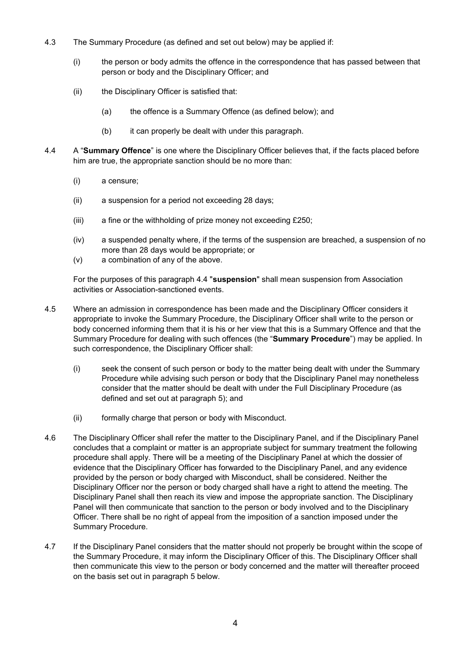- 4.3 The Summary Procedure (as defined and set out below) may be applied if:
	- (i) the person or body admits the offence in the correspondence that has passed between that person or body and the Disciplinary Officer; and
	- (ii) the Disciplinary Officer is satisfied that:
		- (a) the offence is a Summary Offence (as defined below); and
		- (b) it can properly be dealt with under this paragraph.
- 4.4 A "**Summary Offence**" is one where the Disciplinary Officer believes that, if the facts placed before him are true, the appropriate sanction should be no more than:
	- (i) a censure;
	- (ii) a suspension for a period not exceeding 28 days;
	- (iii) a fine or the withholding of prize money not exceeding £250;
	- (iv) a suspended penalty where, if the terms of the suspension are breached, a suspension of no more than 28 days would be appropriate; or
	- (v) a combination of any of the above.

For the purposes of this paragraph 4.4 "**suspension**" shall mean suspension from Association activities or Association-sanctioned events.

- 4.5 Where an admission in correspondence has been made and the Disciplinary Officer considers it appropriate to invoke the Summary Procedure, the Disciplinary Officer shall write to the person or body concerned informing them that it is his or her view that this is a Summary Offence and that the Summary Procedure for dealing with such offences (the "**Summary Procedure**") may be applied. In such correspondence, the Disciplinary Officer shall:
	- (i) seek the consent of such person or body to the matter being dealt with under the Summary Procedure while advising such person or body that the Disciplinary Panel may nonetheless consider that the matter should be dealt with under the Full Disciplinary Procedure (as defined and set out at paragraph 5); and
	- (ii) formally charge that person or body with Misconduct.
- 4.6 The Disciplinary Officer shall refer the matter to the Disciplinary Panel, and if the Disciplinary Panel concludes that a complaint or matter is an appropriate subject for summary treatment the following procedure shall apply. There will be a meeting of the Disciplinary Panel at which the dossier of evidence that the Disciplinary Officer has forwarded to the Disciplinary Panel, and any evidence provided by the person or body charged with Misconduct, shall be considered. Neither the Disciplinary Officer nor the person or body charged shall have a right to attend the meeting. The Disciplinary Panel shall then reach its view and impose the appropriate sanction. The Disciplinary Panel will then communicate that sanction to the person or body involved and to the Disciplinary Officer. There shall be no right of appeal from the imposition of a sanction imposed under the Summary Procedure.
- 4.7 If the Disciplinary Panel considers that the matter should not properly be brought within the scope of the Summary Procedure, it may inform the Disciplinary Officer of this. The Disciplinary Officer shall then communicate this view to the person or body concerned and the matter will thereafter proceed on the basis set out in paragraph 5 below.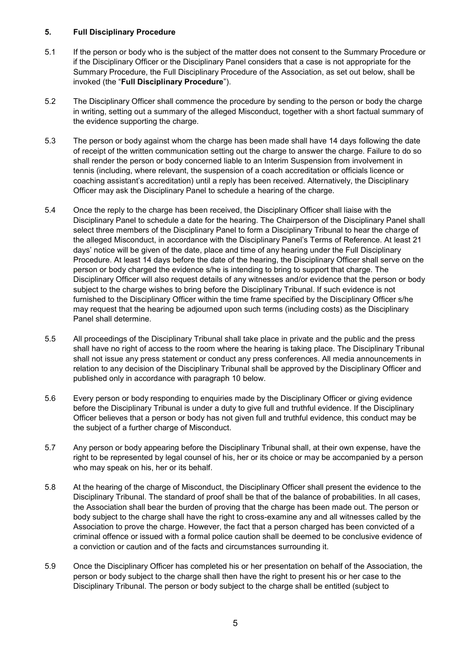# **5. Full Disciplinary Procedure**

- 5.1 If the person or body who is the subject of the matter does not consent to the Summary Procedure or if the Disciplinary Officer or the Disciplinary Panel considers that a case is not appropriate for the Summary Procedure, the Full Disciplinary Procedure of the Association, as set out below, shall be invoked (the "**Full Disciplinary Procedure**").
- 5.2 The Disciplinary Officer shall commence the procedure by sending to the person or body the charge in writing, setting out a summary of the alleged Misconduct, together with a short factual summary of the evidence supporting the charge.
- 5.3 The person or body against whom the charge has been made shall have 14 days following the date of receipt of the written communication setting out the charge to answer the charge. Failure to do so shall render the person or body concerned liable to an Interim Suspension from involvement in tennis (including, where relevant, the suspension of a coach accreditation or officials licence or coaching assistant's accreditation) until a reply has been received. Alternatively, the Disciplinary Officer may ask the Disciplinary Panel to schedule a hearing of the charge.
- 5.4 Once the reply to the charge has been received, the Disciplinary Officer shall liaise with the Disciplinary Panel to schedule a date for the hearing. The Chairperson of the Disciplinary Panel shall select three members of the Disciplinary Panel to form a Disciplinary Tribunal to hear the charge of the alleged Misconduct, in accordance with the Disciplinary Panel's Terms of Reference. At least 21 days' notice will be given of the date, place and time of any hearing under the Full Disciplinary Procedure. At least 14 days before the date of the hearing, the Disciplinary Officer shall serve on the person or body charged the evidence s/he is intending to bring to support that charge. The Disciplinary Officer will also request details of any witnesses and/or evidence that the person or body subject to the charge wishes to bring before the Disciplinary Tribunal. If such evidence is not furnished to the Disciplinary Officer within the time frame specified by the Disciplinary Officer s/he may request that the hearing be adjourned upon such terms (including costs) as the Disciplinary Panel shall determine.
- 5.5 All proceedings of the Disciplinary Tribunal shall take place in private and the public and the press shall have no right of access to the room where the hearing is taking place. The Disciplinary Tribunal shall not issue any press statement or conduct any press conferences. All media announcements in relation to any decision of the Disciplinary Tribunal shall be approved by the Disciplinary Officer and published only in accordance with paragraph 10 below.
- 5.6 Every person or body responding to enquiries made by the Disciplinary Officer or giving evidence before the Disciplinary Tribunal is under a duty to give full and truthful evidence. If the Disciplinary Officer believes that a person or body has not given full and truthful evidence, this conduct may be the subject of a further charge of Misconduct.
- 5.7 Any person or body appearing before the Disciplinary Tribunal shall, at their own expense, have the right to be represented by legal counsel of his, her or its choice or may be accompanied by a person who may speak on his, her or its behalf.
- 5.8 At the hearing of the charge of Misconduct, the Disciplinary Officer shall present the evidence to the Disciplinary Tribunal. The standard of proof shall be that of the balance of probabilities. In all cases, the Association shall bear the burden of proving that the charge has been made out. The person or body subject to the charge shall have the right to cross-examine any and all witnesses called by the Association to prove the charge. However, the fact that a person charged has been convicted of a criminal offence or issued with a formal police caution shall be deemed to be conclusive evidence of a conviction or caution and of the facts and circumstances surrounding it.
- 5.9 Once the Disciplinary Officer has completed his or her presentation on behalf of the Association, the person or body subject to the charge shall then have the right to present his or her case to the Disciplinary Tribunal. The person or body subject to the charge shall be entitled (subject to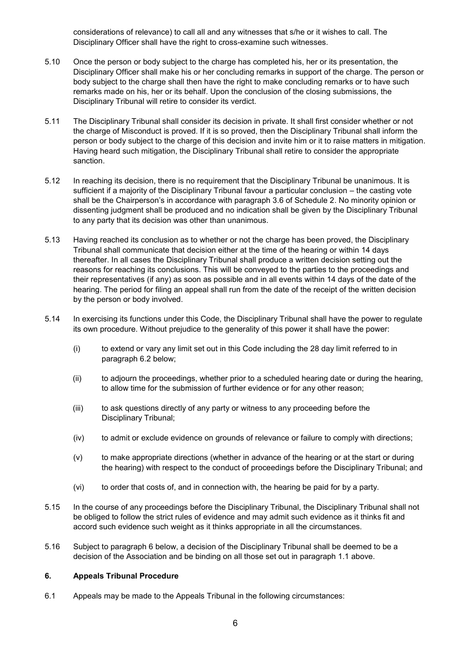considerations of relevance) to call all and any witnesses that s/he or it wishes to call. The Disciplinary Officer shall have the right to cross-examine such witnesses.

- 5.10 Once the person or body subject to the charge has completed his, her or its presentation, the Disciplinary Officer shall make his or her concluding remarks in support of the charge. The person or body subject to the charge shall then have the right to make concluding remarks or to have such remarks made on his, her or its behalf. Upon the conclusion of the closing submissions, the Disciplinary Tribunal will retire to consider its verdict.
- 5.11 The Disciplinary Tribunal shall consider its decision in private. It shall first consider whether or not the charge of Misconduct is proved. If it is so proved, then the Disciplinary Tribunal shall inform the person or body subject to the charge of this decision and invite him or it to raise matters in mitigation. Having heard such mitigation, the Disciplinary Tribunal shall retire to consider the appropriate sanction.
- 5.12 In reaching its decision, there is no requirement that the Disciplinary Tribunal be unanimous. It is sufficient if a majority of the Disciplinary Tribunal favour a particular conclusion – the casting vote shall be the Chairperson's in accordance with paragraph 3.6 of Schedule 2. No minority opinion or dissenting judgment shall be produced and no indication shall be given by the Disciplinary Tribunal to any party that its decision was other than unanimous.
- 5.13 Having reached its conclusion as to whether or not the charge has been proved, the Disciplinary Tribunal shall communicate that decision either at the time of the hearing or within 14 days thereafter. In all cases the Disciplinary Tribunal shall produce a written decision setting out the reasons for reaching its conclusions. This will be conveyed to the parties to the proceedings and their representatives (if any) as soon as possible and in all events within 14 days of the date of the hearing. The period for filing an appeal shall run from the date of the receipt of the written decision by the person or body involved.
- 5.14 In exercising its functions under this Code, the Disciplinary Tribunal shall have the power to regulate its own procedure. Without prejudice to the generality of this power it shall have the power:
	- (i) to extend or vary any limit set out in this Code including the 28 day limit referred to in paragraph 6.2 below;
	- (ii) to adjourn the proceedings, whether prior to a scheduled hearing date or during the hearing, to allow time for the submission of further evidence or for any other reason;
	- (iii) to ask questions directly of any party or witness to any proceeding before the Disciplinary Tribunal;
	- (iv) to admit or exclude evidence on grounds of relevance or failure to comply with directions;
	- (v) to make appropriate directions (whether in advance of the hearing or at the start or during the hearing) with respect to the conduct of proceedings before the Disciplinary Tribunal; and
	- (vi) to order that costs of, and in connection with, the hearing be paid for by a party.
- 5.15 In the course of any proceedings before the Disciplinary Tribunal, the Disciplinary Tribunal shall not be obliged to follow the strict rules of evidence and may admit such evidence as it thinks fit and accord such evidence such weight as it thinks appropriate in all the circumstances.
- 5.16 Subject to paragraph 6 below, a decision of the Disciplinary Tribunal shall be deemed to be a decision of the Association and be binding on all those set out in paragraph 1.1 above.

# **6. Appeals Tribunal Procedure**

6.1 Appeals may be made to the Appeals Tribunal in the following circumstances: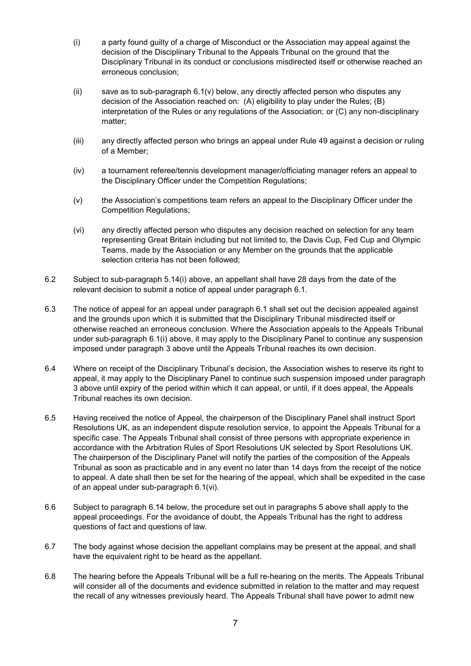- (i) a party found guilty of a charge of Misconduct or the Association may appeal against the decision of the Disciplinary Tribunal to the Appeals Tribunal on the ground that the Disciplinary Tribunal in its conduct or conclusions misdirected itself or otherwise reached an erroneous conclusion;
- (ii) save as to sub-paragraph 6.1(v) below, any directly affected person who disputes any decision of the Association reached on: (A) eligibility to play under the Rules; (B) interpretation of the Rules or any regulations of the Association; or (C) any non-disciplinary matter;
- (iii) any directly affected person who brings an appeal under Rule 49 against a decision or ruling of a Member;
- (iv) a tournament referee/tennis development manager/officiating manager refers an appeal to the Disciplinary Officer under the Competition Regulations;
- (v) the Association's competitions team refers an appeal to the Disciplinary Officer under the Competition Regulations;
- (vi) any directly affected person who disputes any decision reached on selection for any team representing Great Britain including but not limited to, the Davis Cup, Fed Cup and Olympic Teams, made by the Association or any Member on the grounds that the applicable selection criteria has not been followed;
- 6.2 Subject to sub-paragraph 5.14(i) above, an appellant shall have 28 days from the date of the relevant decision to submit a notice of appeal under paragraph 6.1.
- 6.3 The notice of appeal for an appeal under paragraph 6.1 shall set out the decision appealed against and the grounds upon which it is submitted that the Disciplinary Tribunal misdirected itself or otherwise reached an erroneous conclusion. Where the Association appeals to the Appeals Tribunal under sub-paragraph 6.1(i) above, it may apply to the Disciplinary Panel to continue any suspension imposed under paragraph 3 above until the Appeals Tribunal reaches its own decision.
- 6.4 Where on receipt of the Disciplinary Tribunal's decision, the Association wishes to reserve its right to appeal, it may apply to the Disciplinary Panel to continue such suspension imposed under paragraph 3 above until expiry of the period within which it can appeal, or until, if it does appeal, the Appeals Tribunal reaches its own decision.
- 6.5 Having received the notice of Appeal, the chairperson of the Disciplinary Panel shall instruct Sport Resolutions UK, as an independent dispute resolution service, to appoint the Appeals Tribunal for a specific case. The Appeals Tribunal shall consist of three persons with appropriate experience in accordance with the Arbitration Rules of Sport Resolutions UK selected by Sport Resolutions UK. The chairperson of the Disciplinary Panel will notify the parties of the composition of the Appeals Tribunal as soon as practicable and in any event no later than 14 days from the receipt of the notice to appeal. A date shall then be set for the hearing of the appeal, which shall be expedited in the case of an appeal under sub-paragraph 6.1(vi).
- 6.6 Subject to paragraph 6.14 below, the procedure set out in paragraphs 5 above shall apply to the appeal proceedings. For the avoidance of doubt, the Appeals Tribunal has the right to address questions of fact and questions of law.
- 6.7 The body against whose decision the appellant complains may be present at the appeal, and shall have the equivalent right to be heard as the appellant.
- 6.8 The hearing before the Appeals Tribunal will be a full re-hearing on the merits. The Appeals Tribunal will consider all of the documents and evidence submitted in relation to the matter and may request the recall of any witnesses previously heard. The Appeals Tribunal shall have power to admit new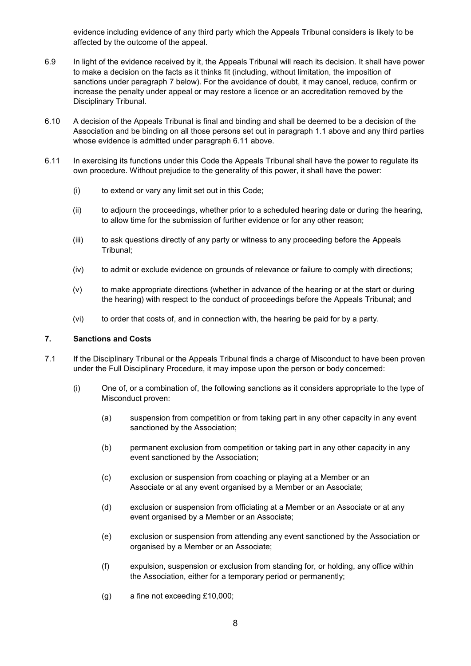evidence including evidence of any third party which the Appeals Tribunal considers is likely to be affected by the outcome of the appeal.

- 6.9 In light of the evidence received by it, the Appeals Tribunal will reach its decision. It shall have power to make a decision on the facts as it thinks fit (including, without limitation, the imposition of sanctions under paragraph 7 below). For the avoidance of doubt, it may cancel, reduce, confirm or increase the penalty under appeal or may restore a licence or an accreditation removed by the Disciplinary Tribunal.
- 6.10 A decision of the Appeals Tribunal is final and binding and shall be deemed to be a decision of the Association and be binding on all those persons set out in paragraph 1.1 above and any third parties whose evidence is admitted under paragraph 6.11 above.
- 6.11 In exercising its functions under this Code the Appeals Tribunal shall have the power to regulate its own procedure. Without prejudice to the generality of this power, it shall have the power:
	- (i) to extend or vary any limit set out in this Code;
	- (ii) to adjourn the proceedings, whether prior to a scheduled hearing date or during the hearing, to allow time for the submission of further evidence or for any other reason;
	- (iii) to ask questions directly of any party or witness to any proceeding before the Appeals Tribunal;
	- (iv) to admit or exclude evidence on grounds of relevance or failure to comply with directions;
	- (v) to make appropriate directions (whether in advance of the hearing or at the start or during the hearing) with respect to the conduct of proceedings before the Appeals Tribunal; and
	- (vi) to order that costs of, and in connection with, the hearing be paid for by a party.

#### **7. Sanctions and Costs**

- 7.1 If the Disciplinary Tribunal or the Appeals Tribunal finds a charge of Misconduct to have been proven under the Full Disciplinary Procedure, it may impose upon the person or body concerned:
	- (i) One of, or a combination of, the following sanctions as it considers appropriate to the type of Misconduct proven:
		- (a) suspension from competition or from taking part in any other capacity in any event sanctioned by the Association;
		- (b) permanent exclusion from competition or taking part in any other capacity in any event sanctioned by the Association;
		- (c) exclusion or suspension from coaching or playing at a Member or an Associate or at any event organised by a Member or an Associate;
		- (d) exclusion or suspension from officiating at a Member or an Associate or at any event organised by a Member or an Associate;
		- (e) exclusion or suspension from attending any event sanctioned by the Association or organised by a Member or an Associate;
		- (f) expulsion, suspension or exclusion from standing for, or holding, any office within the Association, either for a temporary period or permanently;
		- (g) a fine not exceeding £10,000;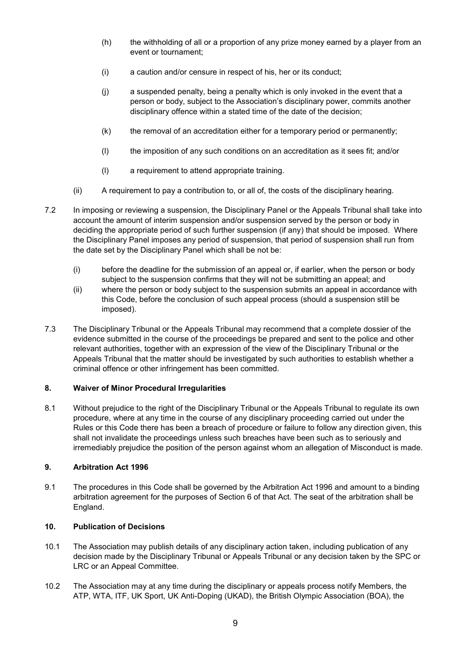- (h) the withholding of all or a proportion of any prize money earned by a player from an event or tournament;
- (i) a caution and/or censure in respect of his, her or its conduct;
- (j) a suspended penalty, being a penalty which is only invoked in the event that a person or body, subject to the Association's disciplinary power, commits another disciplinary offence within a stated time of the date of the decision;
- (k) the removal of an accreditation either for a temporary period or permanently;
- (l) the imposition of any such conditions on an accreditation as it sees fit; and/or
- (l) a requirement to attend appropriate training.
- (ii) A requirement to pay a contribution to, or all of, the costs of the disciplinary hearing.
- 7.2 In imposing or reviewing a suspension, the Disciplinary Panel or the Appeals Tribunal shall take into account the amount of interim suspension and/or suspension served by the person or body in deciding the appropriate period of such further suspension (if any) that should be imposed. Where the Disciplinary Panel imposes any period of suspension, that period of suspension shall run from the date set by the Disciplinary Panel which shall be not be:
	- (i) before the deadline for the submission of an appeal or, if earlier, when the person or body subject to the suspension confirms that they will not be submitting an appeal; and
	- (ii) where the person or body subject to the suspension submits an appeal in accordance with this Code, before the conclusion of such appeal process (should a suspension still be imposed).
- 7.3 The Disciplinary Tribunal or the Appeals Tribunal may recommend that a complete dossier of the evidence submitted in the course of the proceedings be prepared and sent to the police and other relevant authorities, together with an expression of the view of the Disciplinary Tribunal or the Appeals Tribunal that the matter should be investigated by such authorities to establish whether a criminal offence or other infringement has been committed.

# **8. Waiver of Minor Procedural Irregularities**

8.1 Without prejudice to the right of the Disciplinary Tribunal or the Appeals Tribunal to regulate its own procedure, where at any time in the course of any disciplinary proceeding carried out under the Rules or this Code there has been a breach of procedure or failure to follow any direction given, this shall not invalidate the proceedings unless such breaches have been such as to seriously and irremediably prejudice the position of the person against whom an allegation of Misconduct is made.

# **9. Arbitration Act 1996**

9.1 The procedures in this Code shall be governed by the Arbitration Act 1996 and amount to a binding arbitration agreement for the purposes of Section 6 of that Act. The seat of the arbitration shall be England.

# **10. Publication of Decisions**

- 10.1 The Association may publish details of any disciplinary action taken, including publication of any decision made by the Disciplinary Tribunal or Appeals Tribunal or any decision taken by the SPC or LRC or an Appeal Committee.
- 10.2 The Association may at any time during the disciplinary or appeals process notify Members, the ATP, WTA, ITF, UK Sport, UK Anti-Doping (UKAD), the British Olympic Association (BOA), the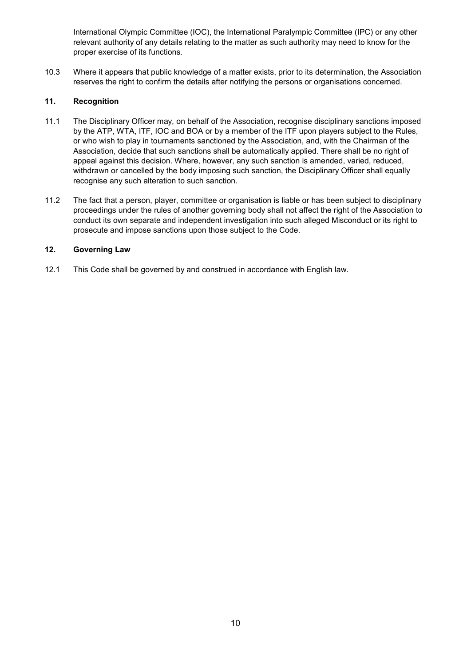International Olympic Committee (IOC), the International Paralympic Committee (IPC) or any other relevant authority of any details relating to the matter as such authority may need to know for the proper exercise of its functions.

10.3 Where it appears that public knowledge of a matter exists, prior to its determination, the Association reserves the right to confirm the details after notifying the persons or organisations concerned.

# **11. Recognition**

- 11.1 The Disciplinary Officer may, on behalf of the Association, recognise disciplinary sanctions imposed by the ATP, WTA, ITF, IOC and BOA or by a member of the ITF upon players subject to the Rules, or who wish to play in tournaments sanctioned by the Association, and, with the Chairman of the Association, decide that such sanctions shall be automatically applied. There shall be no right of appeal against this decision. Where, however, any such sanction is amended, varied, reduced, withdrawn or cancelled by the body imposing such sanction, the Disciplinary Officer shall equally recognise any such alteration to such sanction.
- 11.2 The fact that a person, player, committee or organisation is liable or has been subject to disciplinary proceedings under the rules of another governing body shall not affect the right of the Association to conduct its own separate and independent investigation into such alleged Misconduct or its right to prosecute and impose sanctions upon those subject to the Code.

# **12. Governing Law**

12.1 This Code shall be governed by and construed in accordance with English law.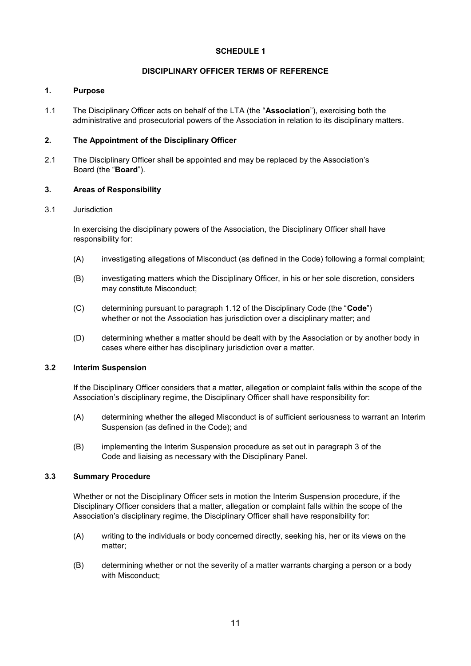# **SCHEDULE 1**

### **DISCIPLINARY OFFICER TERMS OF REFERENCE**

#### **1. Purpose**

1.1 The Disciplinary Officer acts on behalf of the LTA (the "**Association**"), exercising both the administrative and prosecutorial powers of the Association in relation to its disciplinary matters.

### **2. The Appointment of the Disciplinary Officer**

2.1 The Disciplinary Officer shall be appointed and may be replaced by the Association's Board (the "**Board**").

### **3. Areas of Responsibility**

### 3.1 Jurisdiction

In exercising the disciplinary powers of the Association, the Disciplinary Officer shall have responsibility for:

- (A) investigating allegations of Misconduct (as defined in the Code) following a formal complaint;
- (B) investigating matters which the Disciplinary Officer, in his or her sole discretion, considers may constitute Misconduct;
- (C) determining pursuant to paragraph 1.12 of the Disciplinary Code (the "**Code**") whether or not the Association has jurisdiction over a disciplinary matter; and
- (D) determining whether a matter should be dealt with by the Association or by another body in cases where either has disciplinary jurisdiction over a matter.

# **3.2 Interim Suspension**

If the Disciplinary Officer considers that a matter, allegation or complaint falls within the scope of the Association's disciplinary regime, the Disciplinary Officer shall have responsibility for:

- (A) determining whether the alleged Misconduct is of sufficient seriousness to warrant an Interim Suspension (as defined in the Code); and
- (B) implementing the Interim Suspension procedure as set out in paragraph 3 of the Code and liaising as necessary with the Disciplinary Panel.

# **3.3 Summary Procedure**

Whether or not the Disciplinary Officer sets in motion the Interim Suspension procedure, if the Disciplinary Officer considers that a matter, allegation or complaint falls within the scope of the Association's disciplinary regime, the Disciplinary Officer shall have responsibility for:

- (A) writing to the individuals or body concerned directly, seeking his, her or its views on the matter;
- (B) determining whether or not the severity of a matter warrants charging a person or a body with Misconduct;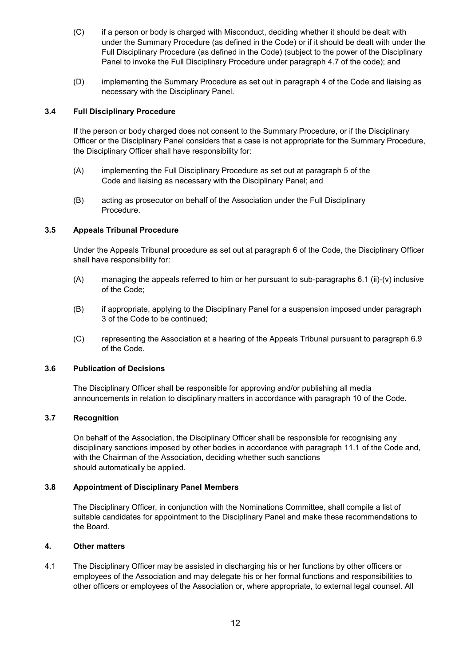- (C) if a person or body is charged with Misconduct, deciding whether it should be dealt with under the Summary Procedure (as defined in the Code) or if it should be dealt with under the Full Disciplinary Procedure (as defined in the Code) (subject to the power of the Disciplinary Panel to invoke the Full Disciplinary Procedure under paragraph 4.7 of the code); and
- (D) implementing the Summary Procedure as set out in paragraph 4 of the Code and liaising as necessary with the Disciplinary Panel.

# **3.4 Full Disciplinary Procedure**

If the person or body charged does not consent to the Summary Procedure, or if the Disciplinary Officer or the Disciplinary Panel considers that a case is not appropriate for the Summary Procedure, the Disciplinary Officer shall have responsibility for:

- (A) implementing the Full Disciplinary Procedure as set out at paragraph 5 of the Code and liaising as necessary with the Disciplinary Panel; and
- (B) acting as prosecutor on behalf of the Association under the Full Disciplinary Procedure.

# **3.5 Appeals Tribunal Procedure**

Under the Appeals Tribunal procedure as set out at paragraph 6 of the Code, the Disciplinary Officer shall have responsibility for:

- (A) managing the appeals referred to him or her pursuant to sub-paragraphs 6.1 (ii)-(v) inclusive of the Code;
- (B) if appropriate, applying to the Disciplinary Panel for a suspension imposed under paragraph 3 of the Code to be continued;
- (C) representing the Association at a hearing of the Appeals Tribunal pursuant to paragraph 6.9 of the Code.

# **3.6 Publication of Decisions**

The Disciplinary Officer shall be responsible for approving and/or publishing all media announcements in relation to disciplinary matters in accordance with paragraph 10 of the Code.

# **3.7 Recognition**

On behalf of the Association, the Disciplinary Officer shall be responsible for recognising any disciplinary sanctions imposed by other bodies in accordance with paragraph 11.1 of the Code and, with the Chairman of the Association, deciding whether such sanctions should automatically be applied.

# **3.8 Appointment of Disciplinary Panel Members**

The Disciplinary Officer, in conjunction with the Nominations Committee, shall compile a list of suitable candidates for appointment to the Disciplinary Panel and make these recommendations to the Board.

# **4. Other matters**

4.1 The Disciplinary Officer may be assisted in discharging his or her functions by other officers or employees of the Association and may delegate his or her formal functions and responsibilities to other officers or employees of the Association or, where appropriate, to external legal counsel. All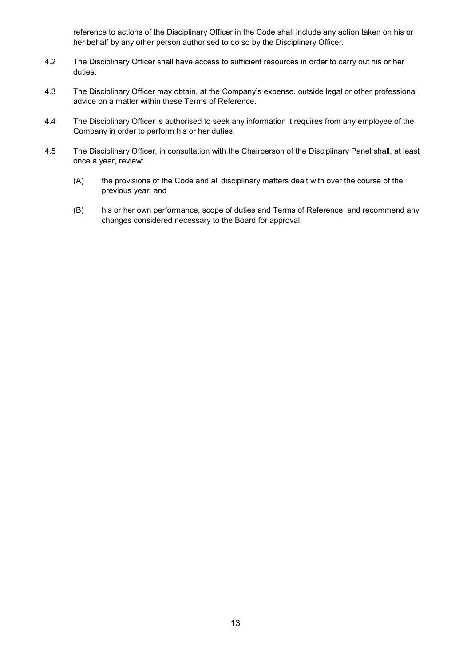reference to actions of the Disciplinary Officer in the Code shall include any action taken on his or her behalf by any other person authorised to do so by the Disciplinary Officer.

- 4.2 The Disciplinary Officer shall have access to sufficient resources in order to carry out his or her duties.
- 4.3 The Disciplinary Officer may obtain, at the Company's expense, outside legal or other professional advice on a matter within these Terms of Reference.
- 4.4 The Disciplinary Officer is authorised to seek any information it requires from any employee of the Company in order to perform his or her duties.
- 4.5 The Disciplinary Officer, in consultation with the Chairperson of the Disciplinary Panel shall, at least once a year, review:
	- (A) the provisions of the Code and all disciplinary matters dealt with over the course of the previous year; and
	- (B) his or her own performance, scope of duties and Terms of Reference, and recommend any changes considered necessary to the Board for approval.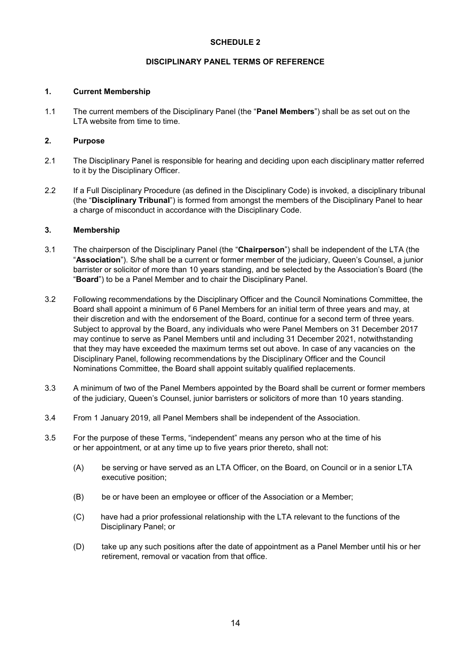# **SCHEDULE 2**

### **DISCIPLINARY PANEL TERMS OF REFERENCE**

### **1. Current Membership**

1.1 The current members of the Disciplinary Panel (the "**Panel Members**") shall be as set out on the LTA website from time to time.

### **2. Purpose**

- 2.1 The Disciplinary Panel is responsible for hearing and deciding upon each disciplinary matter referred to it by the Disciplinary Officer.
- 2.2 If a Full Disciplinary Procedure (as defined in the Disciplinary Code) is invoked, a disciplinary tribunal (the "**Disciplinary Tribunal**") is formed from amongst the members of the Disciplinary Panel to hear a charge of misconduct in accordance with the Disciplinary Code.

### **3. Membership**

- 3.1 The chairperson of the Disciplinary Panel (the "**Chairperson**") shall be independent of the LTA (the "**Association**"). S/he shall be a current or former member of the judiciary, Queen's Counsel, a junior barrister or solicitor of more than 10 years standing, and be selected by the Association's Board (the "**Board**") to be a Panel Member and to chair the Disciplinary Panel.
- 3.2 Following recommendations by the Disciplinary Officer and the Council Nominations Committee, the Board shall appoint a minimum of 6 Panel Members for an initial term of three years and may, at their discretion and with the endorsement of the Board, continue for a second term of three years. Subject to approval by the Board, any individuals who were Panel Members on 31 December 2017 may continue to serve as Panel Members until and including 31 December 2021, notwithstanding that they may have exceeded the maximum terms set out above. In case of any vacancies on the Disciplinary Panel, following recommendations by the Disciplinary Officer and the Council Nominations Committee, the Board shall appoint suitably qualified replacements.
- 3.3 A minimum of two of the Panel Members appointed by the Board shall be current or former members of the judiciary, Queen's Counsel, junior barristers or solicitors of more than 10 years standing.
- 3.4 From 1 January 2019, all Panel Members shall be independent of the Association.
- 3.5 For the purpose of these Terms, "independent" means any person who at the time of his or her appointment, or at any time up to five years prior thereto, shall not:
	- (A) be serving or have served as an LTA Officer, on the Board, on Council or in a senior LTA executive position;
	- (B) be or have been an employee or officer of the Association or a Member;
	- (C) have had a prior professional relationship with the LTA relevant to the functions of the Disciplinary Panel; or
	- (D) take up any such positions after the date of appointment as a Panel Member until his or her retirement, removal or vacation from that office.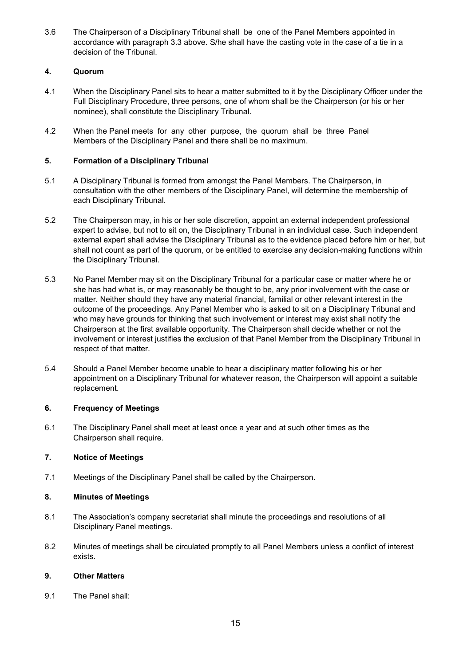3.6 The Chairperson of a Disciplinary Tribunal shall be one of the Panel Members appointed in accordance with paragraph 3.3 above. S/he shall have the casting vote in the case of a tie in a decision of the Tribunal.

# **4. Quorum**

- 4.1 When the Disciplinary Panel sits to hear a matter submitted to it by the Disciplinary Officer under the Full Disciplinary Procedure, three persons, one of whom shall be the Chairperson (or his or her nominee), shall constitute the Disciplinary Tribunal.
- 4.2 When the Panel meets for any other purpose, the quorum shall be three Panel Members of the Disciplinary Panel and there shall be no maximum.

# **5. Formation of a Disciplinary Tribunal**

- 5.1 A Disciplinary Tribunal is formed from amongst the Panel Members. The Chairperson, in consultation with the other members of the Disciplinary Panel, will determine the membership of each Disciplinary Tribunal.
- 5.2 The Chairperson may, in his or her sole discretion, appoint an external independent professional expert to advise, but not to sit on, the Disciplinary Tribunal in an individual case. Such independent external expert shall advise the Disciplinary Tribunal as to the evidence placed before him or her, but shall not count as part of the quorum, or be entitled to exercise any decision-making functions within the Disciplinary Tribunal.
- 5.3 No Panel Member may sit on the Disciplinary Tribunal for a particular case or matter where he or she has had what is, or may reasonably be thought to be, any prior involvement with the case or matter. Neither should they have any material financial, familial or other relevant interest in the outcome of the proceedings. Any Panel Member who is asked to sit on a Disciplinary Tribunal and who may have grounds for thinking that such involvement or interest may exist shall notify the Chairperson at the first available opportunity. The Chairperson shall decide whether or not the involvement or interest justifies the exclusion of that Panel Member from the Disciplinary Tribunal in respect of that matter.
- 5.4 Should a Panel Member become unable to hear a disciplinary matter following his or her appointment on a Disciplinary Tribunal for whatever reason, the Chairperson will appoint a suitable replacement.

# **6. Frequency of Meetings**

6.1 The Disciplinary Panel shall meet at least once a year and at such other times as the Chairperson shall require.

# **7. Notice of Meetings**

7.1 Meetings of the Disciplinary Panel shall be called by the Chairperson.

# **8. Minutes of Meetings**

- 8.1 The Association's company secretariat shall minute the proceedings and resolutions of all Disciplinary Panel meetings.
- 8.2 Minutes of meetings shall be circulated promptly to all Panel Members unless a conflict of interest exists.

# **9. Other Matters**

9.1 The Panel shall: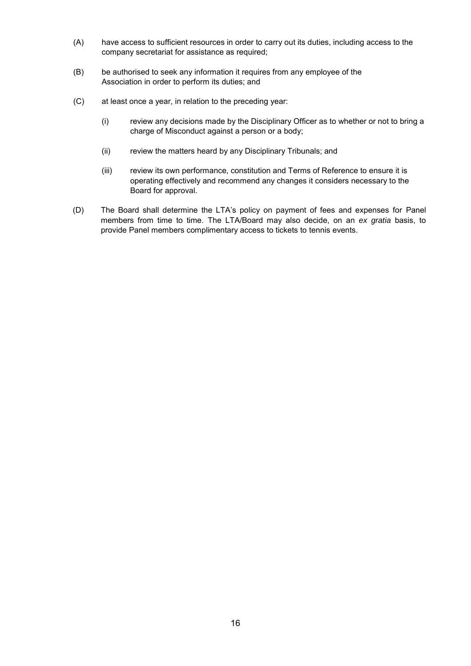- (A) have access to sufficient resources in order to carry out its duties, including access to the company secretariat for assistance as required;
- (B) be authorised to seek any information it requires from any employee of the Association in order to perform its duties; and
- (C) at least once a year, in relation to the preceding year:
	- (i) review any decisions made by the Disciplinary Officer as to whether or not to bring a charge of Misconduct against a person or a body;
	- (ii) review the matters heard by any Disciplinary Tribunals; and
	- (iii) review its own performance, constitution and Terms of Reference to ensure it is operating effectively and recommend any changes it considers necessary to the Board for approval.
- (D) The Board shall determine the LTA's policy on payment of fees and expenses for Panel members from time to time. The LTA/Board may also decide, on an *ex gratia* basis, to provide Panel members complimentary access to tickets to tennis events.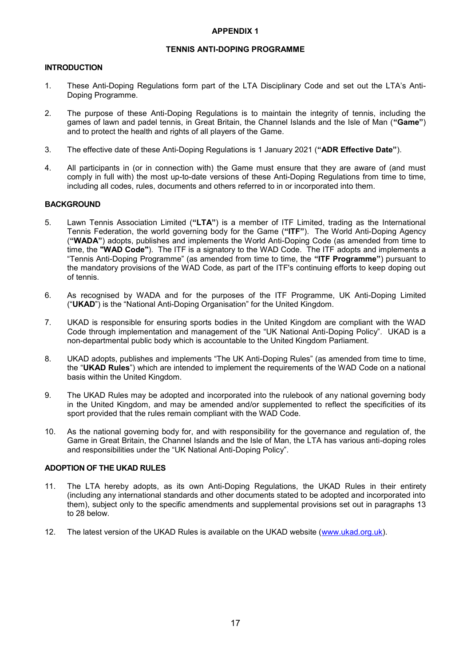### **APPENDIX 1**

### **TENNIS ANTI-DOPING PROGRAMME**

### **INTRODUCTION**

- 1. These Anti-Doping Regulations form part of the LTA Disciplinary Code and set out the LTA's Anti-Doping Programme.
- 2. The purpose of these Anti-Doping Regulations is to maintain the integrity of tennis, including the games of lawn and padel tennis, in Great Britain, the Channel Islands and the Isle of Man (**"Game"**) and to protect the health and rights of all players of the Game.
- 3. The effective date of these Anti-Doping Regulations is 1 January 2021 (**"ADR Effective Date"**).
- 4. All participants in (or in connection with) the Game must ensure that they are aware of (and must comply in full with) the most up-to-date versions of these Anti-Doping Regulations from time to time, including all codes, rules, documents and others referred to in or incorporated into them.

### **BACKGROUND**

- 5. Lawn Tennis Association Limited (**"LTA"**) is a member of ITF Limited, trading as the International Tennis Federation, the world governing body for the Game (**"ITF"**). The World Anti-Doping Agency (**"WADA"**) adopts, publishes and implements the World Anti-Doping Code (as amended from time to time, the **"WAD Code"**). The ITF is a signatory to the WAD Code. The ITF adopts and implements a "Tennis Anti-Doping Programme" (as amended from time to time, the **"ITF Programme"**) pursuant to the mandatory provisions of the WAD Code, as part of the ITF's continuing efforts to keep doping out of tennis.
- 6. As recognised by WADA and for the purposes of the ITF Programme, UK Anti-Doping Limited ("**UKAD**") is the "National Anti-Doping Organisation" for the United Kingdom.
- 7. UKAD is responsible for ensuring sports bodies in the United Kingdom are compliant with the WAD Code through implementation and management of the "UK National Anti-Doping Policy". UKAD is a non-departmental public body which is accountable to the United Kingdom Parliament.
- 8. UKAD adopts, publishes and implements "The UK Anti-Doping Rules" (as amended from time to time, the "**UKAD Rules**") which are intended to implement the requirements of the WAD Code on a national basis within the United Kingdom.
- 9. The UKAD Rules may be adopted and incorporated into the rulebook of any national governing body in the United Kingdom, and may be amended and/or supplemented to reflect the specificities of its sport provided that the rules remain compliant with the WAD Code.
- 10. As the national governing body for, and with responsibility for the governance and regulation of, the Game in Great Britain, the Channel Islands and the Isle of Man, the LTA has various anti-doping roles and responsibilities under the "UK National Anti-Doping Policy".

#### **ADOPTION OF THE UKAD RULES**

- 11. The LTA hereby adopts, as its own Anti-Doping Regulations, the UKAD Rules in their entirety (including any international standards and other documents stated to be adopted and incorporated into them), subject only to the specific amendments and supplemental provisions set out in paragraphs 13 to 28 below.
- 12. The latest version of the UKAD Rules is available on the UKAD website [\(www.ukad.org.uk\)](http://www.ukad.org.uk/).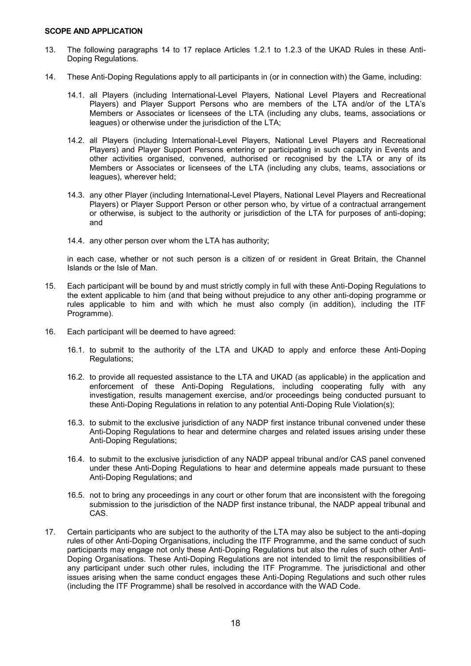#### **SCOPE AND APPLICATION**

- 13. The following paragraphs 14 to 17 replace Articles 1.2.1 to 1.2.3 of the UKAD Rules in these Anti-Doping Regulations.
- 14. These Anti-Doping Regulations apply to all participants in (or in connection with) the Game, including:
	- 14.1. all Players (including International-Level Players, National Level Players and Recreational Players) and Player Support Persons who are members of the LTA and/or of the LTA's Members or Associates or licensees of the LTA (including any clubs, teams, associations or leagues) or otherwise under the jurisdiction of the LTA;
	- 14.2. all Players (including International-Level Players, National Level Players and Recreational Players) and Player Support Persons entering or participating in such capacity in Events and other activities organised, convened, authorised or recognised by the LTA or any of its Members or Associates or licensees of the LTA (including any clubs, teams, associations or leagues), wherever held;
	- 14.3. any other Player (including International-Level Players, National Level Players and Recreational Players) or Player Support Person or other person who, by virtue of a contractual arrangement or otherwise, is subject to the authority or jurisdiction of the LTA for purposes of anti-doping; and
	- 14.4. any other person over whom the LTA has authority;

in each case, whether or not such person is a citizen of or resident in Great Britain, the Channel Islands or the Isle of Man.

- 15. Each participant will be bound by and must strictly comply in full with these Anti-Doping Regulations to the extent applicable to him (and that being without prejudice to any other anti-doping programme or rules applicable to him and with which he must also comply (in addition), including the ITF Programme).
- 16. Each participant will be deemed to have agreed:
	- 16.1. to submit to the authority of the LTA and UKAD to apply and enforce these Anti-Doping Regulations;
	- 16.2. to provide all requested assistance to the LTA and UKAD (as applicable) in the application and enforcement of these Anti-Doping Regulations, including cooperating fully with any investigation, results management exercise, and/or proceedings being conducted pursuant to these Anti-Doping Regulations in relation to any potential Anti-Doping Rule Violation(s);
	- 16.3. to submit to the exclusive jurisdiction of any NADP first instance tribunal convened under these Anti-Doping Regulations to hear and determine charges and related issues arising under these Anti-Doping Regulations;
	- 16.4. to submit to the exclusive jurisdiction of any NADP appeal tribunal and/or CAS panel convened under these Anti-Doping Regulations to hear and determine appeals made pursuant to these Anti-Doping Regulations; and
	- 16.5. not to bring any proceedings in any court or other forum that are inconsistent with the foregoing submission to the jurisdiction of the NADP first instance tribunal, the NADP appeal tribunal and CAS.
- 17. Certain participants who are subject to the authority of the LTA may also be subject to the anti-doping rules of other Anti-Doping Organisations, including the ITF Programme, and the same conduct of such participants may engage not only these Anti-Doping Regulations but also the rules of such other Anti-Doping Organisations. These Anti-Doping Regulations are not intended to limit the responsibilities of any participant under such other rules, including the ITF Programme. The jurisdictional and other issues arising when the same conduct engages these Anti-Doping Regulations and such other rules (including the ITF Programme) shall be resolved in accordance with the WAD Code.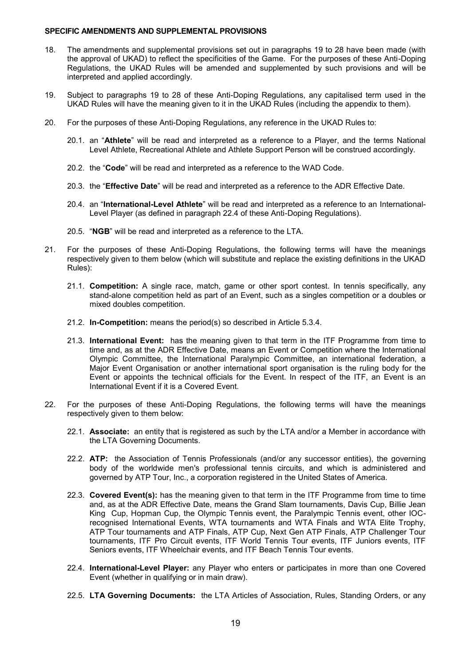#### **SPECIFIC AMENDMENTS AND SUPPLEMENTAL PROVISIONS**

- 18. The amendments and supplemental provisions set out in paragraphs 19 to 28 have been made (with the approval of UKAD) to reflect the specificities of the Game. For the purposes of these Anti-Doping Regulations, the UKAD Rules will be amended and supplemented by such provisions and will be interpreted and applied accordingly.
- 19. Subject to paragraphs 19 to 28 of these Anti-Doping Regulations, any capitalised term used in the UKAD Rules will have the meaning given to it in the UKAD Rules (including the appendix to them).
- 20. For the purposes of these Anti-Doping Regulations, any reference in the UKAD Rules to:
	- 20.1. an "**Athlete**" will be read and interpreted as a reference to a Player, and the terms National Level Athlete, Recreational Athlete and Athlete Support Person will be construed accordingly.
	- 20.2. the "**Code**" will be read and interpreted as a reference to the WAD Code.
	- 20.3. the "**Effective Date**" will be read and interpreted as a reference to the ADR Effective Date.
	- 20.4. an "**International-Level Athlete**" will be read and interpreted as a reference to an International-Level Player (as defined in paragraph 22.4 of these Anti-Doping Regulations).
	- 20.5. "**NGB**" will be read and interpreted as a reference to the LTA.
- 21. For the purposes of these Anti-Doping Regulations, the following terms will have the meanings respectively given to them below (which will substitute and replace the existing definitions in the UKAD Rules):
	- 21.1. **Competition:** A single race, match, game or other sport contest. In tennis specifically, any stand-alone competition held as part of an Event, such as a singles competition or a doubles or mixed doubles competition.
	- 21.2. **In-Competition:** means the period(s) so described in Article 5.3.4.
	- 21.3. **International Event:** has the meaning given to that term in the ITF Programme from time to time and, as at the ADR Effective Date, means an Event or Competition where the International Olympic Committee, the International Paralympic Committee, an international federation, a Major Event Organisation or another international sport organisation is the ruling body for the Event or appoints the technical officials for the Event. In respect of the ITF, an Event is an International Event if it is a Covered Event.
- 22. For the purposes of these Anti-Doping Regulations, the following terms will have the meanings respectively given to them below:
	- 22.1. **Associate:** an entity that is registered as such by the LTA and/or a Member in accordance with the LTA Governing Documents.
	- 22.2. **ATP:** the Association of Tennis Professionals (and/or any successor entities), the governing body of the worldwide men's professional tennis circuits, and which is administered and governed by ATP Tour, Inc., a corporation registered in the United States of America.
	- 22.3. **Covered Event(s):** has the meaning given to that term in the ITF Programme from time to time and, as at the ADR Effective Date, means the Grand Slam tournaments, Davis Cup, Billie Jean King Cup, Hopman Cup, the Olympic Tennis event, the Paralympic Tennis event, other IOCrecognised International Events, WTA tournaments and WTA Finals and WTA Elite Trophy, ATP Tour tournaments and ATP Finals, ATP Cup, Next Gen ATP Finals, ATP Challenger Tour tournaments, ITF Pro Circuit events, ITF World Tennis Tour events, ITF Juniors events, ITF Seniors events, ITF Wheelchair events, and ITF Beach Tennis Tour events.
	- 22.4. **International-Level Player:** any Player who enters or participates in more than one Covered Event (whether in qualifying or in main draw).
	- 22.5. **LTA Governing Documents:** the LTA Articles of Association, Rules, Standing Orders, or any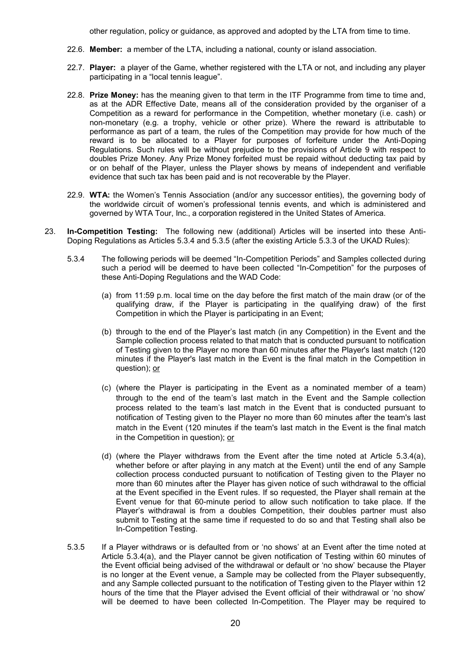other regulation, policy or guidance, as approved and adopted by the LTA from time to time.

- 22.6. **Member:** a member of the LTA, including a national, county or island association.
- 22.7. **Player:** a player of the Game, whether registered with the LTA or not, and including any player participating in a "local tennis league".
- 22.8. **Prize Money:** has the meaning given to that term in the ITF Programme from time to time and, as at the ADR Effective Date, means all of the consideration provided by the organiser of a Competition as a reward for performance in the Competition, whether monetary (i.e. cash) or non-monetary (e.g. a trophy, vehicle or other prize). Where the reward is attributable to performance as part of a team, the rules of the Competition may provide for how much of the reward is to be allocated to a Player for purposes of forfeiture under the Anti-Doping Regulations. Such rules will be without prejudice to the provisions of Article 9 with respect to doubles Prize Money. Any Prize Money forfeited must be repaid without deducting tax paid by or on behalf of the Player, unless the Player shows by means of independent and verifiable evidence that such tax has been paid and is not recoverable by the Player.
- 22.9. **WTA:** the Women's Tennis Association (and/or any successor entities), the governing body of the worldwide circuit of women's professional tennis events, and which is administered and governed by WTA Tour, Inc., a corporation registered in the United States of America.
- 23. **In-Competition Testing:** The following new (additional) Articles will be inserted into these Anti-Doping Regulations as Articles 5.3.4 and 5.3.5 (after the existing Article 5.3.3 of the UKAD Rules):
	- 5.3.4 The following periods will be deemed "In-Competition Periods" and Samples collected during such a period will be deemed to have been collected "In-Competition" for the purposes of these Anti-Doping Regulations and the WAD Code:
		- (a) from 11:59 p.m. local time on the day before the first match of the main draw (or of the qualifying draw, if the Player is participating in the qualifying draw) of the first Competition in which the Player is participating in an Event;
		- (b) through to the end of the Player's last match (in any Competition) in the Event and the Sample collection process related to that match that is conducted pursuant to notification of Testing given to the Player no more than 60 minutes after the Player's last match (120 minutes if the Player's last match in the Event is the final match in the Competition in question); or
		- (c) (where the Player is participating in the Event as a nominated member of a team) through to the end of the team's last match in the Event and the Sample collection process related to the team's last match in the Event that is conducted pursuant to notification of Testing given to the Player no more than 60 minutes after the team's last match in the Event (120 minutes if the team's last match in the Event is the final match in the Competition in question); or
		- (d) (where the Player withdraws from the Event after the time noted at Article 5.3.4(a), whether before or after playing in any match at the Event) until the end of any Sample collection process conducted pursuant to notification of Testing given to the Player no more than 60 minutes after the Player has given notice of such withdrawal to the official at the Event specified in the Event rules. If so requested, the Player shall remain at the Event venue for that 60-minute period to allow such notification to take place. If the Player's withdrawal is from a doubles Competition, their doubles partner must also submit to Testing at the same time if requested to do so and that Testing shall also be In-Competition Testing.
	- 5.3.5 If a Player withdraws or is defaulted from or 'no shows' at an Event after the time noted at Article 5.3.4(a), and the Player cannot be given notification of Testing within 60 minutes of the Event official being advised of the withdrawal or default or 'no show' because the Player is no longer at the Event venue, a Sample may be collected from the Player subsequently, and any Sample collected pursuant to the notification of Testing given to the Player within 12 hours of the time that the Player advised the Event official of their withdrawal or 'no show' will be deemed to have been collected In-Competition. The Player may be required to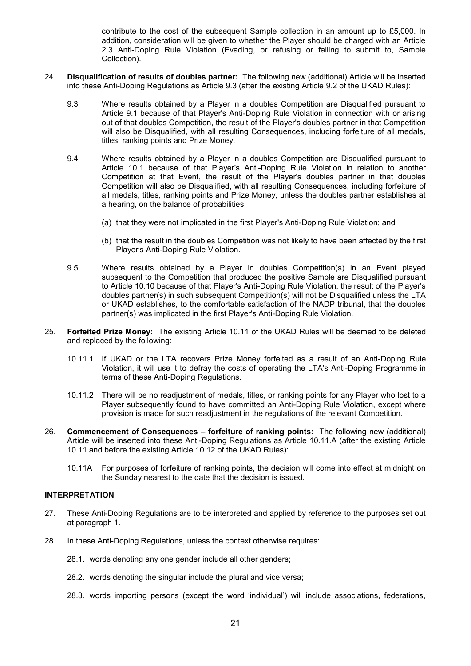contribute to the cost of the subsequent Sample collection in an amount up to £5,000. In addition, consideration will be given to whether the Player should be charged with an Article 2.3 Anti-Doping Rule Violation (Evading, or refusing or failing to submit to, Sample Collection).

- 24. **Disqualification of results of doubles partner:** The following new (additional) Article will be inserted into these Anti-Doping Regulations as Article 9.3 (after the existing Article 9.2 of the UKAD Rules):
	- 9.3 Where results obtained by a Player in a doubles Competition are Disqualified pursuant to Article 9.1 because of that Player's Anti-Doping Rule Violation in connection with or arising out of that doubles Competition, the result of the Player's doubles partner in that Competition will also be Disqualified, with all resulting Consequences, including forfeiture of all medals, titles, ranking points and Prize Money.
	- 9.4 Where results obtained by a Player in a doubles Competition are Disqualified pursuant to Article 10.1 because of that Player's Anti-Doping Rule Violation in relation to another Competition at that Event, the result of the Player's doubles partner in that doubles Competition will also be Disqualified, with all resulting Consequences, including forfeiture of all medals, titles, ranking points and Prize Money, unless the doubles partner establishes at a hearing, on the balance of probabilities:
		- (a) that they were not implicated in the first Player's Anti-Doping Rule Violation; and
		- (b) that the result in the doubles Competition was not likely to have been affected by the first Player's Anti-Doping Rule Violation.
	- 9.5 Where results obtained by a Player in doubles Competition(s) in an Event played subsequent to the Competition that produced the positive Sample are Disqualified pursuant to Article 10.10 because of that Player's Anti-Doping Rule Violation, the result of the Player's doubles partner(s) in such subsequent Competition(s) will not be Disqualified unless the LTA or UKAD establishes, to the comfortable satisfaction of the NADP tribunal, that the doubles partner(s) was implicated in the first Player's Anti-Doping Rule Violation.
- 25. **Forfeited Prize Money:** The existing Article 10.11 of the UKAD Rules will be deemed to be deleted and replaced by the following:
	- 10.11.1 If UKAD or the LTA recovers Prize Money forfeited as a result of an Anti-Doping Rule Violation, it will use it to defray the costs of operating the LTA's Anti-Doping Programme in terms of these Anti-Doping Regulations.
	- 10.11.2 There will be no readjustment of medals, titles, or ranking points for any Player who lost to a Player subsequently found to have committed an Anti-Doping Rule Violation, except where provision is made for such readjustment in the regulations of the relevant Competition.
- 26. **Commencement of Consequences forfeiture of ranking points:** The following new (additional) Article will be inserted into these Anti-Doping Regulations as Article 10.11.A (after the existing Article 10.11 and before the existing Article 10.12 of the UKAD Rules):
	- 10.11A For purposes of forfeiture of ranking points, the decision will come into effect at midnight on the Sunday nearest to the date that the decision is issued.

# **INTERPRETATION**

- 27. These Anti-Doping Regulations are to be interpreted and applied by reference to the purposes set out at paragraph 1.
- 28. In these Anti-Doping Regulations, unless the context otherwise requires:
	- 28.1. words denoting any one gender include all other genders;
	- 28.2. words denoting the singular include the plural and vice versa;
	- 28.3. words importing persons (except the word 'individual') will include associations, federations,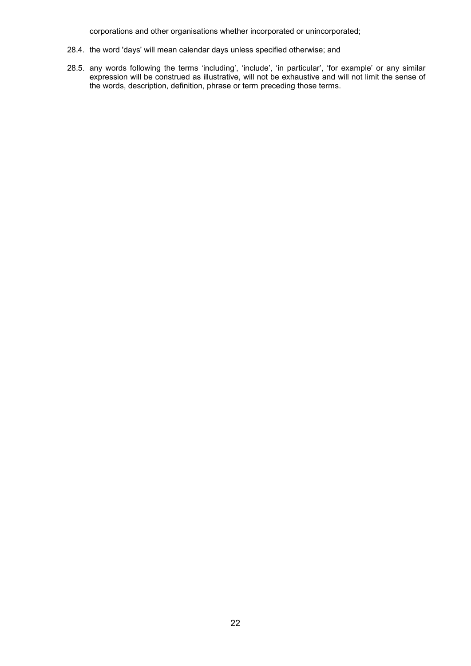corporations and other organisations whether incorporated or unincorporated;

- 28.4. the word 'days' will mean calendar days unless specified otherwise; and
- 28.5. any words following the terms 'including', 'include', 'in particular', 'for example' or any similar expression will be construed as illustrative, will not be exhaustive and will not limit the sense of the words, description, definition, phrase or term preceding those terms.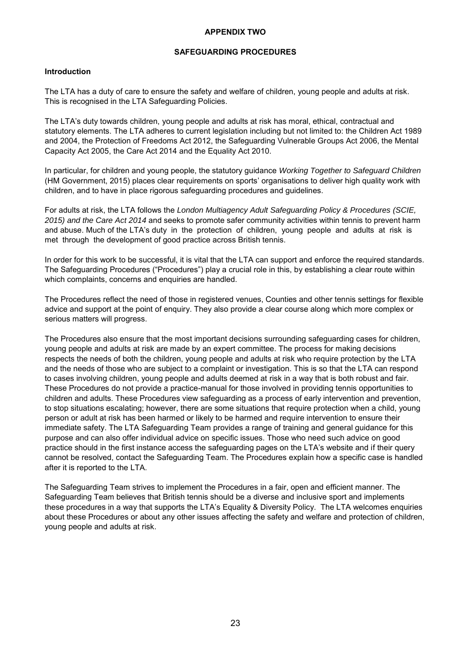# **APPENDIX TWO**

### **SAFEGUARDING PROCEDURES**

### **Introduction**

The LTA has a duty of care to ensure the safety and welfare of children, young people and adults at risk. This is recognised in the LTA Safeguarding Policies.

The LTA's duty towards children, young people and adults at risk has moral, ethical, contractual and statutory elements. The LTA adheres to current legislation including but not limited to: the Children Act 1989 and 2004, the Protection of Freedoms Act 2012, the Safeguarding Vulnerable Groups Act 2006, the Mental Capacity Act 2005, the Care Act 2014 and the Equality Act 2010.

In particular, for children and young people, the statutory guidance *Working Together to Safeguard Children* (HM Government, 2015) places clear requirements on sports' organisations to deliver high quality work with children, and to have in place rigorous safeguarding procedures and guidelines.

For adults at risk, the LTA follows the *London Multiagency Adult Safeguarding Policy & Procedures (SCIE, 2015) and the Care Act 2014* and seeks to promote safer community activities within tennis to prevent harm and abuse. Much of the LTA's duty in the protection of children, young people and adults at risk is met through the development of good practice across British tennis.

In order for this work to be successful, it is vital that the LTA can support and enforce the required standards. The Safeguarding Procedures ("Procedures") play a crucial role in this, by establishing a clear route within which complaints, concerns and enquiries are handled.

The Procedures reflect the need of those in registered venues, Counties and other tennis settings for flexible advice and support at the point of enquiry. They also provide a clear course along which more complex or serious matters will progress.

The Procedures also ensure that the most important decisions surrounding safeguarding cases for children, young people and adults at risk are made by an expert committee. The process for making decisions respects the needs of both the children, young people and adults at risk who require protection by the LTA and the needs of those who are subject to a complaint or investigation. This is so that the LTA can respond to cases involving children, young people and adults deemed at risk in a way that is both robust and fair. These Procedures do not provide a practice-manual for those involved in providing tennis opportunities to children and adults. These Procedures view safeguarding as a process of early intervention and prevention, to stop situations escalating; however, there are some situations that require protection when a child, young person or adult at risk has been harmed or likely to be harmed and require intervention to ensure their immediate safety. The LTA Safeguarding Team provides a range of training and general guidance for this purpose and can also offer individual advice on specific issues. Those who need such advice on good practice should in the first instance access the safeguarding pages on the LTA's website and if their query cannot be resolved, contact the Safeguarding Team. The Procedures explain how a specific case is handled after it is reported to the LTA.

The Safeguarding Team strives to implement the Procedures in a fair, open and efficient manner. The Safeguarding Team believes that British tennis should be a diverse and inclusive sport and implements these procedures in a way that supports the LTA's Equality & Diversity Policy. The LTA welcomes enquiries about these Procedures or about any other issues affecting the safety and welfare and protection of children, young people and adults at risk.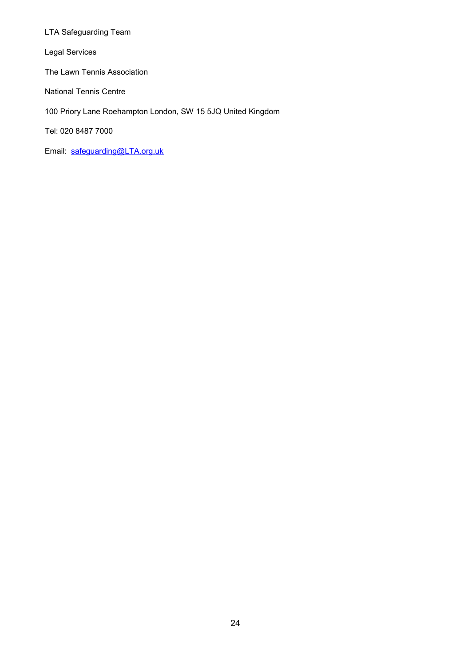LTA Safeguarding Team

Legal Services

The Lawn Tennis Association

National Tennis Centre

100 Priory Lane Roehampton London, SW 15 5JQ United Kingdom

Tel: 020 8487 7000

Email: safeguarding@LTA.org.uk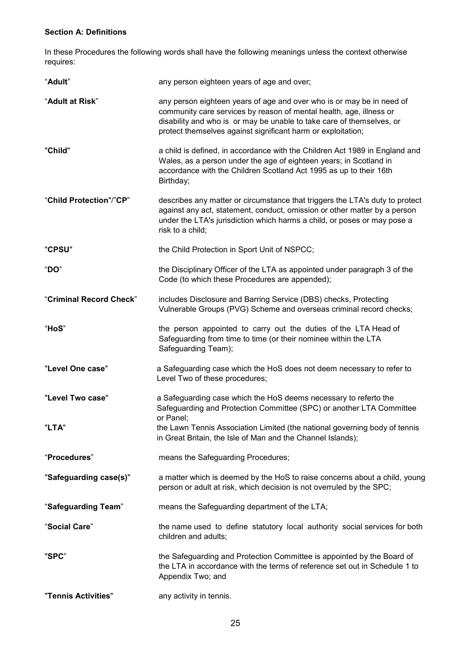# **Section A: Definitions**

In these Procedures the following words shall have the following meanings unless the context otherwise requires:

| "Adult"                   | any person eighteen years of age and over;                                                                                                                                                                                                                                                         |
|---------------------------|----------------------------------------------------------------------------------------------------------------------------------------------------------------------------------------------------------------------------------------------------------------------------------------------------|
| "Adult at Risk"           | any person eighteen years of age and over who is or may be in need of<br>community care services by reason of mental health, age, illness or<br>disability and who is or may be unable to take care of themselves, or<br>protect themselves against significant harm or exploitation;              |
| "Child"                   | a child is defined, in accordance with the Children Act 1989 in England and<br>Wales, as a person under the age of eighteen years; in Scotland in<br>accordance with the Children Scotland Act 1995 as up to their 16th<br>Birthday;                                                               |
| "Child Protection"/"CP"   | describes any matter or circumstance that triggers the LTA's duty to protect<br>against any act, statement, conduct, omission or other matter by a person<br>under the LTA's jurisdiction which harms a child, or poses or may pose a<br>risk to a child;                                          |
| "CPSU"                    | the Child Protection in Sport Unit of NSPCC;                                                                                                                                                                                                                                                       |
| "DO"                      | the Disciplinary Officer of the LTA as appointed under paragraph 3 of the<br>Code (to which these Procedures are appended);                                                                                                                                                                        |
| "Criminal Record Check"   | includes Disclosure and Barring Service (DBS) checks, Protecting<br>Vulnerable Groups (PVG) Scheme and overseas criminal record checks;                                                                                                                                                            |
| "HoS"                     | the person appointed to carry out the duties of the LTA Head of<br>Safeguarding from time to time (or their nominee within the LTA<br>Safeguarding Team);                                                                                                                                          |
| "Level One case"          | a Safeguarding case which the HoS does not deem necessary to refer to<br>Level Two of these procedures;                                                                                                                                                                                            |
| "Level Two case"<br>"LTA" | a Safeguarding case which the HoS deems necessary to referto the<br>Safeguarding and Protection Committee (SPC) or another LTA Committee<br>or Panel;<br>the Lawn Tennis Association Limited (the national governing body of tennis<br>in Great Britain, the Isle of Man and the Channel Islands); |
| "Procedures"              | means the Safeguarding Procedures;                                                                                                                                                                                                                                                                 |
|                           |                                                                                                                                                                                                                                                                                                    |
| "Safeguarding case(s)"    | a matter which is deemed by the HoS to raise concerns about a child, young<br>person or adult at risk, which decision is not overruled by the SPC;                                                                                                                                                 |
| "Safeguarding Team"       | means the Safeguarding department of the LTA;                                                                                                                                                                                                                                                      |
| "Social Care"             | the name used to define statutory local authority social services for both<br>children and adults;                                                                                                                                                                                                 |
| "SPC"                     | the Safeguarding and Protection Committee is appointed by the Board of<br>the LTA in accordance with the terms of reference set out in Schedule 1 to<br>Appendix Two; and                                                                                                                          |
| "Tennis Activities"       | any activity in tennis.                                                                                                                                                                                                                                                                            |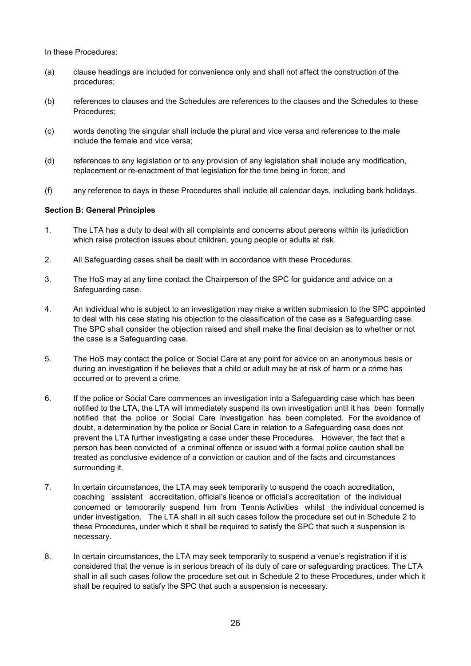In these Procedures:

- (a) clause headings are included for convenience only and shall not affect the construction of the procedures;
- (b) references to clauses and the Schedules are references to the clauses and the Schedules to these Procedures;
- (c) words denoting the singular shall include the plural and vice versa and references to the male include the female and vice versa;
- (d) references to any legislation or to any provision of any legislation shall include any modification, replacement or re-enactment of that legislation for the time being in force; and
- (f) any reference to days in these Procedures shall include all calendar days, including bank holidays.

### **Section B: General Principles**

- 1. The LTA has a duty to deal with all complaints and concerns about persons within its jurisdiction which raise protection issues about children, young people or adults at risk.
- 2. All Safeguarding cases shall be dealt with in accordance with these Procedures.
- 3. The HoS may at any time contact the Chairperson of the SPC for guidance and advice on a Safeguarding case.
- 4. An individual who is subject to an investigation may make a written submission to the SPC appointed to deal with his case stating his objection to the classification of the case as a Safeguarding case. The SPC shall consider the objection raised and shall make the final decision as to whether or not the case is a Safeguarding case.
- 5. The HoS may contact the police or Social Care at any point for advice on an anonymous basis or during an investigation if he believes that a child or adult may be at risk of harm or a crime has occurred or to prevent a crime.
- 6. If the police or Social Care commences an investigation into a Safeguarding case which has been notified to the LTA, the LTA will immediately suspend its own investigation until it has been formally notified that the police or Social Care investigation has been completed. For the avoidance of doubt, a determination by the police or Social Care in relation to a Safeguarding case does not prevent the LTA further investigating a case under these Procedures. However, the fact that a person has been convicted of a criminal offence or issued with a formal police caution shall be treated as conclusive evidence of a conviction or caution and of the facts and circumstances surrounding it.
- 7. In certain circumstances, the LTA may seek temporarily to suspend the coach accreditation, coaching assistant accreditation, official's licence or official's accreditation of the individual concerned or temporarily suspend him from Tennis Activities whilst the individual concerned is under investigation. The LTA shall in all such cases follow the procedure set out in Schedule 2 to these Procedures, under which it shall be required to satisfy the SPC that such a suspension is necessary.
- 8. In certain circumstances, the LTA may seek temporarily to suspend a venue's registration if it is considered that the venue is in serious breach of its duty of care or safeguarding practices. The LTA shall in all such cases follow the procedure set out in Schedule 2 to these Procedures, under which it shall be required to satisfy the SPC that such a suspension is necessary.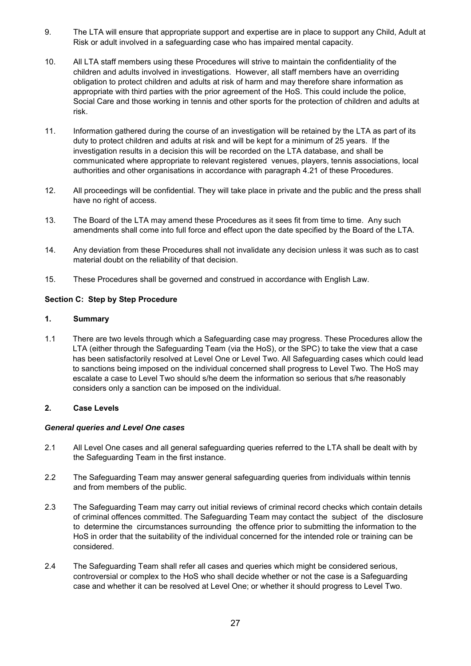- 9. The LTA will ensure that appropriate support and expertise are in place to support any Child, Adult at Risk or adult involved in a safeguarding case who has impaired mental capacity.
- 10. All LTA staff members using these Procedures will strive to maintain the confidentiality of the children and adults involved in investigations. However, all staff members have an overriding obligation to protect children and adults at risk of harm and may therefore share information as appropriate with third parties with the prior agreement of the HoS. This could include the police, Social Care and those working in tennis and other sports for the protection of children and adults at risk.
- 11. Information gathered during the course of an investigation will be retained by the LTA as part of its duty to protect children and adults at risk and will be kept for a minimum of 25 years. If the investigation results in a decision this will be recorded on the LTA database, and shall be communicated where appropriate to relevant registered venues, players, tennis associations, local authorities and other organisations in accordance with paragraph 4.21 of these Procedures.
- 12. All proceedings will be confidential. They will take place in private and the public and the press shall have no right of access.
- 13. The Board of the LTA may amend these Procedures as it sees fit from time to time. Any such amendments shall come into full force and effect upon the date specified by the Board of the LTA.
- 14. Any deviation from these Procedures shall not invalidate any decision unless it was such as to cast material doubt on the reliability of that decision.
- 15. These Procedures shall be governed and construed in accordance with English Law.

# **Section C: Step by Step Procedure**

# **1. Summary**

1.1 There are two levels through which a Safeguarding case may progress. These Procedures allow the LTA (either through the Safeguarding Team (via the HoS), or the SPC) to take the view that a case has been satisfactorily resolved at Level One or Level Two. All Safeguarding cases which could lead to sanctions being imposed on the individual concerned shall progress to Level Two. The HoS may escalate a case to Level Two should s/he deem the information so serious that s/he reasonably considers only a sanction can be imposed on the individual.

# **2. Case Levels**

# *General queries and Level One cases*

- 2.1 All Level One cases and all general safeguarding queries referred to the LTA shall be dealt with by the Safeguarding Team in the first instance.
- 2.2 The Safeguarding Team may answer general safeguarding queries from individuals within tennis and from members of the public.
- 2.3 The Safeguarding Team may carry out initial reviews of criminal record checks which contain details of criminal offences committed. The Safeguarding Team may contact the subject of the disclosure to determine the circumstances surrounding the offence prior to submitting the information to the HoS in order that the suitability of the individual concerned for the intended role or training can be considered.
- 2.4 The Safeguarding Team shall refer all cases and queries which might be considered serious, controversial or complex to the HoS who shall decide whether or not the case is a Safeguarding case and whether it can be resolved at Level One; or whether it should progress to Level Two.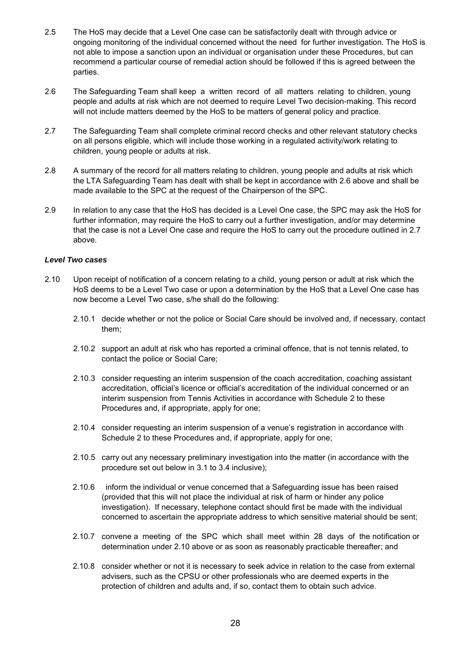- 2.5 The HoS may decide that a Level One case can be satisfactorily dealt with through advice or ongoing monitoring of the individual concerned without the need for further investigation. The HoS is not able to impose a sanction upon an individual or organisation under these Procedures, but can recommend a particular course of remedial action should be followed if this is agreed between the parties.
- 2.6 The Safeguarding Team shall keep a written record of all matters relating to children, young people and adults at risk which are not deemed to require Level Two decision-making. This record will not include matters deemed by the HoS to be matters of general policy and practice.
- 2.7 The Safeguarding Team shall complete criminal record checks and other relevant statutory checks on all persons eligible, which will include those working in a regulated activity/work relating to children, young people or adults at risk.
- 2.8 A summary of the record for all matters relating to children, young people and adults at risk which the LTA Safeguarding Team has dealt with shall be kept in accordance with 2.6 above and shall be made available to the SPC at the request of the Chairperson of the SPC.
- 2.9 In relation to any case that the HoS has decided is a Level One case, the SPC may ask the HoS for further information, may require the HoS to carry out a further investigation, and/or may determine that the case is not a Level One case and require the HoS to carry out the procedure outlined in 2.7 above.

#### *Level Two cases*

- 2.10 Upon receipt of notification of a concern relating to a child, young person or adult at risk which the HoS deems to be a Level Two case or upon a determination by the HoS that a Level One case has now become a Level Two case, s/he shall do the following:
	- 2.10.1 decide whether or not the police or Social Care should be involved and, if necessary, contact them;
	- 2.10.2 support an adult at risk who has reported a criminal offence, that is not tennis related, to contact the police or Social Care;
	- 2.10.3 consider requesting an interim suspension of the coach accreditation, coaching assistant accreditation, official's licence or official's accreditation of the individual concerned or an interim suspension from Tennis Activities in accordance with Schedule 2 to these Procedures and, if appropriate, apply for one;
	- 2.10.4 consider requesting an interim suspension of a venue's registration in accordance with Schedule 2 to these Procedures and, if appropriate, apply for one;
	- 2.10.5 carry out any necessary preliminary investigation into the matter (in accordance with the procedure set out below in 3.1 to 3.4 inclusive);
	- 2.10.6 inform the individual or venue concerned that a Safeguarding issue has been raised (provided that this will not place the individual at risk of harm or hinder any police investigation). If necessary, telephone contact should first be made with the individual concerned to ascertain the appropriate address to which sensitive material should be sent;
	- 2.10.7 convene a meeting of the SPC which shall meet within 28 days of the notification or determination under 2.10 above or as soon as reasonably practicable thereafter; and
	- 2.10.8 consider whether or not it is necessary to seek advice in relation to the case from external advisers, such as the CPSU or other professionals who are deemed experts in the protection of children and adults and, if so, contact them to obtain such advice.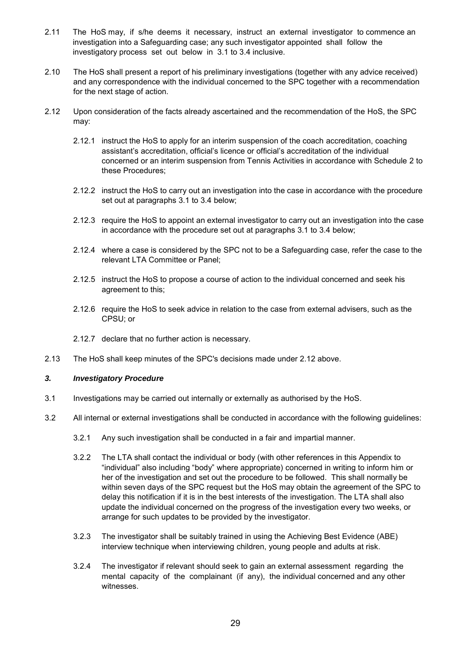- 2.11 The HoS may, if s/he deems it necessary, instruct an external investigator to commence an investigation into a Safeguarding case; any such investigator appointed shall follow the investigatory process set out below in 3.1 to 3.4 inclusive.
- 2.10 The HoS shall present a report of his preliminary investigations (together with any advice received) and any correspondence with the individual concerned to the SPC together with a recommendation for the next stage of action.
- 2.12 Upon consideration of the facts already ascertained and the recommendation of the HoS, the SPC may:
	- 2.12.1 instruct the HoS to apply for an interim suspension of the coach accreditation, coaching assistant's accreditation, official's licence or official's accreditation of the individual concerned or an interim suspension from Tennis Activities in accordance with Schedule 2 to these Procedures;
	- 2.12.2 instruct the HoS to carry out an investigation into the case in accordance with the procedure set out at paragraphs 3.1 to 3.4 below;
	- 2.12.3 require the HoS to appoint an external investigator to carry out an investigation into the case in accordance with the procedure set out at paragraphs 3.1 to 3.4 below;
	- 2.12.4 where a case is considered by the SPC not to be a Safeguarding case, refer the case to the relevant LTA Committee or Panel;
	- 2.12.5 instruct the HoS to propose a course of action to the individual concerned and seek his agreement to this;
	- 2.12.6 require the HoS to seek advice in relation to the case from external advisers, such as the CPSU; or
	- 2.12.7 declare that no further action is necessary.
- 2.13 The HoS shall keep minutes of the SPC's decisions made under 2.12 above.

### *3. Investigatory Procedure*

- 3.1 Investigations may be carried out internally or externally as authorised by the HoS.
- 3.2 All internal or external investigations shall be conducted in accordance with the following guidelines:
	- 3.2.1 Any such investigation shall be conducted in a fair and impartial manner.
	- 3.2.2 The LTA shall contact the individual or body (with other references in this Appendix to "individual" also including "body" where appropriate) concerned in writing to inform him or her of the investigation and set out the procedure to be followed. This shall normally be within seven days of the SPC request but the HoS may obtain the agreement of the SPC to delay this notification if it is in the best interests of the investigation. The LTA shall also update the individual concerned on the progress of the investigation every two weeks, or arrange for such updates to be provided by the investigator.
	- 3.2.3 The investigator shall be suitably trained in using the Achieving Best Evidence (ABE) interview technique when interviewing children, young people and adults at risk.
	- 3.2.4 The investigator if relevant should seek to gain an external assessment regarding the mental capacity of the complainant (if any), the individual concerned and any other witnesses.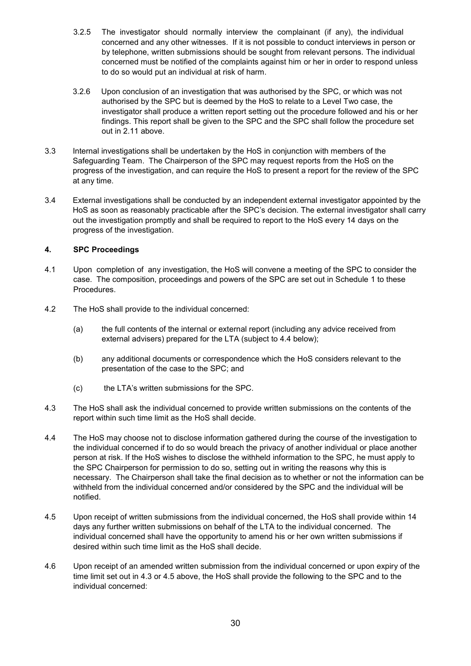- 3.2.5 The investigator should normally interview the complainant (if any), the individual concerned and any other witnesses. If it is not possible to conduct interviews in person or by telephone, written submissions should be sought from relevant persons. The individual concerned must be notified of the complaints against him or her in order to respond unless to do so would put an individual at risk of harm.
- 3.2.6 Upon conclusion of an investigation that was authorised by the SPC, or which was not authorised by the SPC but is deemed by the HoS to relate to a Level Two case, the investigator shall produce a written report setting out the procedure followed and his or her findings. This report shall be given to the SPC and the SPC shall follow the procedure set out in 2.11 above.
- 3.3 Internal investigations shall be undertaken by the HoS in conjunction with members of the Safeguarding Team. The Chairperson of the SPC may request reports from the HoS on the progress of the investigation, and can require the HoS to present a report for the review of the SPC at any time.
- 3.4 External investigations shall be conducted by an independent external investigator appointed by the HoS as soon as reasonably practicable after the SPC's decision. The external investigator shall carry out the investigation promptly and shall be required to report to the HoS every 14 days on the progress of the investigation.

# **4. SPC Proceedings**

- 4.1 Upon completion of any investigation, the HoS will convene a meeting of the SPC to consider the case. The composition, proceedings and powers of the SPC are set out in Schedule 1 to these Procedures.
- 4.2 The HoS shall provide to the individual concerned:
	- (a) the full contents of the internal or external report (including any advice received from external advisers) prepared for the LTA (subject to 4.4 below);
	- (b) any additional documents or correspondence which the HoS considers relevant to the presentation of the case to the SPC; and
	- (c) the LTA's written submissions for the SPC.
- 4.3 The HoS shall ask the individual concerned to provide written submissions on the contents of the report within such time limit as the HoS shall decide.
- 4.4 The HoS may choose not to disclose information gathered during the course of the investigation to the individual concerned if to do so would breach the privacy of another individual or place another person at risk. If the HoS wishes to disclose the withheld information to the SPC, he must apply to the SPC Chairperson for permission to do so, setting out in writing the reasons why this is necessary. The Chairperson shall take the final decision as to whether or not the information can be withheld from the individual concerned and/or considered by the SPC and the individual will be notified.
- 4.5 Upon receipt of written submissions from the individual concerned, the HoS shall provide within 14 days any further written submissions on behalf of the LTA to the individual concerned. The individual concerned shall have the opportunity to amend his or her own written submissions if desired within such time limit as the HoS shall decide.
- 4.6 Upon receipt of an amended written submission from the individual concerned or upon expiry of the time limit set out in 4.3 or 4.5 above, the HoS shall provide the following to the SPC and to the individual concerned: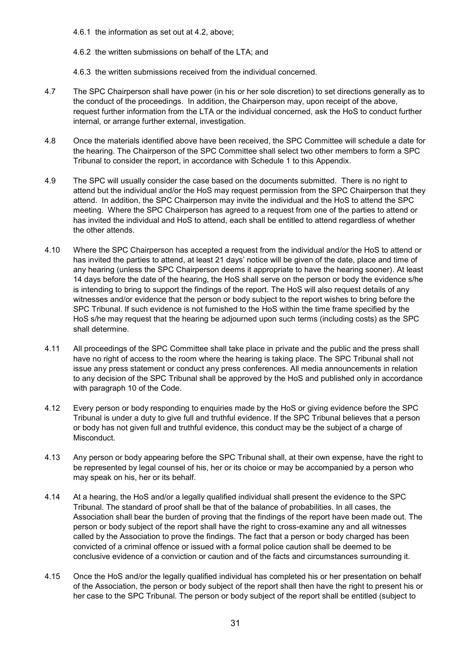- 4.6.1 the information as set out at 4.2, above;
- 4.6.2 the written submissions on behalf of the LTA; and
- 4.6.3 the written submissions received from the individual concerned.
- 4.7 The SPC Chairperson shall have power (in his or her sole discretion) to set directions generally as to the conduct of the proceedings. In addition, the Chairperson may, upon receipt of the above, request further information from the LTA or the individual concerned, ask the HoS to conduct further internal, or arrange further external, investigation.
- 4.8 Once the materials identified above have been received, the SPC Committee will schedule a date for the hearing. The Chairperson of the SPC Committee shall select two other members to form a SPC Tribunal to consider the report, in accordance with Schedule 1 to this Appendix.
- 4.9 The SPC will usually consider the case based on the documents submitted. There is no right to attend but the individual and/or the HoS may request permission from the SPC Chairperson that they attend. In addition, the SPC Chairperson may invite the individual and the HoS to attend the SPC meeting. Where the SPC Chairperson has agreed to a request from one of the parties to attend or has invited the individual and HoS to attend, each shall be entitled to attend regardless of whether the other attends.
- 4.10 Where the SPC Chairperson has accepted a request from the individual and/or the HoS to attend or has invited the parties to attend, at least 21 days' notice will be given of the date, place and time of any hearing (unless the SPC Chairperson deems it appropriate to have the hearing sooner). At least 14 days before the date of the hearing, the HoS shall serve on the person or body the evidence s/he is intending to bring to support the findings of the report. The HoS will also request details of any witnesses and/or evidence that the person or body subject to the report wishes to bring before the SPC Tribunal. If such evidence is not furnished to the HoS within the time frame specified by the HoS s/he may request that the hearing be adjourned upon such terms (including costs) as the SPC shall determine.
- 4.11 All proceedings of the SPC Committee shall take place in private and the public and the press shall have no right of access to the room where the hearing is taking place. The SPC Tribunal shall not issue any press statement or conduct any press conferences. All media announcements in relation to any decision of the SPC Tribunal shall be approved by the HoS and published only in accordance with paragraph 10 of the Code.
- 4.12 Every person or body responding to enquiries made by the HoS or giving evidence before the SPC Tribunal is under a duty to give full and truthful evidence. If the SPC Tribunal believes that a person or body has not given full and truthful evidence, this conduct may be the subject of a charge of Misconduct.
- 4.13 Any person or body appearing before the SPC Tribunal shall, at their own expense, have the right to be represented by legal counsel of his, her or its choice or may be accompanied by a person who may speak on his, her or its behalf.
- 4.14 At a hearing, the HoS and/or a legally qualified individual shall present the evidence to the SPC Tribunal. The standard of proof shall be that of the balance of probabilities. In all cases, the Association shall bear the burden of proving that the findings of the report have been made out. The person or body subject of the report shall have the right to cross-examine any and all witnesses called by the Association to prove the findings. The fact that a person or body charged has been convicted of a criminal offence or issued with a formal police caution shall be deemed to be conclusive evidence of a conviction or caution and of the facts and circumstances surrounding it.
- 4.15 Once the HoS and/or the legally qualified individual has completed his or her presentation on behalf of the Association, the person or body subject of the report shall then have the right to present his or her case to the SPC Tribunal. The person or body subject of the report shall be entitled (subject to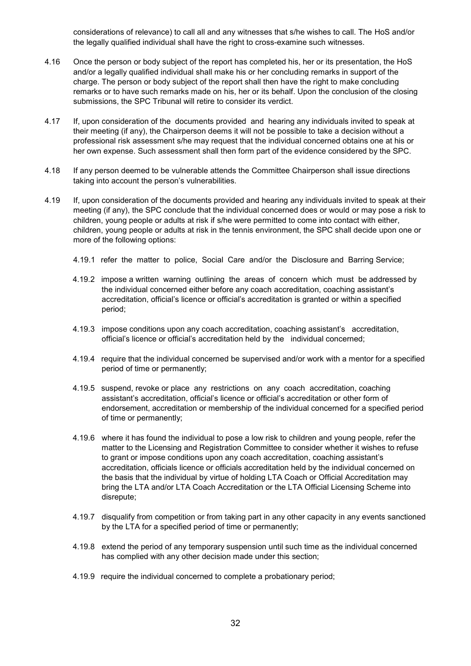considerations of relevance) to call all and any witnesses that s/he wishes to call. The HoS and/or the legally qualified individual shall have the right to cross-examine such witnesses.

- 4.16 Once the person or body subject of the report has completed his, her or its presentation, the HoS and/or a legally qualified individual shall make his or her concluding remarks in support of the charge. The person or body subject of the report shall then have the right to make concluding remarks or to have such remarks made on his, her or its behalf. Upon the conclusion of the closing submissions, the SPC Tribunal will retire to consider its verdict.
- 4.17 If, upon consideration of the documents provided and hearing any individuals invited to speak at their meeting (if any), the Chairperson deems it will not be possible to take a decision without a professional risk assessment s/he may request that the individual concerned obtains one at his or her own expense. Such assessment shall then form part of the evidence considered by the SPC.
- 4.18 If any person deemed to be vulnerable attends the Committee Chairperson shall issue directions taking into account the person's vulnerabilities.
- 4.19 If, upon consideration of the documents provided and hearing any individuals invited to speak at their meeting (if any), the SPC conclude that the individual concerned does or would or may pose a risk to children, young people or adults at risk if s/he were permitted to come into contact with either, children, young people or adults at risk in the tennis environment, the SPC shall decide upon one or more of the following options:
	- 4.19.1 refer the matter to police, Social Care and/or the Disclosure and Barring Service;
	- 4.19.2 impose a written warning outlining the areas of concern which must be addressed by the individual concerned either before any coach accreditation, coaching assistant's accreditation, official's licence or official's accreditation is granted or within a specified period;
	- 4.19.3 impose conditions upon any coach accreditation, coaching assistant's accreditation, official's licence or official's accreditation held by the individual concerned;
	- 4.19.4 require that the individual concerned be supervised and/or work with a mentor for a specified period of time or permanently;
	- 4.19.5 suspend, revoke or place any restrictions on any coach accreditation, coaching assistant's accreditation, official's licence or official's accreditation or other form of endorsement, accreditation or membership of the individual concerned for a specified period of time or permanently;
	- 4.19.6 where it has found the individual to pose a low risk to children and young people, refer the matter to the Licensing and Registration Committee to consider whether it wishes to refuse to grant or impose conditions upon any coach accreditation, coaching assistant's accreditation, officials licence or officials accreditation held by the individual concerned on the basis that the individual by virtue of holding LTA Coach or Official Accreditation may bring the LTA and/or LTA Coach Accreditation or the LTA Official Licensing Scheme into disrepute;
	- 4.19.7 disqualify from competition or from taking part in any other capacity in any events sanctioned by the LTA for a specified period of time or permanently;
	- 4.19.8 extend the period of any temporary suspension until such time as the individual concerned has complied with any other decision made under this section;
	- 4.19.9 require the individual concerned to complete a probationary period;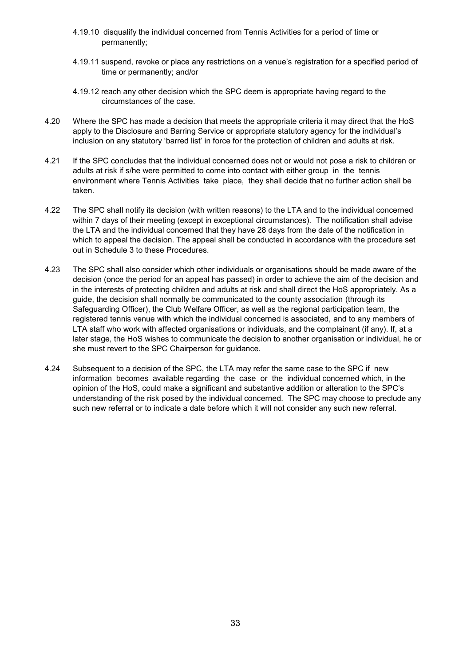- 4.19.10 disqualify the individual concerned from Tennis Activities for a period of time or permanently;
- 4.19.11 suspend, revoke or place any restrictions on a venue's registration for a specified period of time or permanently; and/or
- 4.19.12 reach any other decision which the SPC deem is appropriate having regard to the circumstances of the case.
- 4.20 Where the SPC has made a decision that meets the appropriate criteria it may direct that the HoS apply to the Disclosure and Barring Service or appropriate statutory agency for the individual's inclusion on any statutory 'barred list' in force for the protection of children and adults at risk.
- 4.21 If the SPC concludes that the individual concerned does not or would not pose a risk to children or adults at risk if s/he were permitted to come into contact with either group in the tennis environment where Tennis Activities take place, they shall decide that no further action shall be taken.
- 4.22 The SPC shall notify its decision (with written reasons) to the LTA and to the individual concerned within 7 days of their meeting (except in exceptional circumstances). The notification shall advise the LTA and the individual concerned that they have 28 days from the date of the notification in which to appeal the decision. The appeal shall be conducted in accordance with the procedure set out in Schedule 3 to these Procedures.
- 4.23 The SPC shall also consider which other individuals or organisations should be made aware of the decision (once the period for an appeal has passed) in order to achieve the aim of the decision and in the interests of protecting children and adults at risk and shall direct the HoS appropriately. As a guide, the decision shall normally be communicated to the county association (through its Safeguarding Officer), the Club Welfare Officer, as well as the regional participation team, the registered tennis venue with which the individual concerned is associated, and to any members of LTA staff who work with affected organisations or individuals, and the complainant (if any). If, at a later stage, the HoS wishes to communicate the decision to another organisation or individual, he or she must revert to the SPC Chairperson for guidance.
- 4.24 Subsequent to a decision of the SPC, the LTA may refer the same case to the SPC if new information becomes available regarding the case or the individual concerned which, in the opinion of the HoS, could make a significant and substantive addition or alteration to the SPC's understanding of the risk posed by the individual concerned. The SPC may choose to preclude any such new referral or to indicate a date before which it will not consider any such new referral.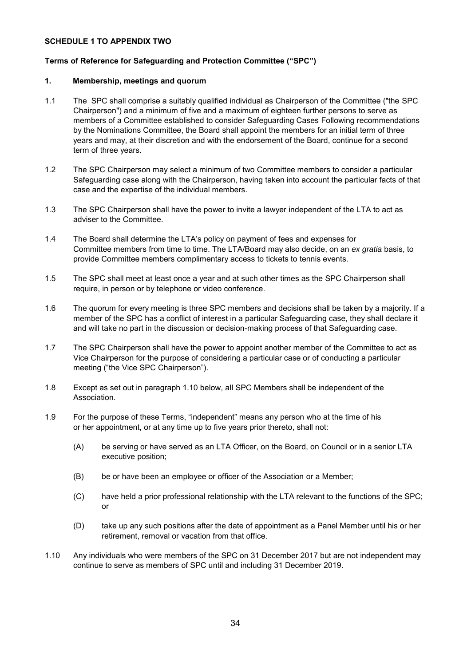### **SCHEDULE 1 TO APPENDIX TWO**

# **Terms of Reference for Safeguarding and Protection Committee ("SPC")**

### **1. Membership, meetings and quorum**

- 1.1 The SPC shall comprise a suitably qualified individual as Chairperson of the Committee ("the SPC Chairperson") and a minimum of five and a maximum of eighteen further persons to serve as members of a Committee established to consider Safeguarding Cases Following recommendations by the Nominations Committee, the Board shall appoint the members for an initial term of three years and may, at their discretion and with the endorsement of the Board, continue for a second term of three years.
- 1.2 The SPC Chairperson may select a minimum of two Committee members to consider a particular Safeguarding case along with the Chairperson, having taken into account the particular facts of that case and the expertise of the individual members.
- 1.3 The SPC Chairperson shall have the power to invite a lawyer independent of the LTA to act as adviser to the Committee.
- 1.4 The Board shall determine the LTA's policy on payment of fees and expenses for Committee members from time to time. The LTA/Board may also decide, on an *ex gratia* basis, to provide Committee members complimentary access to tickets to tennis events.
- 1.5 The SPC shall meet at least once a year and at such other times as the SPC Chairperson shall require, in person or by telephone or video conference.
- 1.6 The quorum for every meeting is three SPC members and decisions shall be taken by a majority. If a member of the SPC has a conflict of interest in a particular Safeguarding case, they shall declare it and will take no part in the discussion or decision-making process of that Safeguarding case.
- 1.7 The SPC Chairperson shall have the power to appoint another member of the Committee to act as Vice Chairperson for the purpose of considering a particular case or of conducting a particular meeting ("the Vice SPC Chairperson").
- 1.8 Except as set out in paragraph 1.10 below, all SPC Members shall be independent of the Association.
- 1.9 For the purpose of these Terms, "independent" means any person who at the time of his or her appointment, or at any time up to five years prior thereto, shall not:
	- (A) be serving or have served as an LTA Officer, on the Board, on Council or in a senior LTA executive position;
	- (B) be or have been an employee or officer of the Association or a Member;
	- (C) have held a prior professional relationship with the LTA relevant to the functions of the SPC; or
	- (D) take up any such positions after the date of appointment as a Panel Member until his or her retirement, removal or vacation from that office.
- 1.10 Any individuals who were members of the SPC on 31 December 2017 but are not independent may continue to serve as members of SPC until and including 31 December 2019.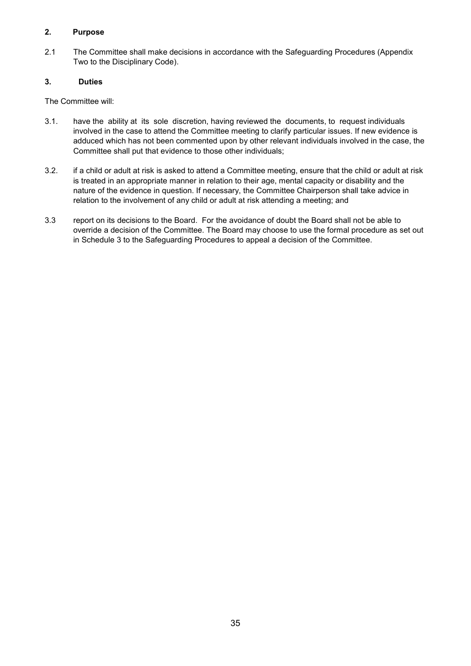# **2. Purpose**

2.1 The Committee shall make decisions in accordance with the Safeguarding Procedures (Appendix Two to the Disciplinary Code).

# **3. Duties**

The Committee will:

- 3.1. have the ability at its sole discretion, having reviewed the documents, to request individuals involved in the case to attend the Committee meeting to clarify particular issues. If new evidence is adduced which has not been commented upon by other relevant individuals involved in the case, the Committee shall put that evidence to those other individuals;
- 3.2. if a child or adult at risk is asked to attend a Committee meeting, ensure that the child or adult at risk is treated in an appropriate manner in relation to their age, mental capacity or disability and the nature of the evidence in question. If necessary, the Committee Chairperson shall take advice in relation to the involvement of any child or adult at risk attending a meeting; and
- 3.3 report on its decisions to the Board. For the avoidance of doubt the Board shall not be able to override a decision of the Committee. The Board may choose to use the formal procedure as set out in Schedule 3 to the Safeguarding Procedures to appeal a decision of the Committee.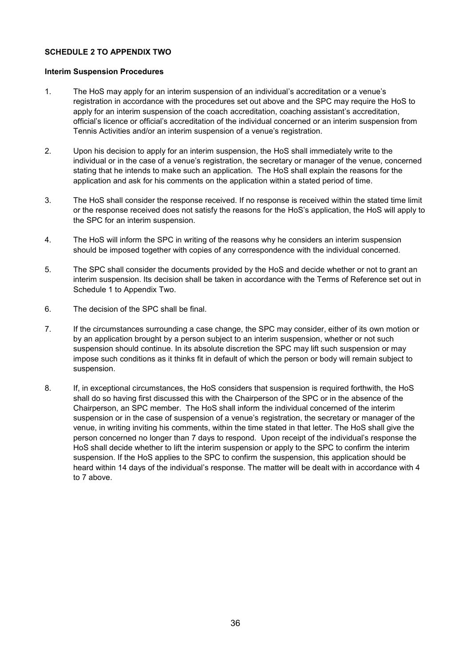# **SCHEDULE 2 TO APPENDIX TWO**

#### **Interim Suspension Procedures**

- 1. The HoS may apply for an interim suspension of an individual's accreditation or a venue's registration in accordance with the procedures set out above and the SPC may require the HoS to apply for an interim suspension of the coach accreditation, coaching assistant's accreditation, official's licence or official's accreditation of the individual concerned or an interim suspension from Tennis Activities and/or an interim suspension of a venue's registration.
- 2. Upon his decision to apply for an interim suspension, the HoS shall immediately write to the individual or in the case of a venue's registration, the secretary or manager of the venue, concerned stating that he intends to make such an application. The HoS shall explain the reasons for the application and ask for his comments on the application within a stated period of time.
- 3. The HoS shall consider the response received. If no response is received within the stated time limit or the response received does not satisfy the reasons for the HoS's application, the HoS will apply to the SPC for an interim suspension.
- 4. The HoS will inform the SPC in writing of the reasons why he considers an interim suspension should be imposed together with copies of any correspondence with the individual concerned.
- 5. The SPC shall consider the documents provided by the HoS and decide whether or not to grant an interim suspension. Its decision shall be taken in accordance with the Terms of Reference set out in Schedule 1 to Appendix Two.
- 6. The decision of the SPC shall be final.
- 7. If the circumstances surrounding a case change, the SPC may consider, either of its own motion or by an application brought by a person subject to an interim suspension, whether or not such suspension should continue. In its absolute discretion the SPC may lift such suspension or may impose such conditions as it thinks fit in default of which the person or body will remain subject to suspension.
- 8. If, in exceptional circumstances, the HoS considers that suspension is required forthwith, the HoS shall do so having first discussed this with the Chairperson of the SPC or in the absence of the Chairperson, an SPC member. The HoS shall inform the individual concerned of the interim suspension or in the case of suspension of a venue's registration, the secretary or manager of the venue, in writing inviting his comments, within the time stated in that letter. The HoS shall give the person concerned no longer than 7 days to respond. Upon receipt of the individual's response the HoS shall decide whether to lift the interim suspension or apply to the SPC to confirm the interim suspension. If the HoS applies to the SPC to confirm the suspension, this application should be heard within 14 days of the individual's response. The matter will be dealt with in accordance with 4 to 7 above.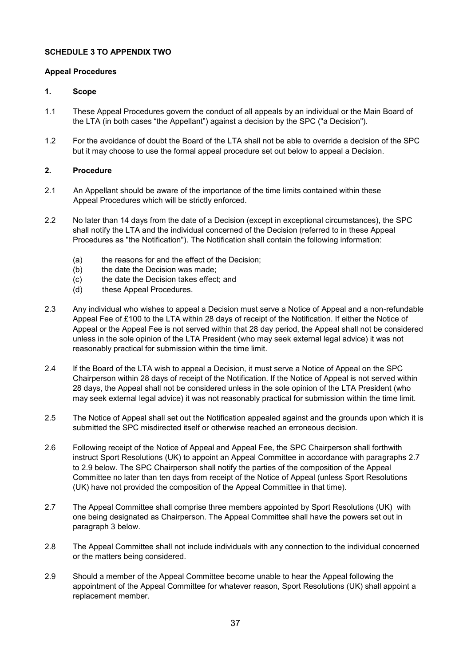# **SCHEDULE 3 TO APPENDIX TWO**

# **Appeal Procedures**

# **1. Scope**

- 1.1 These Appeal Procedures govern the conduct of all appeals by an individual or the Main Board of the LTA (in both cases "the Appellant") against a decision by the SPC ("a Decision").
- 1.2 For the avoidance of doubt the Board of the LTA shall not be able to override a decision of the SPC but it may choose to use the formal appeal procedure set out below to appeal a Decision.

# **2. Procedure**

- 2.1 An Appellant should be aware of the importance of the time limits contained within these Appeal Procedures which will be strictly enforced.
- 2.2 No later than 14 days from the date of a Decision (except in exceptional circumstances), the SPC shall notify the LTA and the individual concerned of the Decision (referred to in these Appeal Procedures as "the Notification"). The Notification shall contain the following information:
	- (a) the reasons for and the effect of the Decision;
	- (b) the date the Decision was made;
	- (c) the date the Decision takes effect; and
	- (d) these Appeal Procedures.
- 2.3 Any individual who wishes to appeal a Decision must serve a Notice of Appeal and a non-refundable Appeal Fee of £100 to the LTA within 28 days of receipt of the Notification. If either the Notice of Appeal or the Appeal Fee is not served within that 28 day period, the Appeal shall not be considered unless in the sole opinion of the LTA President (who may seek external legal advice) it was not reasonably practical for submission within the time limit.
- 2.4 If the Board of the LTA wish to appeal a Decision, it must serve a Notice of Appeal on the SPC Chairperson within 28 days of receipt of the Notification. If the Notice of Appeal is not served within 28 days, the Appeal shall not be considered unless in the sole opinion of the LTA President (who may seek external legal advice) it was not reasonably practical for submission within the time limit.
- 2.5 The Notice of Appeal shall set out the Notification appealed against and the grounds upon which it is submitted the SPC misdirected itself or otherwise reached an erroneous decision.
- 2.6 Following receipt of the Notice of Appeal and Appeal Fee, the SPC Chairperson shall forthwith instruct Sport Resolutions (UK) to appoint an Appeal Committee in accordance with paragraphs 2.7 to 2.9 below. The SPC Chairperson shall notify the parties of the composition of the Appeal Committee no later than ten days from receipt of the Notice of Appeal (unless Sport Resolutions (UK) have not provided the composition of the Appeal Committee in that time).
- 2.7 The Appeal Committee shall comprise three members appointed by Sport Resolutions (UK) with one being designated as Chairperson. The Appeal Committee shall have the powers set out in paragraph 3 below.
- 2.8 The Appeal Committee shall not include individuals with any connection to the individual concerned or the matters being considered.
- 2.9 Should a member of the Appeal Committee become unable to hear the Appeal following the appointment of the Appeal Committee for whatever reason, Sport Resolutions (UK) shall appoint a replacement member.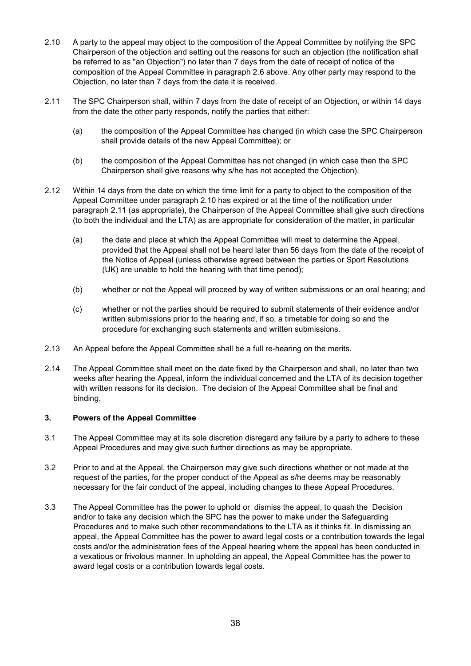- 2.10 A party to the appeal may object to the composition of the Appeal Committee by notifying the SPC Chairperson of the objection and setting out the reasons for such an objection (the notification shall be referred to as "an Objection") no later than 7 days from the date of receipt of notice of the composition of the Appeal Committee in paragraph 2.6 above. Any other party may respond to the Objection, no later than 7 days from the date it is received.
- 2.11 The SPC Chairperson shall, within 7 days from the date of receipt of an Objection, or within 14 days from the date the other party responds, notify the parties that either:
	- (a) the composition of the Appeal Committee has changed (in which case the SPC Chairperson shall provide details of the new Appeal Committee); or
	- (b) the composition of the Appeal Committee has not changed (in which case then the SPC Chairperson shall give reasons why s/he has not accepted the Objection).
- 2.12 Within 14 days from the date on which the time limit for a party to object to the composition of the Appeal Committee under paragraph 2.10 has expired or at the time of the notification under paragraph 2.11 (as appropriate), the Chairperson of the Appeal Committee shall give such directions (to both the individual and the LTA) as are appropriate for consideration of the matter, in particular
	- (a) the date and place at which the Appeal Committee will meet to determine the Appeal, provided that the Appeal shall not be heard later than 56 days from the date of the receipt of the Notice of Appeal (unless otherwise agreed between the parties or Sport Resolutions (UK) are unable to hold the hearing with that time period);
	- (b) whether or not the Appeal will proceed by way of written submissions or an oral hearing; and
	- (c) whether or not the parties should be required to submit statements of their evidence and/or written submissions prior to the hearing and, if so, a timetable for doing so and the procedure for exchanging such statements and written submissions.
- 2.13 An Appeal before the Appeal Committee shall be a full re-hearing on the merits.
- 2.14 The Appeal Committee shall meet on the date fixed by the Chairperson and shall, no later than two weeks after hearing the Appeal, inform the individual concerned and the LTA of its decision together with written reasons for its decision. The decision of the Appeal Committee shall be final and binding.

## **3. Powers of the Appeal Committee**

- 3.1 The Appeal Committee may at its sole discretion disregard any failure by a party to adhere to these Appeal Procedures and may give such further directions as may be appropriate.
- 3.2 Prior to and at the Appeal, the Chairperson may give such directions whether or not made at the request of the parties, for the proper conduct of the Appeal as s/he deems may be reasonably necessary for the fair conduct of the appeal, including changes to these Appeal Procedures.
- 3.3 The Appeal Committee has the power to uphold or dismiss the appeal, to quash the Decision and/or to take any decision which the SPC has the power to make under the Safeguarding Procedures and to make such other recommendations to the LTA as it thinks fit. In dismissing an appeal, the Appeal Committee has the power to award legal costs or a contribution towards the legal costs and/or the administration fees of the Appeal hearing where the appeal has been conducted in a vexatious or frivolous manner. In upholding an appeal, the Appeal Committee has the power to award legal costs or a contribution towards legal costs.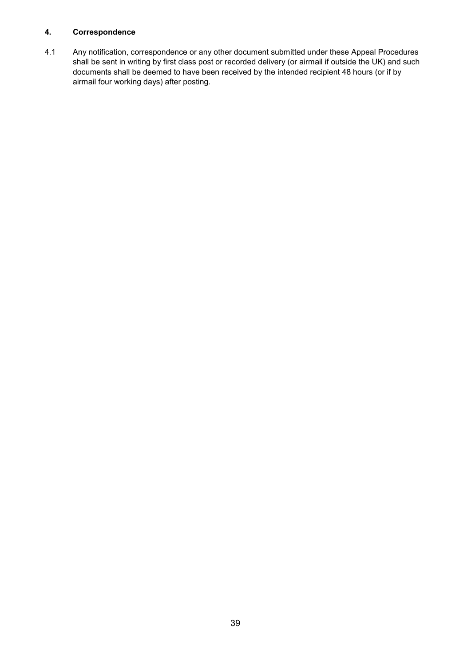# **4. Correspondence**

4.1 Any notification, correspondence or any other document submitted under these Appeal Procedures shall be sent in writing by first class post or recorded delivery (or airmail if outside the UK) and such documents shall be deemed to have been received by the intended recipient 48 hours (or if by airmail four working days) after posting.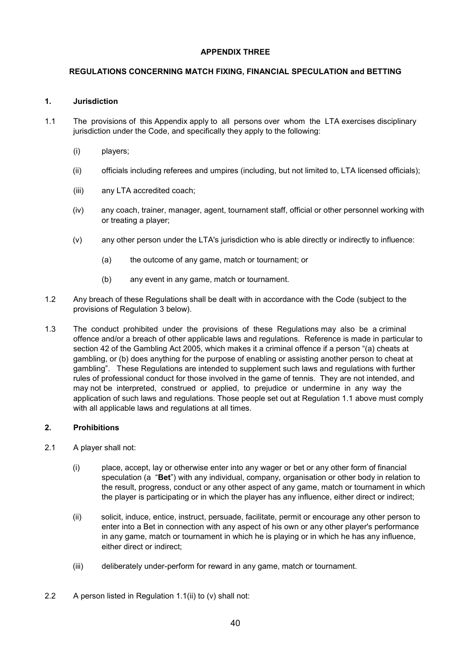# **APPENDIX THREE**

# **REGULATIONS CONCERNING MATCH FIXING, FINANCIAL SPECULATION and BETTING**

# **1. Jurisdiction**

- 1.1 The provisions of this Appendix apply to all persons over whom the LTA exercises disciplinary jurisdiction under the Code, and specifically they apply to the following:
	- (i) players;
	- (ii) officials including referees and umpires (including, but not limited to, LTA licensed officials);
	- (iii) any LTA accredited coach;
	- (iv) any coach, trainer, manager, agent, tournament staff, official or other personnel working with or treating a player;
	- (v) any other person under the LTA's jurisdiction who is able directly or indirectly to influence:
		- (a) the outcome of any game, match or tournament; or
		- (b) any event in any game, match or tournament.
- 1.2 Any breach of these Regulations shall be dealt with in accordance with the Code (subject to the provisions of Regulation 3 below).
- 1.3 The conduct prohibited under the provisions of these Regulations may also be a criminal offence and/or a breach of other applicable laws and regulations. Reference is made in particular to section 42 of the Gambling Act 2005, which makes it a criminal offence if a person "(a) cheats at gambling, or (b) does anything for the purpose of enabling or assisting another person to cheat at gambling". These Regulations are intended to supplement such laws and regulations with further rules of professional conduct for those involved in the game of tennis. They are not intended, and may not be interpreted, construed or applied, to prejudice or undermine in any way the application of such laws and regulations. Those people set out at Regulation 1.1 above must comply with all applicable laws and regulations at all times.

# **2. Prohibitions**

- 2.1 A player shall not:
	- (i) place, accept, lay or otherwise enter into any wager or bet or any other form of financial speculation (a "**Bet**") with any individual, company, organisation or other body in relation to the result, progress, conduct or any other aspect of any game, match or tournament in which the player is participating or in which the player has any influence, either direct or indirect;
	- (ii) solicit, induce, entice, instruct, persuade, facilitate, permit or encourage any other person to enter into a Bet in connection with any aspect of his own or any other player's performance in any game, match or tournament in which he is playing or in which he has any influence, either direct or indirect;
	- (iii) deliberately under-perform for reward in any game, match or tournament.
- 2.2 A person listed in Regulation 1.1(ii) to (v) shall not: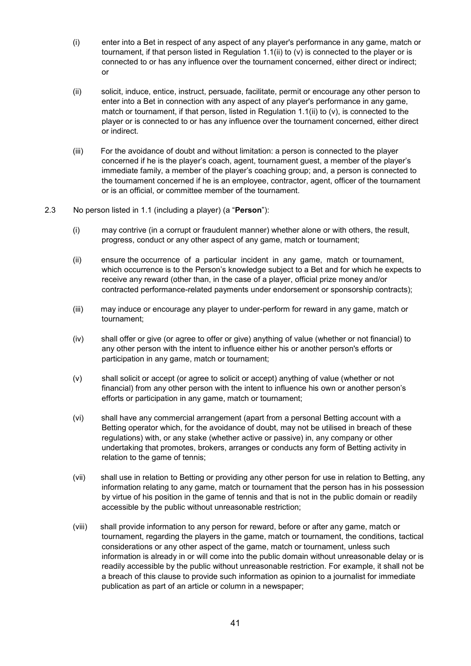- (i) enter into a Bet in respect of any aspect of any player's performance in any game, match or tournament, if that person listed in Regulation 1.1(ii) to (v) is connected to the player or is connected to or has any influence over the tournament concerned, either direct or indirect; or
- (ii) solicit, induce, entice, instruct, persuade, facilitate, permit or encourage any other person to enter into a Bet in connection with any aspect of any player's performance in any game, match or tournament, if that person, listed in Regulation 1.1(ii) to (v), is connected to the player or is connected to or has any influence over the tournament concerned, either direct or indirect.
- (iii) For the avoidance of doubt and without limitation: a person is connected to the player concerned if he is the player's coach, agent, tournament guest, a member of the player's immediate family, a member of the player's coaching group; and, a person is connected to the tournament concerned if he is an employee, contractor, agent, officer of the tournament or is an official, or committee member of the tournament.

### 2.3 No person listed in 1.1 (including a player) (a "**Person**"):

- (i) may contrive (in a corrupt or fraudulent manner) whether alone or with others, the result, progress, conduct or any other aspect of any game, match or tournament;
- (ii) ensure the occurrence of a particular incident in any game, match or tournament, which occurrence is to the Person's knowledge subject to a Bet and for which he expects to receive any reward (other than, in the case of a player, official prize money and/or contracted performance-related payments under endorsement or sponsorship contracts);
- (iii) may induce or encourage any player to under-perform for reward in any game, match or tournament;
- (iv) shall offer or give (or agree to offer or give) anything of value (whether or not financial) to any other person with the intent to influence either his or another person's efforts or participation in any game, match or tournament;
- (v) shall solicit or accept (or agree to solicit or accept) anything of value (whether or not financial) from any other person with the intent to influence his own or another person's efforts or participation in any game, match or tournament;
- (vi) shall have any commercial arrangement (apart from a personal Betting account with a Betting operator which, for the avoidance of doubt, may not be utilised in breach of these regulations) with, or any stake (whether active or passive) in, any company or other undertaking that promotes, brokers, arranges or conducts any form of Betting activity in relation to the game of tennis;
- (vii) shall use in relation to Betting or providing any other person for use in relation to Betting, any information relating to any game, match or tournament that the person has in his possession by virtue of his position in the game of tennis and that is not in the public domain or readily accessible by the public without unreasonable restriction;
- (viii) shall provide information to any person for reward, before or after any game, match or tournament, regarding the players in the game, match or tournament, the conditions, tactical considerations or any other aspect of the game, match or tournament, unless such information is already in or will come into the public domain without unreasonable delay or is readily accessible by the public without unreasonable restriction. For example, it shall not be a breach of this clause to provide such information as opinion to a journalist for immediate publication as part of an article or column in a newspaper;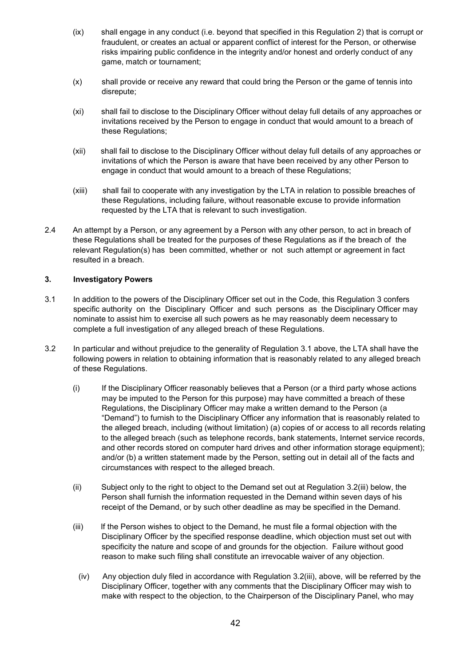- (ix) shall engage in any conduct (i.e. beyond that specified in this Regulation 2) that is corrupt or fraudulent, or creates an actual or apparent conflict of interest for the Person, or otherwise risks impairing public confidence in the integrity and/or honest and orderly conduct of any game, match or tournament;
- (x) shall provide or receive any reward that could bring the Person or the game of tennis into disrepute;
- (xi) shall fail to disclose to the Disciplinary Officer without delay full details of any approaches or invitations received by the Person to engage in conduct that would amount to a breach of these Regulations;
- (xii) shall fail to disclose to the Disciplinary Officer without delay full details of any approaches or invitations of which the Person is aware that have been received by any other Person to engage in conduct that would amount to a breach of these Regulations;
- (xiii) shall fail to cooperate with any investigation by the LTA in relation to possible breaches of these Regulations, including failure, without reasonable excuse to provide information requested by the LTA that is relevant to such investigation.
- 2.4 An attempt by a Person, or any agreement by a Person with any other person, to act in breach of these Regulations shall be treated for the purposes of these Regulations as if the breach of the relevant Regulation(s) has been committed, whether or not such attempt or agreement in fact resulted in a breach.

## **3. Investigatory Powers**

- 3.1 In addition to the powers of the Disciplinary Officer set out in the Code, this Regulation 3 confers specific authority on the Disciplinary Officer and such persons as the Disciplinary Officer may nominate to assist him to exercise all such powers as he may reasonably deem necessary to complete a full investigation of any alleged breach of these Regulations.
- 3.2 In particular and without prejudice to the generality of Regulation 3.1 above, the LTA shall have the following powers in relation to obtaining information that is reasonably related to any alleged breach of these Regulations.
	- (i) If the Disciplinary Officer reasonably believes that a Person (or a third party whose actions may be imputed to the Person for this purpose) may have committed a breach of these Regulations, the Disciplinary Officer may make a written demand to the Person (a "Demand") to furnish to the Disciplinary Officer any information that is reasonably related to the alleged breach, including (without limitation) (a) copies of or access to all records relating to the alleged breach (such as telephone records, bank statements, Internet service records, and other records stored on computer hard drives and other information storage equipment); and/or (b) a written statement made by the Person, setting out in detail all of the facts and circumstances with respect to the alleged breach.
	- (ii) Subject only to the right to object to the Demand set out at Regulation 3.2(iii) below, the Person shall furnish the information requested in the Demand within seven days of his receipt of the Demand, or by such other deadline as may be specified in the Demand.
	- (iii) If the Person wishes to object to the Demand, he must file a formal objection with the Disciplinary Officer by the specified response deadline, which objection must set out with specificity the nature and scope of and grounds for the objection. Failure without good reason to make such filing shall constitute an irrevocable waiver of any objection.
		- (iv) Any objection duly filed in accordance with Regulation 3.2(iii), above, will be referred by the Disciplinary Officer, together with any comments that the Disciplinary Officer may wish to make with respect to the objection, to the Chairperson of the Disciplinary Panel, who may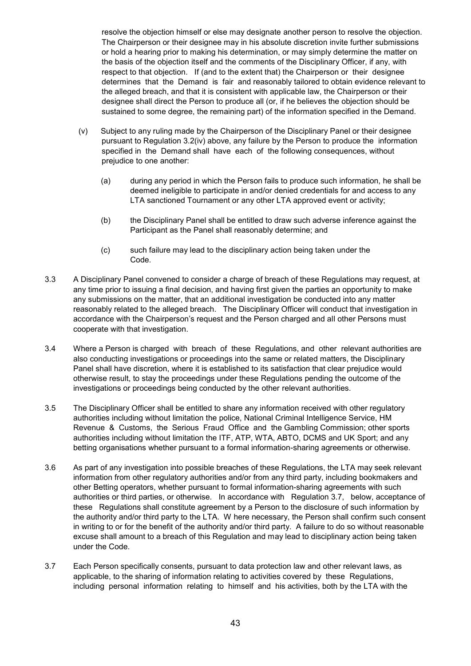resolve the objection himself or else may designate another person to resolve the objection. The Chairperson or their designee may in his absolute discretion invite further submissions or hold a hearing prior to making his determination, or may simply determine the matter on the basis of the objection itself and the comments of the Disciplinary Officer, if any, with respect to that objection. If (and to the extent that) the Chairperson or their designee determines that the Demand is fair and reasonably tailored to obtain evidence relevant to the alleged breach, and that it is consistent with applicable law, the Chairperson or their designee shall direct the Person to produce all (or, if he believes the objection should be sustained to some degree, the remaining part) of the information specified in the Demand.

- (v) Subject to any ruling made by the Chairperson of the Disciplinary Panel or their designee pursuant to Regulation 3.2(iv) above, any failure by the Person to produce the information specified in the Demand shall have each of the following consequences, without prejudice to one another:
	- (a) during any period in which the Person fails to produce such information, he shall be deemed ineligible to participate in and/or denied credentials for and access to any LTA sanctioned Tournament or any other LTA approved event or activity;
	- (b) the Disciplinary Panel shall be entitled to draw such adverse inference against the Participant as the Panel shall reasonably determine; and
	- (c) such failure may lead to the disciplinary action being taken under the Code.
- 3.3 A Disciplinary Panel convened to consider a charge of breach of these Regulations may request, at any time prior to issuing a final decision, and having first given the parties an opportunity to make any submissions on the matter, that an additional investigation be conducted into any matter reasonably related to the alleged breach. The Disciplinary Officer will conduct that investigation in accordance with the Chairperson's request and the Person charged and all other Persons must cooperate with that investigation.
- 3.4 Where a Person is charged with breach of these Regulations, and other relevant authorities are also conducting investigations or proceedings into the same or related matters, the Disciplinary Panel shall have discretion, where it is established to its satisfaction that clear prejudice would otherwise result, to stay the proceedings under these Regulations pending the outcome of the investigations or proceedings being conducted by the other relevant authorities.
- 3.5 The Disciplinary Officer shall be entitled to share any information received with other regulatory authorities including without limitation the police, National Criminal Intelligence Service, HM Revenue & Customs, the Serious Fraud Office and the Gambling Commission; other sports authorities including without limitation the ITF, ATP, WTA, ABTO, DCMS and UK Sport; and any betting organisations whether pursuant to a formal information-sharing agreements or otherwise.
- 3.6 As part of any investigation into possible breaches of these Regulations, the LTA may seek relevant information from other regulatory authorities and/or from any third party, including bookmakers and other Betting operators, whether pursuant to formal information-sharing agreements with such authorities or third parties, or otherwise. In accordance with Regulation 3.7, below, acceptance of these Regulations shall constitute agreement by a Person to the disclosure of such information by the authority and/or third party to the LTA. W here necessary, the Person shall confirm such consent in writing to or for the benefit of the authority and/or third party. A failure to do so without reasonable excuse shall amount to a breach of this Regulation and may lead to disciplinary action being taken under the Code.
- 3.7 Each Person specifically consents, pursuant to data protection law and other relevant laws, as applicable, to the sharing of information relating to activities covered by these Regulations, including personal information relating to himself and his activities, both by the LTA with the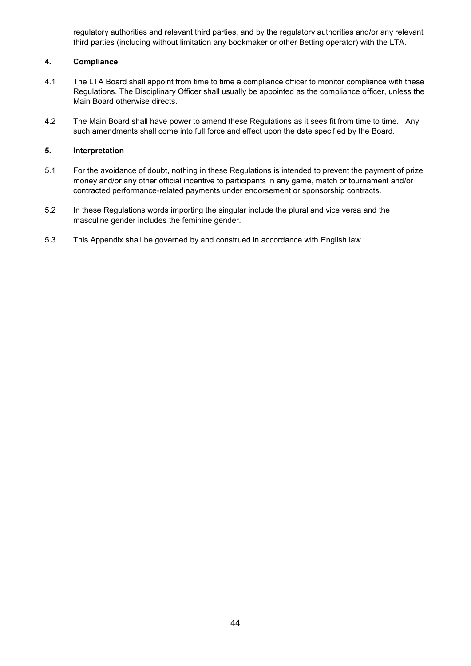regulatory authorities and relevant third parties, and by the regulatory authorities and/or any relevant third parties (including without limitation any bookmaker or other Betting operator) with the LTA.

# **4. Compliance**

- 4.1 The LTA Board shall appoint from time to time a compliance officer to monitor compliance with these Regulations. The Disciplinary Officer shall usually be appointed as the compliance officer, unless the Main Board otherwise directs.
- 4.2 The Main Board shall have power to amend these Regulations as it sees fit from time to time. Any such amendments shall come into full force and effect upon the date specified by the Board.

# **5. Interpretation**

- 5.1 For the avoidance of doubt, nothing in these Regulations is intended to prevent the payment of prize money and/or any other official incentive to participants in any game, match or tournament and/or contracted performance-related payments under endorsement or sponsorship contracts.
- 5.2 In these Regulations words importing the singular include the plural and vice versa and the masculine gender includes the feminine gender.
- 5.3 This Appendix shall be governed by and construed in accordance with English law.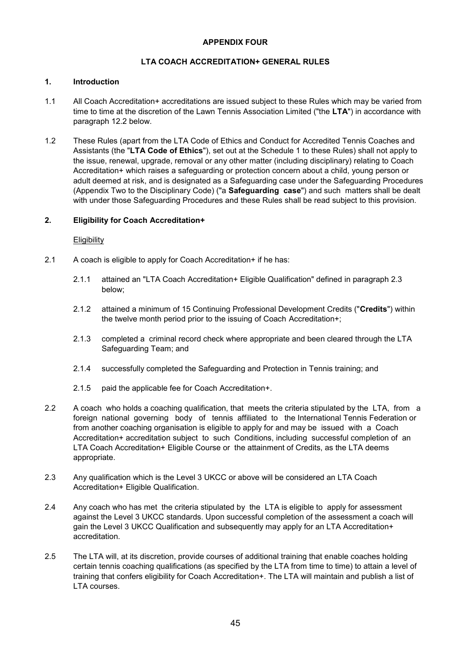## **APPENDIX FOUR**

# **LTA COACH ACCREDITATION+ GENERAL RULES**

#### **1. Introduction**

- 1.1 All Coach Accreditation+ accreditations are issued subject to these Rules which may be varied from time to time at the discretion of the Lawn Tennis Association Limited ("the **LTA**") in accordance with paragraph 12.2 below.
- 1.2 These Rules (apart from the LTA Code of Ethics and Conduct for Accredited Tennis Coaches and Assistants (the "**LTA Code of Ethics**"), set out at the Schedule 1 to these Rules) shall not apply to the issue, renewal, upgrade, removal or any other matter (including disciplinary) relating to Coach Accreditation+ which raises a safeguarding or protection concern about a child, young person or adult deemed at risk, and is designated as a Safeguarding case under the Safeguarding Procedures (Appendix Two to the Disciplinary Code) ("a **Safeguarding case**") and such matters shall be dealt with under those Safeguarding Procedures and these Rules shall be read subject to this provision.

#### **2. Eligibility for Coach Accreditation+**

#### **Eligibility**

- 2.1 A coach is eligible to apply for Coach Accreditation+ if he has:
	- 2.1.1 attained an "LTA Coach Accreditation+ Eligible Qualification" defined in paragraph 2.3 below;
	- 2.1.2 attained a minimum of 15 Continuing Professional Development Credits ("**Credits**") within the twelve month period prior to the issuing of Coach Accreditation+;
	- 2.1.3 completed a criminal record check where appropriate and been cleared through the LTA Safeguarding Team; and
	- 2.1.4 successfully completed the Safeguarding and Protection in Tennis training; and
	- 2.1.5 paid the applicable fee for Coach Accreditation+.
- 2.2 A coach who holds a coaching qualification, that meets the criteria stipulated by the LTA, from a foreign national governing body of tennis affiliated to the International Tennis Federation or from another coaching organisation is eligible to apply for and may be issued with a Coach Accreditation+ accreditation subject to such Conditions, including successful completion of an LTA Coach Accreditation+ Eligible Course or the attainment of Credits, as the LTA deems appropriate.
- 2.3 Any qualification which is the Level 3 UKCC or above will be considered an LTA Coach Accreditation+ Eligible Qualification.
- 2.4 Any coach who has met the criteria stipulated by the LTA is eligible to apply for assessment against the Level 3 UKCC standards. Upon successful completion of the assessment a coach will gain the Level 3 UKCC Qualification and subsequently may apply for an LTA Accreditation+ accreditation.
- 2.5 The LTA will, at its discretion, provide courses of additional training that enable coaches holding certain tennis coaching qualifications (as specified by the LTA from time to time) to attain a level of training that confers eligibility for Coach Accreditation+. The LTA will maintain and publish a list of LTA courses.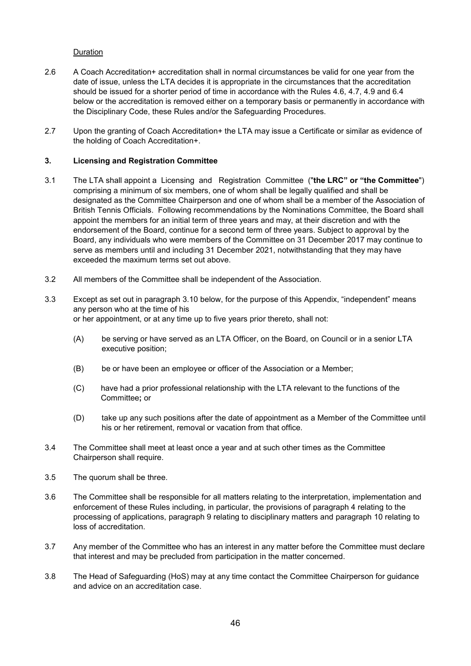## Duration

- 2.6 A Coach Accreditation+ accreditation shall in normal circumstances be valid for one year from the date of issue, unless the LTA decides it is appropriate in the circumstances that the accreditation should be issued for a shorter period of time in accordance with the Rules 4.6, 4.7, 4.9 and 6.4 below or the accreditation is removed either on a temporary basis or permanently in accordance with the Disciplinary Code, these Rules and/or the Safeguarding Procedures.
- 2.7 Upon the granting of Coach Accreditation+ the LTA may issue a Certificate or similar as evidence of the holding of Coach Accreditation+.

# **3. Licensing and Registration Committee**

- 3.1 The LTA shall appoint a Licensing and Registration Committee ("**the LRC" or "the Committee**") comprising a minimum of six members, one of whom shall be legally qualified and shall be designated as the Committee Chairperson and one of whom shall be a member of the Association of British Tennis Officials. Following recommendations by the Nominations Committee, the Board shall appoint the members for an initial term of three years and may, at their discretion and with the endorsement of the Board, continue for a second term of three years. Subject to approval by the Board, any individuals who were members of the Committee on 31 December 2017 may continue to serve as members until and including 31 December 2021, notwithstanding that they may have exceeded the maximum terms set out above.
- 3.2 All members of the Committee shall be independent of the Association.
- 3.3 Except as set out in paragraph 3.10 below, for the purpose of this Appendix, "independent" means any person who at the time of his or her appointment, or at any time up to five years prior thereto, shall not:
	- (A) be serving or have served as an LTA Officer, on the Board, on Council or in a senior LTA executive position;
	- (B) be or have been an employee or officer of the Association or a Member;
	- (C) have had a prior professional relationship with the LTA relevant to the functions of the Committee**;** or
	- (D) take up any such positions after the date of appointment as a Member of the Committee until his or her retirement, removal or vacation from that office.
- 3.4 The Committee shall meet at least once a year and at such other times as the Committee Chairperson shall require.
- 3.5 The quorum shall be three.
- 3.6 The Committee shall be responsible for all matters relating to the interpretation, implementation and enforcement of these Rules including, in particular, the provisions of paragraph 4 relating to the processing of applications, paragraph 9 relating to disciplinary matters and paragraph 10 relating to loss of accreditation.
- 3.7 Any member of the Committee who has an interest in any matter before the Committee must declare that interest and may be precluded from participation in the matter concerned.
- 3.8 The Head of Safeguarding (HoS) may at any time contact the Committee Chairperson for guidance and advice on an accreditation case.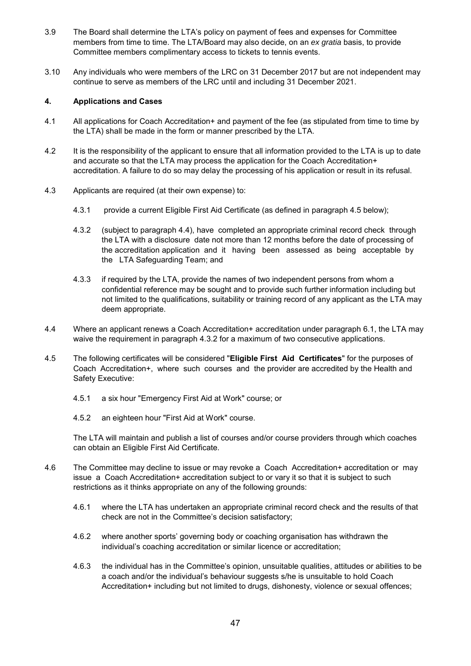- 3.9 The Board shall determine the LTA's policy on payment of fees and expenses for Committee members from time to time. The LTA/Board may also decide, on an *ex gratia* basis, to provide Committee members complimentary access to tickets to tennis events.
- 3.10 Any individuals who were members of the LRC on 31 December 2017 but are not independent may continue to serve as members of the LRC until and including 31 December 2021.

## **4. Applications and Cases**

- 4.1 All applications for Coach Accreditation+ and payment of the fee (as stipulated from time to time by the LTA) shall be made in the form or manner prescribed by the LTA.
- 4.2 It is the responsibility of the applicant to ensure that all information provided to the LTA is up to date and accurate so that the LTA may process the application for the Coach Accreditation+ accreditation. A failure to do so may delay the processing of his application or result in its refusal.
- 4.3 Applicants are required (at their own expense) to:
	- 4.3.1 provide a current Eligible First Aid Certificate (as defined in paragraph 4.5 below);
	- 4.3.2 (subject to paragraph 4.4), have completed an appropriate criminal record check through the LTA with a disclosure date not more than 12 months before the date of processing of the accreditation application and it having been assessed as being acceptable by the LTA Safeguarding Team; and
	- 4.3.3 if required by the LTA, provide the names of two independent persons from whom a confidential reference may be sought and to provide such further information including but not limited to the qualifications, suitability or training record of any applicant as the LTA may deem appropriate.
- 4.4 Where an applicant renews a Coach Accreditation+ accreditation under paragraph 6.1, the LTA may waive the requirement in paragraph 4.3.2 for a maximum of two consecutive applications.
- 4.5 The following certificates will be considered "**Eligible First Aid Certificates**" for the purposes of Coach Accreditation+, where such courses and the provider are accredited by the Health and Safety Executive:
	- 4.5.1 a six hour "Emergency First Aid at Work" course; or
	- 4.5.2 an eighteen hour "First Aid at Work" course.

The LTA will maintain and publish a list of courses and/or course providers through which coaches can obtain an Eligible First Aid Certificate.

- 4.6 The Committee may decline to issue or may revoke a Coach Accreditation+ accreditation or may issue a Coach Accreditation+ accreditation subject to or vary it so that it is subject to such restrictions as it thinks appropriate on any of the following grounds:
	- 4.6.1 where the LTA has undertaken an appropriate criminal record check and the results of that check are not in the Committee's decision satisfactory;
	- 4.6.2 where another sports' governing body or coaching organisation has withdrawn the individual's coaching accreditation or similar licence or accreditation;
	- 4.6.3 the individual has in the Committee's opinion, unsuitable qualities, attitudes or abilities to be a coach and/or the individual's behaviour suggests s/he is unsuitable to hold Coach Accreditation+ including but not limited to drugs, dishonesty, violence or sexual offences;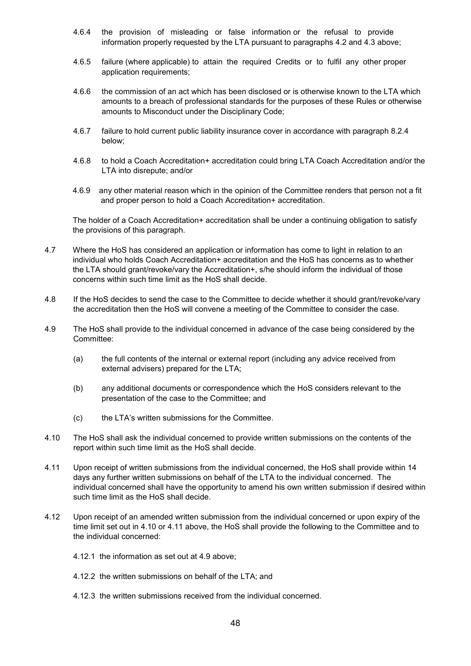- 4.6.4 the provision of misleading or false information or the refusal to provide information properly requested by the LTA pursuant to paragraphs 4.2 and 4.3 above;
- 4.6.5 failure (where applicable) to attain the required Credits or to fulfil any other proper application requirements;
- 4.6.6 the commission of an act which has been disclosed or is otherwise known to the LTA which amounts to a breach of professional standards for the purposes of these Rules or otherwise amounts to Misconduct under the Disciplinary Code;
- 4.6.7 failure to hold current public liability insurance cover in accordance with paragraph 8.2.4 below;
- 4.6.8 to hold a Coach Accreditation+ accreditation could bring LTA Coach Accreditation and/or the LTA into disrepute; and/or
- 4.6.9 any other material reason which in the opinion of the Committee renders that person not a fit and proper person to hold a Coach Accreditation+ accreditation.

The holder of a Coach Accreditation+ accreditation shall be under a continuing obligation to satisfy the provisions of this paragraph.

- 4.7 Where the HoS has considered an application or information has come to light in relation to an individual who holds Coach Accreditation+ accreditation and the HoS has concerns as to whether the LTA should grant/revoke/vary the Accreditation+, s/he should inform the individual of those concerns within such time limit as the HoS shall decide.
- 4.8 If the HoS decides to send the case to the Committee to decide whether it should grant/revoke/vary the accreditation then the HoS will convene a meeting of the Committee to consider the case.
- 4.9 The HoS shall provide to the individual concerned in advance of the case being considered by the Committee:
	- (a) the full contents of the internal or external report (including any advice received from external advisers) prepared for the LTA;
	- (b) any additional documents or correspondence which the HoS considers relevant to the presentation of the case to the Committee; and
	- (c) the LTA's written submissions for the Committee.
- 4.10 The HoS shall ask the individual concerned to provide written submissions on the contents of the report within such time limit as the HoS shall decide.
- 4.11 Upon receipt of written submissions from the individual concerned, the HoS shall provide within 14 days any further written submissions on behalf of the LTA to the individual concerned. The individual concerned shall have the opportunity to amend his own written submission if desired within such time limit as the HoS shall decide.
- 4.12 Upon receipt of an amended written submission from the individual concerned or upon expiry of the time limit set out in 4.10 or 4.11 above, the HoS shall provide the following to the Committee and to the individual concerned:
	- 4.12.1 the information as set out at 4.9 above;
	- 4.12.2 the written submissions on behalf of the LTA; and
	- 4.12.3 the written submissions received from the individual concerned.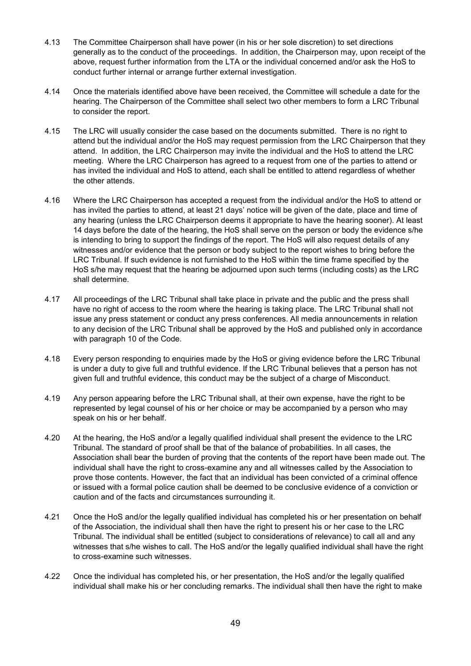- 4.13 The Committee Chairperson shall have power (in his or her sole discretion) to set directions generally as to the conduct of the proceedings. In addition, the Chairperson may, upon receipt of the above, request further information from the LTA or the individual concerned and/or ask the HoS to conduct further internal or arrange further external investigation.
- 4.14 Once the materials identified above have been received, the Committee will schedule a date for the hearing. The Chairperson of the Committee shall select two other members to form a LRC Tribunal to consider the report.
- 4.15 The LRC will usually consider the case based on the documents submitted. There is no right to attend but the individual and/or the HoS may request permission from the LRC Chairperson that they attend. In addition, the LRC Chairperson may invite the individual and the HoS to attend the LRC meeting. Where the LRC Chairperson has agreed to a request from one of the parties to attend or has invited the individual and HoS to attend, each shall be entitled to attend regardless of whether the other attends.
- 4.16 Where the LRC Chairperson has accepted a request from the individual and/or the HoS to attend or has invited the parties to attend, at least 21 days' notice will be given of the date, place and time of any hearing (unless the LRC Chairperson deems it appropriate to have the hearing sooner). At least 14 days before the date of the hearing, the HoS shall serve on the person or body the evidence s/he is intending to bring to support the findings of the report. The HoS will also request details of any witnesses and/or evidence that the person or body subject to the report wishes to bring before the LRC Tribunal. If such evidence is not furnished to the HoS within the time frame specified by the HoS s/he may request that the hearing be adjourned upon such terms (including costs) as the LRC shall determine.
- 4.17 All proceedings of the LRC Tribunal shall take place in private and the public and the press shall have no right of access to the room where the hearing is taking place. The LRC Tribunal shall not issue any press statement or conduct any press conferences. All media announcements in relation to any decision of the LRC Tribunal shall be approved by the HoS and published only in accordance with paragraph 10 of the Code.
- 4.18 Every person responding to enquiries made by the HoS or giving evidence before the LRC Tribunal is under a duty to give full and truthful evidence. If the LRC Tribunal believes that a person has not given full and truthful evidence, this conduct may be the subject of a charge of Misconduct.
- 4.19 Any person appearing before the LRC Tribunal shall, at their own expense, have the right to be represented by legal counsel of his or her choice or may be accompanied by a person who may speak on his or her behalf.
- 4.20 At the hearing, the HoS and/or a legally qualified individual shall present the evidence to the LRC Tribunal. The standard of proof shall be that of the balance of probabilities. In all cases, the Association shall bear the burden of proving that the contents of the report have been made out. The individual shall have the right to cross-examine any and all witnesses called by the Association to prove those contents. However, the fact that an individual has been convicted of a criminal offence or issued with a formal police caution shall be deemed to be conclusive evidence of a conviction or caution and of the facts and circumstances surrounding it.
- 4.21 Once the HoS and/or the legally qualified individual has completed his or her presentation on behalf of the Association, the individual shall then have the right to present his or her case to the LRC Tribunal. The individual shall be entitled (subject to considerations of relevance) to call all and any witnesses that s/he wishes to call. The HoS and/or the legally qualified individual shall have the right to cross-examine such witnesses.
- 4.22 Once the individual has completed his, or her presentation, the HoS and/or the legally qualified individual shall make his or her concluding remarks. The individual shall then have the right to make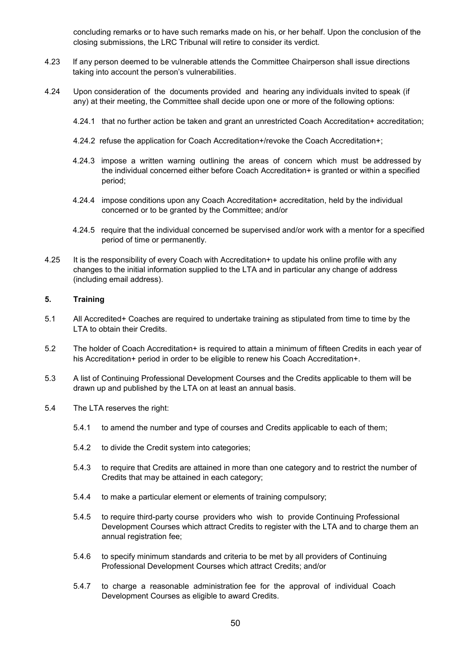concluding remarks or to have such remarks made on his, or her behalf. Upon the conclusion of the closing submissions, the LRC Tribunal will retire to consider its verdict.

- 4.23 If any person deemed to be vulnerable attends the Committee Chairperson shall issue directions taking into account the person's vulnerabilities.
- 4.24 Upon consideration of the documents provided and hearing any individuals invited to speak (if any) at their meeting, the Committee shall decide upon one or more of the following options:
	- 4.24.1 that no further action be taken and grant an unrestricted Coach Accreditation+ accreditation;
	- 4.24.2 refuse the application for Coach Accreditation+/revoke the Coach Accreditation+;
	- 4.24.3 impose a written warning outlining the areas of concern which must be addressed by the individual concerned either before Coach Accreditation+ is granted or within a specified period;
	- 4.24.4 impose conditions upon any Coach Accreditation+ accreditation, held by the individual concerned or to be granted by the Committee; and/or
	- 4.24.5 require that the individual concerned be supervised and/or work with a mentor for a specified period of time or permanently.
- 4.25 It is the responsibility of every Coach with Accreditation+ to update his online profile with any changes to the initial information supplied to the LTA and in particular any change of address (including email address).

#### **5. Training**

- 5.1 All Accredited+ Coaches are required to undertake training as stipulated from time to time by the LTA to obtain their Credits.
- 5.2 The holder of Coach Accreditation+ is required to attain a minimum of fifteen Credits in each year of his Accreditation+ period in order to be eligible to renew his Coach Accreditation+.
- 5.3 A list of Continuing Professional Development Courses and the Credits applicable to them will be drawn up and published by the LTA on at least an annual basis.
- 5.4 The LTA reserves the right:
	- 5.4.1 to amend the number and type of courses and Credits applicable to each of them;
	- 5.4.2 to divide the Credit system into categories;
	- 5.4.3 to require that Credits are attained in more than one category and to restrict the number of Credits that may be attained in each category;
	- 5.4.4 to make a particular element or elements of training compulsory;
	- 5.4.5 to require third-party course providers who wish to provide Continuing Professional Development Courses which attract Credits to register with the LTA and to charge them an annual registration fee;
	- 5.4.6 to specify minimum standards and criteria to be met by all providers of Continuing Professional Development Courses which attract Credits; and/or
	- 5.4.7 to charge a reasonable administration fee for the approval of individual Coach Development Courses as eligible to award Credits.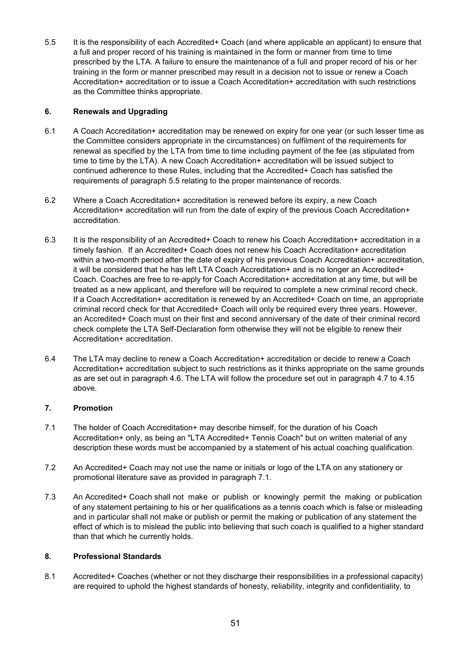5.5 It is the responsibility of each Accredited+ Coach (and where applicable an applicant) to ensure that a full and proper record of his training is maintained in the form or manner from time to time prescribed by the LTA. A failure to ensure the maintenance of a full and proper record of his or her training in the form or manner prescribed may result in a decision not to issue or renew a Coach Accreditation+ accreditation or to issue a Coach Accreditation+ accreditation with such restrictions as the Committee thinks appropriate.

# **6. Renewals and Upgrading**

- 6.1 A Coach Accreditation+ accreditation may be renewed on expiry for one year (or such lesser time as the Committee considers appropriate in the circumstances) on fulfilment of the requirements for renewal as specified by the LTA from time to time including payment of the fee (as stipulated from time to time by the LTA). A new Coach Accreditation+ accreditation will be issued subject to continued adherence to these Rules, including that the Accredited+ Coach has satisfied the requirements of paragraph 5.5 relating to the proper maintenance of records.
- 6.2 Where a Coach Accreditation+ accreditation is renewed before its expiry, a new Coach Accreditation+ accreditation will run from the date of expiry of the previous Coach Accreditation+ accreditation.
- 6.3 It is the responsibility of an Accredited+ Coach to renew his Coach Accreditation+ accreditation in a timely fashion. If an Accredited+ Coach does not renew his Coach Accreditation+ accreditation within a two-month period after the date of expiry of his previous Coach Accreditation+ accreditation, it will be considered that he has left LTA Coach Accreditation+ and is no longer an Accredited+ Coach. Coaches are free to re-apply for Coach Accreditation+ accreditation at any time, but will be treated as a new applicant, and therefore will be required to complete a new criminal record check. If a Coach Accreditation+ accreditation is renewed by an Accredited+ Coach on time, an appropriate criminal record check for that Accredited+ Coach will only be required every three years. However, an Accredited+ Coach must on their first and second anniversary of the date of their criminal record check complete the LTA Self-Declaration form otherwise they will not be eligible to renew their Accreditation+ accreditation.
- 6.4 The LTA may decline to renew a Coach Accreditation+ accreditation or decide to renew a Coach Accreditation+ accreditation subject to such restrictions as it thinks appropriate on the same grounds as are set out in paragraph 4.6. The LTA will follow the procedure set out in paragraph 4.7 to 4.15 above.

# **7. Promotion**

- 7.1 The holder of Coach Accreditation+ may describe himself, for the duration of his Coach Accreditation+ only, as being an "LTA Accredited+ Tennis Coach" but on written material of any description these words must be accompanied by a statement of his actual coaching qualification.
- 7.2 An Accredited+ Coach may not use the name or initials or logo of the LTA on any stationery or promotional literature save as provided in paragraph 7.1.
- 7.3 An Accredited+ Coach shall not make or publish or knowingly permit the making or publication of any statement pertaining to his or her qualifications as a tennis coach which is false or misleading and in particular shall not make or publish or permit the making or publication of any statement the effect of which is to mislead the public into believing that such coach is qualified to a higher standard than that which he currently holds.

# **8. Professional Standards**

8.1 Accredited+ Coaches (whether or not they discharge their responsibilities in a professional capacity) are required to uphold the highest standards of honesty, reliability, integrity and confidentiality, to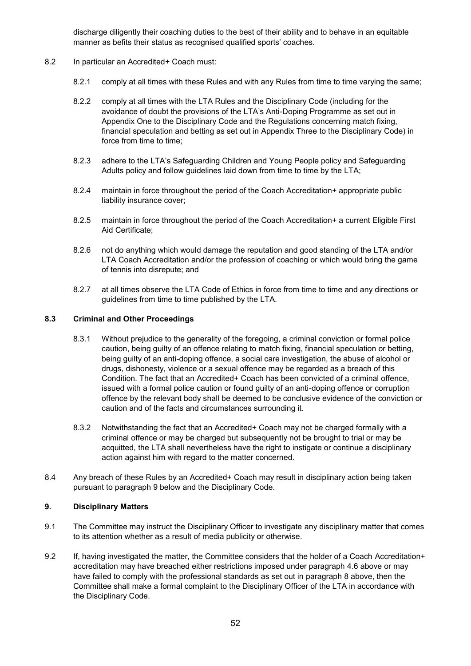discharge diligently their coaching duties to the best of their ability and to behave in an equitable manner as befits their status as recognised qualified sports' coaches.

- 8.2 In particular an Accredited+ Coach must:
	- 8.2.1 comply at all times with these Rules and with any Rules from time to time varying the same;
	- 8.2.2 comply at all times with the LTA Rules and the Disciplinary Code (including for the avoidance of doubt the provisions of the LTA's Anti-Doping Programme as set out in Appendix One to the Disciplinary Code and the Regulations concerning match fixing, financial speculation and betting as set out in Appendix Three to the Disciplinary Code) in force from time to time;
	- 8.2.3 adhere to the LTA's Safeguarding Children and Young People policy and Safeguarding Adults policy and follow guidelines laid down from time to time by the LTA;
	- 8.2.4 maintain in force throughout the period of the Coach Accreditation+ appropriate public liability insurance cover;
	- 8.2.5 maintain in force throughout the period of the Coach Accreditation+ a current Eligible First Aid Certificate;
	- 8.2.6 not do anything which would damage the reputation and good standing of the LTA and/or LTA Coach Accreditation and/or the profession of coaching or which would bring the game of tennis into disrepute; and
	- 8.2.7 at all times observe the LTA Code of Ethics in force from time to time and any directions or guidelines from time to time published by the LTA.

#### **8.3 Criminal and Other Proceedings**

- 8.3.1 Without prejudice to the generality of the foregoing, a criminal conviction or formal police caution, being guilty of an offence relating to match fixing, financial speculation or betting, being guilty of an anti-doping offence, a social care investigation, the abuse of alcohol or drugs, dishonesty, violence or a sexual offence may be regarded as a breach of this Condition. The fact that an Accredited+ Coach has been convicted of a criminal offence, issued with a formal police caution or found guilty of an anti-doping offence or corruption offence by the relevant body shall be deemed to be conclusive evidence of the conviction or caution and of the facts and circumstances surrounding it.
- 8.3.2 Notwithstanding the fact that an Accredited+ Coach may not be charged formally with a criminal offence or may be charged but subsequently not be brought to trial or may be acquitted, the LTA shall nevertheless have the right to instigate or continue a disciplinary action against him with regard to the matter concerned.
- 8.4 Any breach of these Rules by an Accredited+ Coach may result in disciplinary action being taken pursuant to paragraph 9 below and the Disciplinary Code.

#### **9. Disciplinary Matters**

- 9.1 The Committee may instruct the Disciplinary Officer to investigate any disciplinary matter that comes to its attention whether as a result of media publicity or otherwise.
- 9.2 If, having investigated the matter, the Committee considers that the holder of a Coach Accreditation+ accreditation may have breached either restrictions imposed under paragraph 4.6 above or may have failed to comply with the professional standards as set out in paragraph 8 above, then the Committee shall make a formal complaint to the Disciplinary Officer of the LTA in accordance with the Disciplinary Code.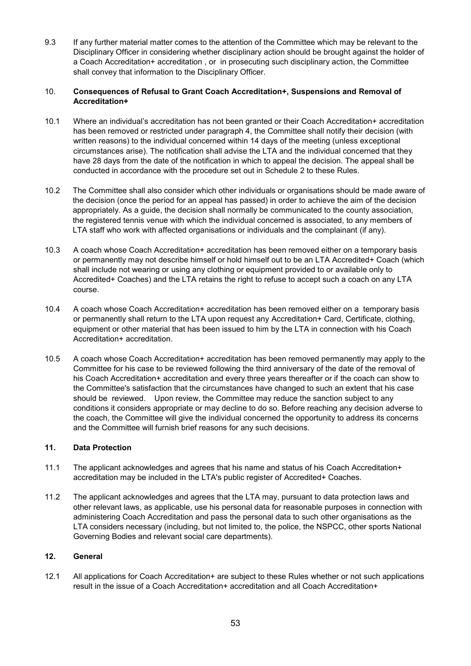9.3 If any further material matter comes to the attention of the Committee which may be relevant to the Disciplinary Officer in considering whether disciplinary action should be brought against the holder of a Coach Accreditation+ accreditation , or in prosecuting such disciplinary action, the Committee shall convey that information to the Disciplinary Officer.

# 10. **Consequences of Refusal to Grant Coach Accreditation+, Suspensions and Removal of Accreditation+**

- 10.1 Where an individual's accreditation has not been granted or their Coach Accreditation+ accreditation has been removed or restricted under paragraph 4, the Committee shall notify their decision (with written reasons) to the individual concerned within 14 days of the meeting (unless exceptional circumstances arise). The notification shall advise the LTA and the individual concerned that they have 28 days from the date of the notification in which to appeal the decision. The appeal shall be conducted in accordance with the procedure set out in Schedule 2 to these Rules.
- 10.2 The Committee shall also consider which other individuals or organisations should be made aware of the decision (once the period for an appeal has passed) in order to achieve the aim of the decision appropriately. As a guide, the decision shall normally be communicated to the county association, the registered tennis venue with which the individual concerned is associated, to any members of LTA staff who work with affected organisations or individuals and the complainant (if any).
- 10.3 A coach whose Coach Accreditation+ accreditation has been removed either on a temporary basis or permanently may not describe himself or hold himself out to be an LTA Accredited+ Coach (which shall include not wearing or using any clothing or equipment provided to or available only to Accredited+ Coaches) and the LTA retains the right to refuse to accept such a coach on any LTA course.
- 10.4 A coach whose Coach Accreditation+ accreditation has been removed either on a temporary basis or permanently shall return to the LTA upon request any Accreditation+ Card, Certificate, clothing, equipment or other material that has been issued to him by the LTA in connection with his Coach Accreditation+ accreditation.
- 10.5 A coach whose Coach Accreditation+ accreditation has been removed permanently may apply to the Committee for his case to be reviewed following the third anniversary of the date of the removal of his Coach Accreditation+ accreditation and every three years thereafter or if the coach can show to the Committee's satisfaction that the circumstances have changed to such an extent that his case should be reviewed. Upon review, the Committee may reduce the sanction subject to any conditions it considers appropriate or may decline to do so. Before reaching any decision adverse to the coach, the Committee will give the individual concerned the opportunity to address its concerns and the Committee will furnish brief reasons for any such decisions.

# **11. Data Protection**

- 11.1 The applicant acknowledges and agrees that his name and status of his Coach Accreditation+ accreditation may be included in the LTA's public register of Accredited+ Coaches.
- 11.2 The applicant acknowledges and agrees that the LTA may, pursuant to data protection laws and other relevant laws, as applicable, use his personal data for reasonable purposes in connection with administering Coach Accreditation and pass the personal data to such other organisations as the LTA considers necessary (including, but not limited to, the police, the NSPCC, other sports National Governing Bodies and relevant social care departments).

## **12. General**

12.1 All applications for Coach Accreditation+ are subject to these Rules whether or not such applications result in the issue of a Coach Accreditation+ accreditation and all Coach Accreditation+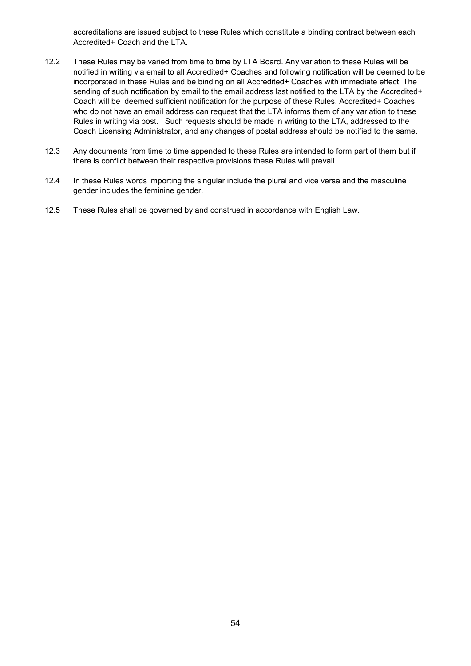accreditations are issued subject to these Rules which constitute a binding contract between each Accredited+ Coach and the LTA.

- 12.2 These Rules may be varied from time to time by LTA Board. Any variation to these Rules will be notified in writing via email to all Accredited+ Coaches and following notification will be deemed to be incorporated in these Rules and be binding on all Accredited+ Coaches with immediate effect. The sending of such notification by email to the email address last notified to the LTA by the Accredited+ Coach will be deemed sufficient notification for the purpose of these Rules. Accredited+ Coaches who do not have an email address can request that the LTA informs them of any variation to these Rules in writing via post. Such requests should be made in writing to the LTA, addressed to the Coach Licensing Administrator, and any changes of postal address should be notified to the same.
- 12.3 Any documents from time to time appended to these Rules are intended to form part of them but if there is conflict between their respective provisions these Rules will prevail.
- 12.4 In these Rules words importing the singular include the plural and vice versa and the masculine gender includes the feminine gender.
- 12.5 These Rules shall be governed by and construed in accordance with English Law.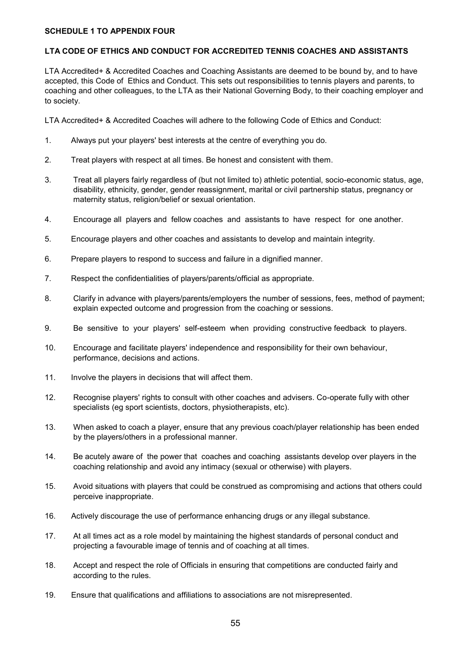#### **SCHEDULE 1 TO APPENDIX FOUR**

## **LTA CODE OF ETHICS AND CONDUCT FOR ACCREDITED TENNIS COACHES AND ASSISTANTS**

LTA Accredited+ & Accredited Coaches and Coaching Assistants are deemed to be bound by, and to have accepted, this Code of Ethics and Conduct. This sets out responsibilities to tennis players and parents, to coaching and other colleagues, to the LTA as their National Governing Body, to their coaching employer and to society.

LTA Accredited+ & Accredited Coaches will adhere to the following Code of Ethics and Conduct:

- 1. Always put your players' best interests at the centre of everything you do.
- 2. Treat players with respect at all times. Be honest and consistent with them.
- 3. Treat all players fairly regardless of (but not limited to) athletic potential, socio-economic status, age, disability, ethnicity, gender, gender reassignment, marital or civil partnership status, pregnancy or maternity status, religion/belief or sexual orientation.
- 4. Encourage all players and fellow coaches and assistants to have respect for one another.
- 5. Encourage players and other coaches and assistants to develop and maintain integrity.
- 6. Prepare players to respond to success and failure in a dignified manner.
- 7. Respect the confidentialities of players/parents/official as appropriate.
- 8. Clarify in advance with players/parents/employers the number of sessions, fees, method of payment; explain expected outcome and progression from the coaching or sessions.
- 9. Be sensitive to your players' self-esteem when providing constructive feedback to players.
- 10. Encourage and facilitate players' independence and responsibility for their own behaviour, performance, decisions and actions.
- 11. Involve the players in decisions that will affect them.
- 12. Recognise players' rights to consult with other coaches and advisers. Co-operate fully with other specialists (eg sport scientists, doctors, physiotherapists, etc).
- 13. When asked to coach a player, ensure that any previous coach/player relationship has been ended by the players/others in a professional manner.
- 14. Be acutely aware of the power that coaches and coaching assistants develop over players in the coaching relationship and avoid any intimacy (sexual or otherwise) with players.
- 15. Avoid situations with players that could be construed as compromising and actions that others could perceive inappropriate.
- 16. Actively discourage the use of performance enhancing drugs or any illegal substance.
- 17. At all times act as a role model by maintaining the highest standards of personal conduct and projecting a favourable image of tennis and of coaching at all times.
- 18. Accept and respect the role of Officials in ensuring that competitions are conducted fairly and according to the rules.
- 19. Ensure that qualifications and affiliations to associations are not misrepresented.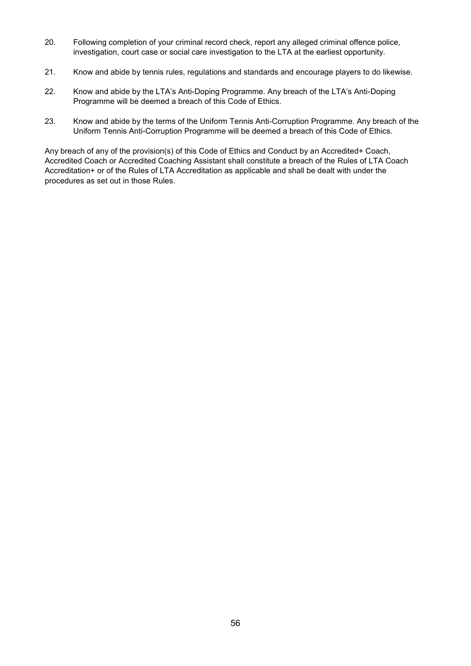- 20. Following completion of your criminal record check, report any alleged criminal offence police, investigation, court case or social care investigation to the LTA at the earliest opportunity.
- 21. Know and abide by tennis rules, regulations and standards and encourage players to do likewise.
- 22. Know and abide by the LTA's Anti-Doping Programme. Any breach of the LTA's Anti-Doping Programme will be deemed a breach of this Code of Ethics.
- 23. Know and abide by the terms of the Uniform Tennis Anti-Corruption Programme. Any breach of the Uniform Tennis Anti-Corruption Programme will be deemed a breach of this Code of Ethics.

Any breach of any of the provision(s) of this Code of Ethics and Conduct by an Accredited+ Coach, Accredited Coach or Accredited Coaching Assistant shall constitute a breach of the Rules of LTA Coach Accreditation+ or of the Rules of LTA Accreditation as applicable and shall be dealt with under the procedures as set out in those Rules.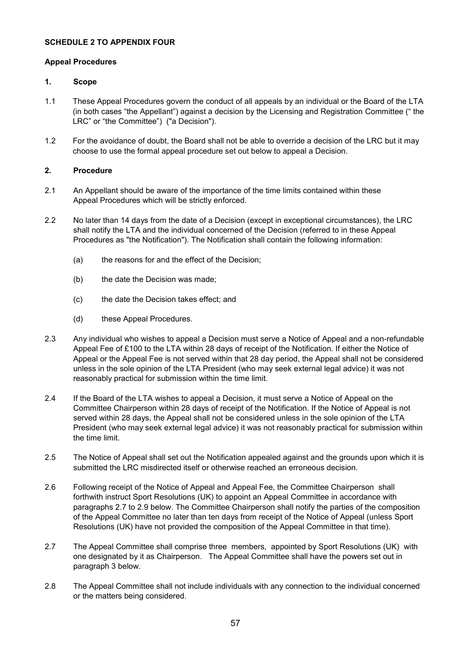## **SCHEDULE 2 TO APPENDIX FOUR**

#### **Appeal Procedures**

#### **1. Scope**

- 1.1 These Appeal Procedures govern the conduct of all appeals by an individual or the Board of the LTA (in both cases "the Appellant") against a decision by the Licensing and Registration Committee (" the LRC" or "the Committee") ("a Decision").
- 1.2 For the avoidance of doubt, the Board shall not be able to override a decision of the LRC but it may choose to use the formal appeal procedure set out below to appeal a Decision.

# **2. Procedure**

- 2.1 An Appellant should be aware of the importance of the time limits contained within these Appeal Procedures which will be strictly enforced.
- 2.2 No later than 14 days from the date of a Decision (except in exceptional circumstances), the LRC shall notify the LTA and the individual concerned of the Decision (referred to in these Appeal Procedures as "the Notification"). The Notification shall contain the following information:
	- (a) the reasons for and the effect of the Decision;
	- (b) the date the Decision was made;
	- (c) the date the Decision takes effect; and
	- (d) these Appeal Procedures.
- 2.3 Any individual who wishes to appeal a Decision must serve a Notice of Appeal and a non-refundable Appeal Fee of £100 to the LTA within 28 days of receipt of the Notification. If either the Notice of Appeal or the Appeal Fee is not served within that 28 day period, the Appeal shall not be considered unless in the sole opinion of the LTA President (who may seek external legal advice) it was not reasonably practical for submission within the time limit.
- 2.4 If the Board of the LTA wishes to appeal a Decision, it must serve a Notice of Appeal on the Committee Chairperson within 28 days of receipt of the Notification. If the Notice of Appeal is not served within 28 days, the Appeal shall not be considered unless in the sole opinion of the LTA President (who may seek external legal advice) it was not reasonably practical for submission within the time limit.
- 2.5 The Notice of Appeal shall set out the Notification appealed against and the grounds upon which it is submitted the LRC misdirected itself or otherwise reached an erroneous decision.
- 2.6 Following receipt of the Notice of Appeal and Appeal Fee, the Committee Chairperson shall forthwith instruct Sport Resolutions (UK) to appoint an Appeal Committee in accordance with paragraphs 2.7 to 2.9 below. The Committee Chairperson shall notify the parties of the composition of the Appeal Committee no later than ten days from receipt of the Notice of Appeal (unless Sport Resolutions (UK) have not provided the composition of the Appeal Committee in that time).
- 2.7 The Appeal Committee shall comprise three members, appointed by Sport Resolutions (UK) with one designated by it as Chairperson. The Appeal Committee shall have the powers set out in paragraph 3 below.
- 2.8 The Appeal Committee shall not include individuals with any connection to the individual concerned or the matters being considered.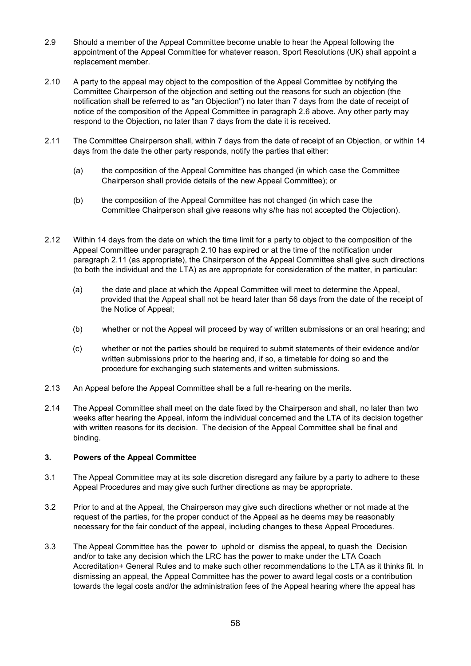- 2.9 Should a member of the Appeal Committee become unable to hear the Appeal following the appointment of the Appeal Committee for whatever reason, Sport Resolutions (UK) shall appoint a replacement member.
- 2.10 A party to the appeal may object to the composition of the Appeal Committee by notifying the Committee Chairperson of the objection and setting out the reasons for such an objection (the notification shall be referred to as "an Objection") no later than 7 days from the date of receipt of notice of the composition of the Appeal Committee in paragraph 2.6 above. Any other party may respond to the Objection, no later than 7 days from the date it is received.
- 2.11 The Committee Chairperson shall, within 7 days from the date of receipt of an Objection, or within 14 days from the date the other party responds, notify the parties that either:
	- (a) the composition of the Appeal Committee has changed (in which case the Committee Chairperson shall provide details of the new Appeal Committee); or
	- (b) the composition of the Appeal Committee has not changed (in which case the Committee Chairperson shall give reasons why s/he has not accepted the Objection).
- 2.12 Within 14 days from the date on which the time limit for a party to object to the composition of the Appeal Committee under paragraph 2.10 has expired or at the time of the notification under paragraph 2.11 (as appropriate), the Chairperson of the Appeal Committee shall give such directions (to both the individual and the LTA) as are appropriate for consideration of the matter, in particular:
	- (a) the date and place at which the Appeal Committee will meet to determine the Appeal, provided that the Appeal shall not be heard later than 56 days from the date of the receipt of the Notice of Appeal;
	- (b) whether or not the Appeal will proceed by way of written submissions or an oral hearing; and
	- (c) whether or not the parties should be required to submit statements of their evidence and/or written submissions prior to the hearing and, if so, a timetable for doing so and the procedure for exchanging such statements and written submissions.
- 2.13 An Appeal before the Appeal Committee shall be a full re-hearing on the merits.
- 2.14 The Appeal Committee shall meet on the date fixed by the Chairperson and shall, no later than two weeks after hearing the Appeal, inform the individual concerned and the LTA of its decision together with written reasons for its decision. The decision of the Appeal Committee shall be final and binding.

# **3. Powers of the Appeal Committee**

- 3.1 The Appeal Committee may at its sole discretion disregard any failure by a party to adhere to these Appeal Procedures and may give such further directions as may be appropriate.
- 3.2 Prior to and at the Appeal, the Chairperson may give such directions whether or not made at the request of the parties, for the proper conduct of the Appeal as he deems may be reasonably necessary for the fair conduct of the appeal, including changes to these Appeal Procedures.
- 3.3 The Appeal Committee has the power to uphold or dismiss the appeal, to quash the Decision and/or to take any decision which the LRC has the power to make under the LTA Coach Accreditation+ General Rules and to make such other recommendations to the LTA as it thinks fit. In dismissing an appeal, the Appeal Committee has the power to award legal costs or a contribution towards the legal costs and/or the administration fees of the Appeal hearing where the appeal has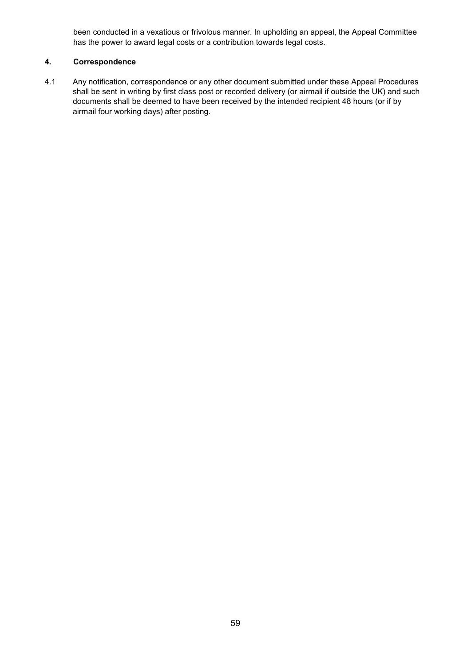been conducted in a vexatious or frivolous manner. In upholding an appeal, the Appeal Committee has the power to award legal costs or a contribution towards legal costs.

# **4. Correspondence**

4.1 Any notification, correspondence or any other document submitted under these Appeal Procedures shall be sent in writing by first class post or recorded delivery (or airmail if outside the UK) and such documents shall be deemed to have been received by the intended recipient 48 hours (or if by airmail four working days) after posting.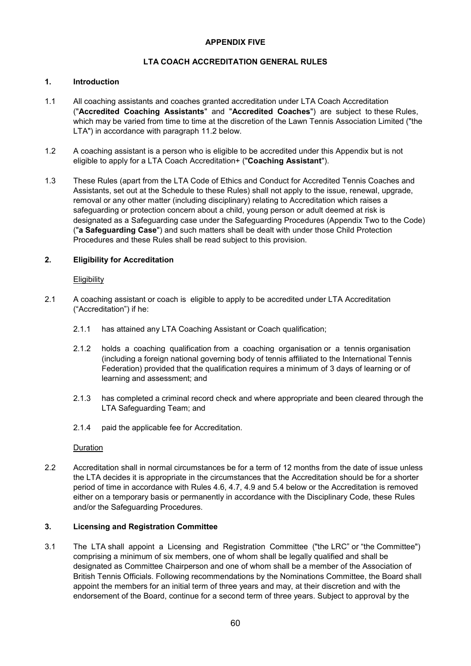# **APPENDIX FIVE**

# **LTA COACH ACCREDITATION GENERAL RULES**

# **1. Introduction**

- 1.1 All coaching assistants and coaches granted accreditation under LTA Coach Accreditation ("**Accredited Coaching Assistants**" and "**Accredited Coaches**") are subject to these Rules, which may be varied from time to time at the discretion of the Lawn Tennis Association Limited ("the LTA") in accordance with paragraph 11.2 below.
- 1.2 A coaching assistant is a person who is eligible to be accredited under this Appendix but is not eligible to apply for a LTA Coach Accreditation+ ("**Coaching Assistant**").
- 1.3 These Rules (apart from the LTA Code of Ethics and Conduct for Accredited Tennis Coaches and Assistants, set out at the Schedule to these Rules) shall not apply to the issue, renewal, upgrade, removal or any other matter (including disciplinary) relating to Accreditation which raises a safeguarding or protection concern about a child, young person or adult deemed at risk is designated as a Safeguarding case under the Safeguarding Procedures (Appendix Two to the Code) ("**a Safeguarding Case**") and such matters shall be dealt with under those Child Protection Procedures and these Rules shall be read subject to this provision.

# **2. Eligibility for Accreditation**

## **Eligibility**

- 2.1 A coaching assistant or coach is eligible to apply to be accredited under LTA Accreditation ("Accreditation") if he:
	- 2.1.1 has attained any LTA Coaching Assistant or Coach qualification;
	- 2.1.2 holds a coaching qualification from a coaching organisation or a tennis organisation (including a foreign national governing body of tennis affiliated to the International Tennis Federation) provided that the qualification requires a minimum of 3 days of learning or of learning and assessment; and
	- 2.1.3 has completed a criminal record check and where appropriate and been cleared through the LTA Safeguarding Team; and
	- 2.1.4 paid the applicable fee for Accreditation.

## Duration

2.2 Accreditation shall in normal circumstances be for a term of 12 months from the date of issue unless the LTA decides it is appropriate in the circumstances that the Accreditation should be for a shorter period of time in accordance with Rules 4.6, 4.7, 4.9 and 5.4 below or the Accreditation is removed either on a temporary basis or permanently in accordance with the Disciplinary Code, these Rules and/or the Safeguarding Procedures.

## **3. Licensing and Registration Committee**

3.1 The LTA shall appoint a Licensing and Registration Committee ("the LRC" or "the Committee") comprising a minimum of six members, one of whom shall be legally qualified and shall be designated as Committee Chairperson and one of whom shall be a member of the Association of British Tennis Officials. Following recommendations by the Nominations Committee, the Board shall appoint the members for an initial term of three years and may, at their discretion and with the endorsement of the Board, continue for a second term of three years. Subject to approval by the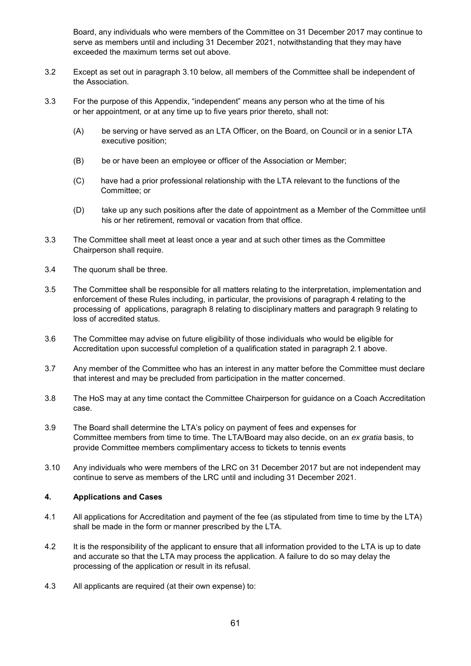Board, any individuals who were members of the Committee on 31 December 2017 may continue to serve as members until and including 31 December 2021, notwithstanding that they may have exceeded the maximum terms set out above.

- 3.2 Except as set out in paragraph 3.10 below, all members of the Committee shall be independent of the Association.
- 3.3 For the purpose of this Appendix, "independent" means any person who at the time of his or her appointment, or at any time up to five years prior thereto, shall not:
	- (A) be serving or have served as an LTA Officer, on the Board, on Council or in a senior LTA executive position;
	- (B) be or have been an employee or officer of the Association or Member;
	- (C) have had a prior professional relationship with the LTA relevant to the functions of the Committee; or
	- (D) take up any such positions after the date of appointment as a Member of the Committee until his or her retirement, removal or vacation from that office.
- 3.3 The Committee shall meet at least once a year and at such other times as the Committee Chairperson shall require.
- 3.4 The quorum shall be three.
- 3.5 The Committee shall be responsible for all matters relating to the interpretation, implementation and enforcement of these Rules including, in particular, the provisions of paragraph 4 relating to the processing of applications, paragraph 8 relating to disciplinary matters and paragraph 9 relating to loss of accredited status.
- 3.6 The Committee may advise on future eligibility of those individuals who would be eligible for Accreditation upon successful completion of a qualification stated in paragraph 2.1 above.
- 3.7 Any member of the Committee who has an interest in any matter before the Committee must declare that interest and may be precluded from participation in the matter concerned.
- 3.8 The HoS may at any time contact the Committee Chairperson for guidance on a Coach Accreditation case.
- 3.9 The Board shall determine the LTA's policy on payment of fees and expenses for Committee members from time to time. The LTA/Board may also decide, on an *ex gratia* basis, to provide Committee members complimentary access to tickets to tennis events
- 3.10 Any individuals who were members of the LRC on 31 December 2017 but are not independent may continue to serve as members of the LRC until and including 31 December 2021.

# **4. Applications and Cases**

- 4.1 All applications for Accreditation and payment of the fee (as stipulated from time to time by the LTA) shall be made in the form or manner prescribed by the LTA.
- 4.2 It is the responsibility of the applicant to ensure that all information provided to the LTA is up to date and accurate so that the LTA may process the application. A failure to do so may delay the processing of the application or result in its refusal.
- 4.3 All applicants are required (at their own expense) to: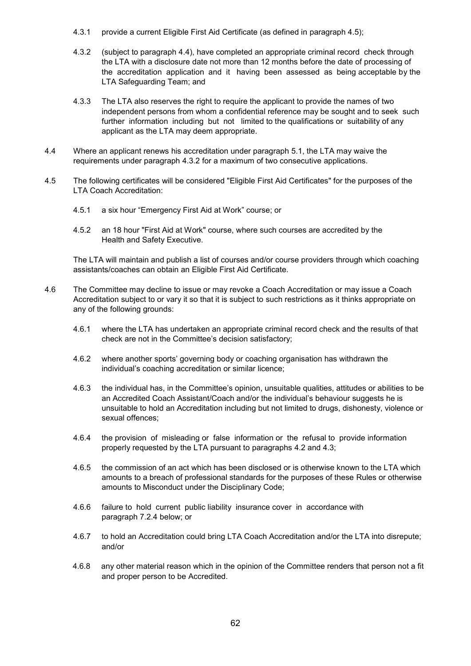- 4.3.1 provide a current Eligible First Aid Certificate (as defined in paragraph 4.5);
- 4.3.2 (subject to paragraph 4.4), have completed an appropriate criminal record check through the LTA with a disclosure date not more than 12 months before the date of processing of the accreditation application and it having been assessed as being acceptable by the LTA Safeguarding Team; and
- 4.3.3 The LTA also reserves the right to require the applicant to provide the names of two independent persons from whom a confidential reference may be sought and to seek such further information including but not limited to the qualifications or suitability of any applicant as the LTA may deem appropriate.
- 4.4 Where an applicant renews his accreditation under paragraph 5.1, the LTA may waive the requirements under paragraph 4.3.2 for a maximum of two consecutive applications.
- 4.5 The following certificates will be considered "Eligible First Aid Certificates" for the purposes of the LTA Coach Accreditation:
	- 4.5.1 a six hour "Emergency First Aid at Work" course; or
	- 4.5.2 an 18 hour "First Aid at Work" course, where such courses are accredited by the Health and Safety Executive.

The LTA will maintain and publish a list of courses and/or course providers through which coaching assistants/coaches can obtain an Eligible First Aid Certificate.

- 4.6 The Committee may decline to issue or may revoke a Coach Accreditation or may issue a Coach Accreditation subject to or vary it so that it is subject to such restrictions as it thinks appropriate on any of the following grounds:
	- 4.6.1 where the LTA has undertaken an appropriate criminal record check and the results of that check are not in the Committee's decision satisfactory;
	- 4.6.2 where another sports' governing body or coaching organisation has withdrawn the individual's coaching accreditation or similar licence;
	- 4.6.3 the individual has, in the Committee's opinion, unsuitable qualities, attitudes or abilities to be an Accredited Coach Assistant/Coach and/or the individual's behaviour suggests he is unsuitable to hold an Accreditation including but not limited to drugs, dishonesty, violence or sexual offences;
	- 4.6.4 the provision of misleading or false information or the refusal to provide information properly requested by the LTA pursuant to paragraphs 4.2 and 4.3;
	- 4.6.5 the commission of an act which has been disclosed or is otherwise known to the LTA which amounts to a breach of professional standards for the purposes of these Rules or otherwise amounts to Misconduct under the Disciplinary Code;
	- 4.6.6 failure to hold current public liability insurance cover in accordance with paragraph 7.2.4 below; or
	- 4.6.7 to hold an Accreditation could bring LTA Coach Accreditation and/or the LTA into disrepute; and/or
	- 4.6.8 any other material reason which in the opinion of the Committee renders that person not a fit and proper person to be Accredited.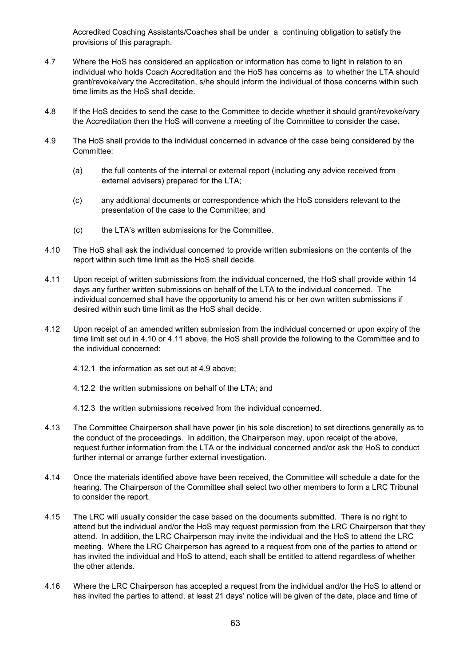Accredited Coaching Assistants/Coaches shall be under a continuing obligation to satisfy the provisions of this paragraph.

- 4.7 Where the HoS has considered an application or information has come to light in relation to an individual who holds Coach Accreditation and the HoS has concerns as to whether the LTA should grant/revoke/vary the Accreditation, s/he should inform the individual of those concerns within such time limits as the HoS shall decide.
- 4.8 If the HoS decides to send the case to the Committee to decide whether it should grant/revoke/vary the Accreditation then the HoS will convene a meeting of the Committee to consider the case.
- 4.9 The HoS shall provide to the individual concerned in advance of the case being considered by the Committee:
	- (a) the full contents of the internal or external report (including any advice received from external advisers) prepared for the LTA;
	- (c) any additional documents or correspondence which the HoS considers relevant to the presentation of the case to the Committee; and
	- (c) the LTA's written submissions for the Committee.
- 4.10 The HoS shall ask the individual concerned to provide written submissions on the contents of the report within such time limit as the HoS shall decide.
- 4.11 Upon receipt of written submissions from the individual concerned, the HoS shall provide within 14 days any further written submissions on behalf of the LTA to the individual concerned. The individual concerned shall have the opportunity to amend his or her own written submissions if desired within such time limit as the HoS shall decide.
- 4.12 Upon receipt of an amended written submission from the individual concerned or upon expiry of the time limit set out in 4.10 or 4.11 above, the HoS shall provide the following to the Committee and to the individual concerned:
	- 4.12.1 the information as set out at 4.9 above;
	- 4.12.2 the written submissions on behalf of the LTA; and
	- 4.12.3 the written submissions received from the individual concerned.
- 4.13 The Committee Chairperson shall have power (in his sole discretion) to set directions generally as to the conduct of the proceedings. In addition, the Chairperson may, upon receipt of the above, request further information from the LTA or the individual concerned and/or ask the HoS to conduct further internal or arrange further external investigation.
- 4.14 Once the materials identified above have been received, the Committee will schedule a date for the hearing. The Chairperson of the Committee shall select two other members to form a LRC Tribunal to consider the report.
- 4.15 The LRC will usually consider the case based on the documents submitted. There is no right to attend but the individual and/or the HoS may request permission from the LRC Chairperson that they attend. In addition, the LRC Chairperson may invite the individual and the HoS to attend the LRC meeting. Where the LRC Chairperson has agreed to a request from one of the parties to attend or has invited the individual and HoS to attend, each shall be entitled to attend regardless of whether the other attends.
- 4.16 Where the LRC Chairperson has accepted a request from the individual and/or the HoS to attend or has invited the parties to attend, at least 21 days' notice will be given of the date, place and time of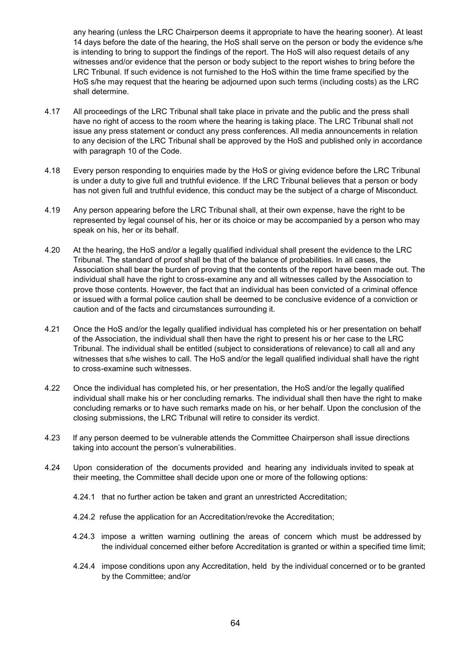any hearing (unless the LRC Chairperson deems it appropriate to have the hearing sooner). At least 14 days before the date of the hearing, the HoS shall serve on the person or body the evidence s/he is intending to bring to support the findings of the report. The HoS will also request details of any witnesses and/or evidence that the person or body subject to the report wishes to bring before the LRC Tribunal. If such evidence is not furnished to the HoS within the time frame specified by the HoS s/he may request that the hearing be adjourned upon such terms (including costs) as the LRC shall determine.

- 4.17 All proceedings of the LRC Tribunal shall take place in private and the public and the press shall have no right of access to the room where the hearing is taking place. The LRC Tribunal shall not issue any press statement or conduct any press conferences. All media announcements in relation to any decision of the LRC Tribunal shall be approved by the HoS and published only in accordance with paragraph 10 of the Code.
- 4.18 Every person responding to enquiries made by the HoS or giving evidence before the LRC Tribunal is under a duty to give full and truthful evidence. If the LRC Tribunal believes that a person or body has not given full and truthful evidence, this conduct may be the subject of a charge of Misconduct.
- 4.19 Any person appearing before the LRC Tribunal shall, at their own expense, have the right to be represented by legal counsel of his, her or its choice or may be accompanied by a person who may speak on his, her or its behalf.
- 4.20 At the hearing, the HoS and/or a legally qualified individual shall present the evidence to the LRC Tribunal. The standard of proof shall be that of the balance of probabilities. In all cases, the Association shall bear the burden of proving that the contents of the report have been made out. The individual shall have the right to cross-examine any and all witnesses called by the Association to prove those contents. However, the fact that an individual has been convicted of a criminal offence or issued with a formal police caution shall be deemed to be conclusive evidence of a conviction or caution and of the facts and circumstances surrounding it.
- 4.21 Once the HoS and/or the legally qualified individual has completed his or her presentation on behalf of the Association, the individual shall then have the right to present his or her case to the LRC Tribunal. The individual shall be entitled (subject to considerations of relevance) to call all and any witnesses that s/he wishes to call. The HoS and/or the legall qualified individual shall have the right to cross-examine such witnesses.
- 4.22 Once the individual has completed his, or her presentation, the HoS and/or the legally qualified individual shall make his or her concluding remarks. The individual shall then have the right to make concluding remarks or to have such remarks made on his, or her behalf. Upon the conclusion of the closing submissions, the LRC Tribunal will retire to consider its verdict.
- 4.23 If any person deemed to be vulnerable attends the Committee Chairperson shall issue directions taking into account the person's vulnerabilities.
- 4.24 Upon consideration of the documents provided and hearing any individuals invited to speak at their meeting, the Committee shall decide upon one or more of the following options:
	- 4.24.1 that no further action be taken and grant an unrestricted Accreditation;
	- 4.24.2 refuse the application for an Accreditation/revoke the Accreditation;
	- 4.24.3 impose a written warning outlining the areas of concern which must be addressed by the individual concerned either before Accreditation is granted or within a specified time limit;
	- 4.24.4 impose conditions upon any Accreditation, held by the individual concerned or to be granted by the Committee; and/or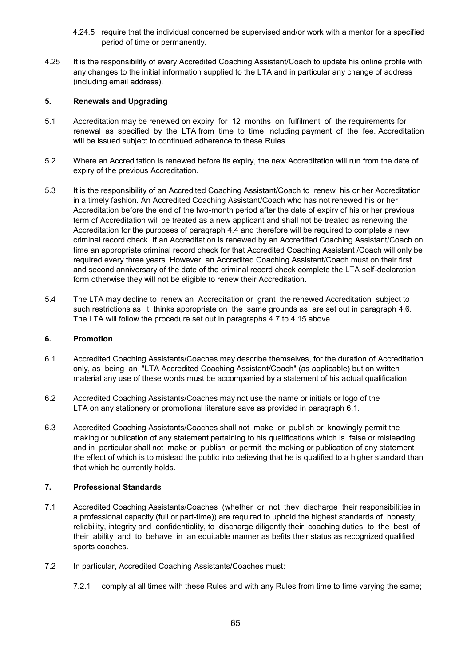- 4.24.5 require that the individual concerned be supervised and/or work with a mentor for a specified period of time or permanently.
- 4.25 It is the responsibility of every Accredited Coaching Assistant/Coach to update his online profile with any changes to the initial information supplied to the LTA and in particular any change of address (including email address).

# **5. Renewals and Upgrading**

- 5.1 Accreditation may be renewed on expiry for 12 months on fulfilment of the requirements for renewal as specified by the LTA from time to time including payment of the fee. Accreditation will be issued subject to continued adherence to these Rules.
- 5.2 Where an Accreditation is renewed before its expiry, the new Accreditation will run from the date of expiry of the previous Accreditation.
- 5.3 It is the responsibility of an Accredited Coaching Assistant/Coach to renew his or her Accreditation in a timely fashion. An Accredited Coaching Assistant/Coach who has not renewed his or her Accreditation before the end of the two-month period after the date of expiry of his or her previous term of Accreditation will be treated as a new applicant and shall not be treated as renewing the Accreditation for the purposes of paragraph 4.4 and therefore will be required to complete a new criminal record check. If an Accreditation is renewed by an Accredited Coaching Assistant/Coach on time an appropriate criminal record check for that Accredited Coaching Assistant /Coach will only be required every three years. However, an Accredited Coaching Assistant/Coach must on their first and second anniversary of the date of the criminal record check complete the LTA self-declaration form otherwise they will not be eligible to renew their Accreditation.
- 5.4 The LTA may decline to renew an Accreditation or grant the renewed Accreditation subject to such restrictions as it thinks appropriate on the same grounds as are set out in paragraph 4.6. The LTA will follow the procedure set out in paragraphs 4.7 to 4.15 above.

## **6. Promotion**

- 6.1 Accredited Coaching Assistants/Coaches may describe themselves, for the duration of Accreditation only, as being an "LTA Accredited Coaching Assistant/Coach" (as applicable) but on written material any use of these words must be accompanied by a statement of his actual qualification.
- 6.2 Accredited Coaching Assistants/Coaches may not use the name or initials or logo of the LTA on any stationery or promotional literature save as provided in paragraph 6.1.
- 6.3 Accredited Coaching Assistants/Coaches shall not make or publish or knowingly permit the making or publication of any statement pertaining to his qualifications which is false or misleading and in particular shall not make or publish or permit the making or publication of any statement the effect of which is to mislead the public into believing that he is qualified to a higher standard than that which he currently holds.

# **7. Professional Standards**

- 7.1 Accredited Coaching Assistants/Coaches (whether or not they discharge their responsibilities in a professional capacity (full or part-time)) are required to uphold the highest standards of honesty, reliability, integrity and confidentiality, to discharge diligently their coaching duties to the best of their ability and to behave in an equitable manner as befits their status as recognized qualified sports coaches.
- 7.2 In particular, Accredited Coaching Assistants/Coaches must:
	- 7.2.1 comply at all times with these Rules and with any Rules from time to time varying the same;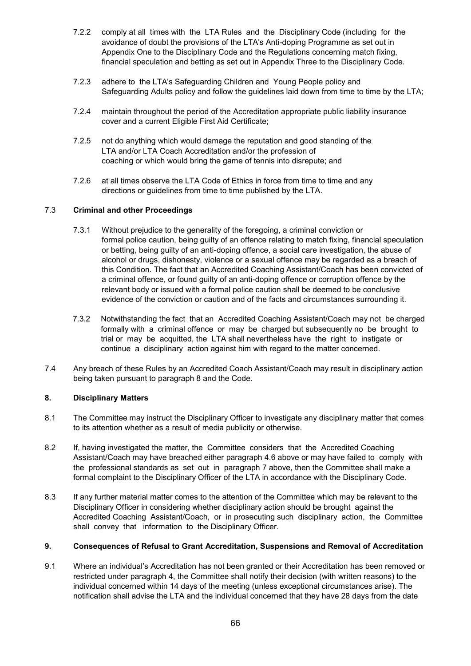- 7.2.2 comply at all times with the LTA Rules and the Disciplinary Code (including for the avoidance of doubt the provisions of the LTA's Anti-doping Programme as set out in Appendix One to the Disciplinary Code and the Regulations concerning match fixing, financial speculation and betting as set out in Appendix Three to the Disciplinary Code.
- 7.2.3 adhere to the LTA's Safeguarding Children and Young People policy and Safeguarding Adults policy and follow the guidelines laid down from time to time by the LTA;
- 7.2.4 maintain throughout the period of the Accreditation appropriate public liability insurance cover and a current Eligible First Aid Certificate;
- 7.2.5 not do anything which would damage the reputation and good standing of the LTA and/or LTA Coach Accreditation and/or the profession of coaching or which would bring the game of tennis into disrepute; and
- 7.2.6 at all times observe the LTA Code of Ethics in force from time to time and any directions or guidelines from time to time published by the LTA.

# 7.3 **Criminal and other Proceedings**

- 7.3.1 Without prejudice to the generality of the foregoing, a criminal conviction or formal police caution, being guilty of an offence relating to match fixing, financial speculation or betting, being guilty of an anti-doping offence, a social care investigation, the abuse of alcohol or drugs, dishonesty, violence or a sexual offence may be regarded as a breach of this Condition. The fact that an Accredited Coaching Assistant/Coach has been convicted of a criminal offence, or found guilty of an anti-doping offence or corruption offence by the relevant body or issued with a formal police caution shall be deemed to be conclusive evidence of the conviction or caution and of the facts and circumstances surrounding it.
- 7.3.2 Notwithstanding the fact that an Accredited Coaching Assistant/Coach may not be charged formally with a criminal offence or may be charged but subsequently no be brought to trial or may be acquitted, the LTA shall nevertheless have the right to instigate or continue a disciplinary action against him with regard to the matter concerned.
- 7.4 Any breach of these Rules by an Accredited Coach Assistant/Coach may result in disciplinary action being taken pursuant to paragraph 8 and the Code.

## **8. Disciplinary Matters**

- 8.1 The Committee may instruct the Disciplinary Officer to investigate any disciplinary matter that comes to its attention whether as a result of media publicity or otherwise.
- 8.2 If, having investigated the matter, the Committee considers that the Accredited Coaching Assistant/Coach may have breached either paragraph 4.6 above or may have failed to comply with the professional standards as set out in paragraph 7 above, then the Committee shall make a formal complaint to the Disciplinary Officer of the LTA in accordance with the Disciplinary Code.
- 8.3 If any further material matter comes to the attention of the Committee which may be relevant to the Disciplinary Officer in considering whether disciplinary action should be brought against the Accredited Coaching Assistant/Coach, or in prosecuting such disciplinary action, the Committee shall convey that information to the Disciplinary Officer.

## **9. Consequences of Refusal to Grant Accreditation, Suspensions and Removal of Accreditation**

9.1 Where an individual's Accreditation has not been granted or their Accreditation has been removed or restricted under paragraph 4, the Committee shall notify their decision (with written reasons) to the individual concerned within 14 days of the meeting (unless exceptional circumstances arise). The notification shall advise the LTA and the individual concerned that they have 28 days from the date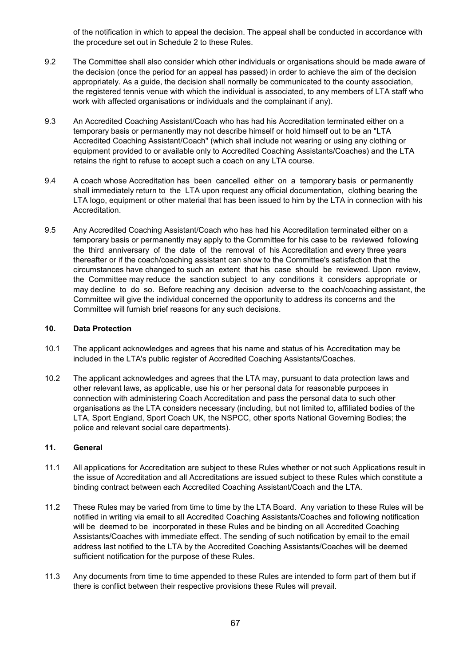of the notification in which to appeal the decision. The appeal shall be conducted in accordance with the procedure set out in Schedule 2 to these Rules.

- 9.2 The Committee shall also consider which other individuals or organisations should be made aware of the decision (once the period for an appeal has passed) in order to achieve the aim of the decision appropriately. As a guide, the decision shall normally be communicated to the county association, the registered tennis venue with which the individual is associated, to any members of LTA staff who work with affected organisations or individuals and the complainant if any).
- 9.3 An Accredited Coaching Assistant/Coach who has had his Accreditation terminated either on a temporary basis or permanently may not describe himself or hold himself out to be an "LTA Accredited Coaching Assistant/Coach" (which shall include not wearing or using any clothing or equipment provided to or available only to Accredited Coaching Assistants/Coaches) and the LTA retains the right to refuse to accept such a coach on any LTA course.
- 9.4 A coach whose Accreditation has been cancelled either on a temporary basis or permanently shall immediately return to the LTA upon request any official documentation, clothing bearing the LTA logo, equipment or other material that has been issued to him by the LTA in connection with his Accreditation.
- 9.5 Any Accredited Coaching Assistant/Coach who has had his Accreditation terminated either on a temporary basis or permanently may apply to the Committee for his case to be reviewed following the third anniversary of the date of the removal of his Accreditation and every three years thereafter or if the coach/coaching assistant can show to the Committee's satisfaction that the circumstances have changed to such an extent that his case should be reviewed. Upon review, the Committee may reduce the sanction subject to any conditions it considers appropriate or may decline to do so. Before reaching any decision adverse to the coach/coaching assistant, the Committee will give the individual concerned the opportunity to address its concerns and the Committee will furnish brief reasons for any such decisions.

## **10. Data Protection**

- 10.1 The applicant acknowledges and agrees that his name and status of his Accreditation may be included in the LTA's public register of Accredited Coaching Assistants/Coaches.
- 10.2 The applicant acknowledges and agrees that the LTA may, pursuant to data protection laws and other relevant laws, as applicable, use his or her personal data for reasonable purposes in connection with administering Coach Accreditation and pass the personal data to such other organisations as the LTA considers necessary (including, but not limited to, affiliated bodies of the LTA, Sport England, Sport Coach UK, the NSPCC, other sports National Governing Bodies; the police and relevant social care departments).

### **11. General**

- 11.1 All applications for Accreditation are subject to these Rules whether or not such Applications result in the issue of Accreditation and all Accreditations are issued subject to these Rules which constitute a binding contract between each Accredited Coaching Assistant/Coach and the LTA.
- 11.2 These Rules may be varied from time to time by the LTA Board. Any variation to these Rules will be notified in writing via email to all Accredited Coaching Assistants/Coaches and following notification will be deemed to be incorporated in these Rules and be binding on all Accredited Coaching Assistants/Coaches with immediate effect. The sending of such notification by email to the email address last notified to the LTA by the Accredited Coaching Assistants/Coaches will be deemed sufficient notification for the purpose of these Rules.
- 11.3 Any documents from time to time appended to these Rules are intended to form part of them but if there is conflict between their respective provisions these Rules will prevail.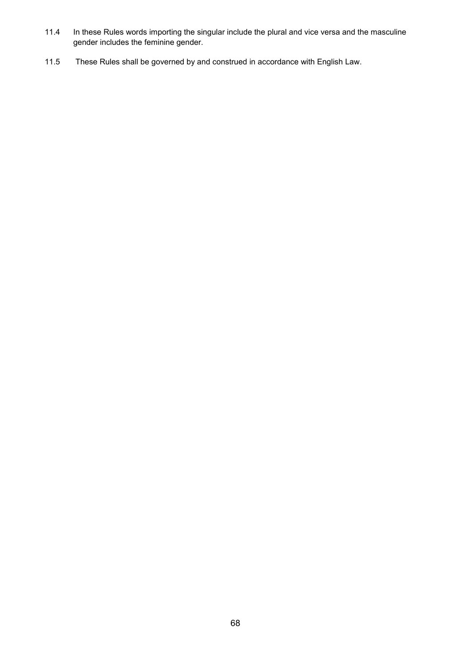- 11.4 In these Rules words importing the singular include the plural and vice versa and the masculine gender includes the feminine gender.
- 11.5 These Rules shall be governed by and construed in accordance with English Law.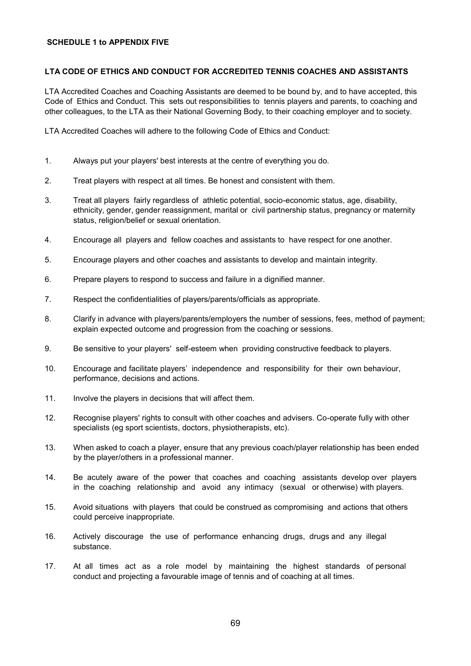### **SCHEDULE 1 to APPENDIX FIVE**

## **LTA CODE OF ETHICS AND CONDUCT FOR ACCREDITED TENNIS COACHES AND ASSISTANTS**

LTA Accredited Coaches and Coaching Assistants are deemed to be bound by, and to have accepted, this Code of Ethics and Conduct. This sets out responsibilities to tennis players and parents, to coaching and other colleagues, to the LTA as their National Governing Body, to their coaching employer and to society.

LTA Accredited Coaches will adhere to the following Code of Ethics and Conduct:

- 1. Always put your players' best interests at the centre of everything you do.
- 2. Treat players with respect at all times. Be honest and consistent with them.
- 3. Treat all players fairly regardless of athletic potential, socio-economic status, age, disability, ethnicity, gender, gender reassignment, marital or civil partnership status, pregnancy or maternity status, religion/belief or sexual orientation.
- 4. Encourage all players and fellow coaches and assistants to have respect for one another.
- 5. Encourage players and other coaches and assistants to develop and maintain integrity.
- 6. Prepare players to respond to success and failure in a dignified manner.
- 7. Respect the confidentialities of players/parents/officials as appropriate.
- 8. Clarify in advance with players/parents/employers the number of sessions, fees, method of payment; explain expected outcome and progression from the coaching or sessions.
- 9. Be sensitive to your players' self-esteem when providing constructive feedback to players.
- 10. Encourage and facilitate players' independence and responsibility for their own behaviour, performance, decisions and actions.
- 11. Involve the players in decisions that will affect them.
- 12. Recognise players' rights to consult with other coaches and advisers. Co-operate fully with other specialists (eg sport scientists, doctors, physiotherapists, etc).
- 13. When asked to coach a player, ensure that any previous coach/player relationship has been ended by the player/others in a professional manner.
- 14. Be acutely aware of the power that coaches and coaching assistants develop over players in the coaching relationship and avoid any intimacy (sexual or otherwise) with players.
- 15. Avoid situations with players that could be construed as compromising and actions that others could perceive inappropriate.
- 16. Actively discourage the use of performance enhancing drugs, drugs and any illegal substance.
- 17. At all times act as a role model by maintaining the highest standards of personal conduct and projecting a favourable image of tennis and of coaching at all times.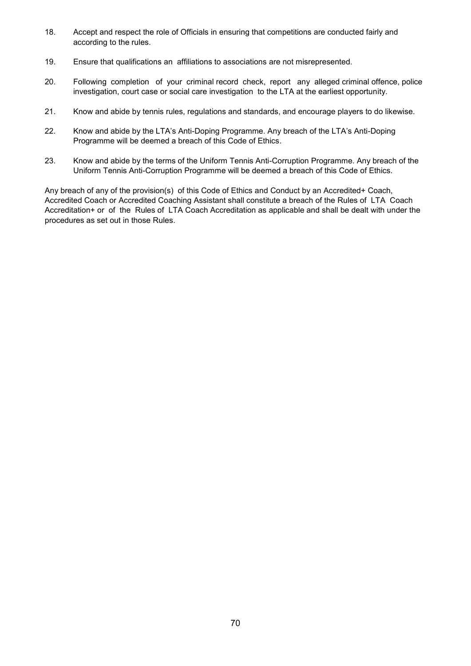- 18. Accept and respect the role of Officials in ensuring that competitions are conducted fairly and according to the rules.
- 19. Ensure that qualifications an affiliations to associations are not misrepresented.
- 20. Following completion of your criminal record check, report any alleged criminal offence, police investigation, court case or social care investigation to the LTA at the earliest opportunity.
- 21. Know and abide by tennis rules, regulations and standards, and encourage players to do likewise.
- 22. Know and abide by the LTA's Anti-Doping Programme. Any breach of the LTA's Anti-Doping Programme will be deemed a breach of this Code of Ethics.
- 23. Know and abide by the terms of the Uniform Tennis Anti-Corruption Programme. Any breach of the Uniform Tennis Anti-Corruption Programme will be deemed a breach of this Code of Ethics.

Any breach of any of the provision(s) of this Code of Ethics and Conduct by an Accredited+ Coach, Accredited Coach or Accredited Coaching Assistant shall constitute a breach of the Rules of LTA Coach Accreditation+ or of the Rules of LTA Coach Accreditation as applicable and shall be dealt with under the procedures as set out in those Rules.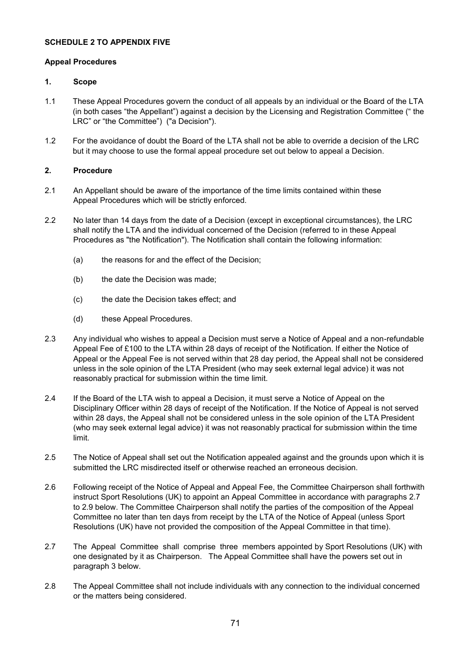### **SCHEDULE 2 TO APPENDIX FIVE**

#### **Appeal Procedures**

#### **1. Scope**

- 1.1 These Appeal Procedures govern the conduct of all appeals by an individual or the Board of the LTA (in both cases "the Appellant") against a decision by the Licensing and Registration Committee (" the LRC" or "the Committee") ("a Decision").
- 1.2 For the avoidance of doubt the Board of the LTA shall not be able to override a decision of the LRC but it may choose to use the formal appeal procedure set out below to appeal a Decision.

## **2. Procedure**

- 2.1 An Appellant should be aware of the importance of the time limits contained within these Appeal Procedures which will be strictly enforced.
- 2.2 No later than 14 days from the date of a Decision (except in exceptional circumstances), the LRC shall notify the LTA and the individual concerned of the Decision (referred to in these Appeal Procedures as "the Notification"). The Notification shall contain the following information:
	- (a) the reasons for and the effect of the Decision;
	- (b) the date the Decision was made;
	- (c) the date the Decision takes effect; and
	- (d) these Appeal Procedures.
- 2.3 Any individual who wishes to appeal a Decision must serve a Notice of Appeal and a non-refundable Appeal Fee of £100 to the LTA within 28 days of receipt of the Notification. If either the Notice of Appeal or the Appeal Fee is not served within that 28 day period, the Appeal shall not be considered unless in the sole opinion of the LTA President (who may seek external legal advice) it was not reasonably practical for submission within the time limit.
- 2.4 If the Board of the LTA wish to appeal a Decision, it must serve a Notice of Appeal on the Disciplinary Officer within 28 days of receipt of the Notification. If the Notice of Appeal is not served within 28 days, the Appeal shall not be considered unless in the sole opinion of the LTA President (who may seek external legal advice) it was not reasonably practical for submission within the time limit.
- 2.5 The Notice of Appeal shall set out the Notification appealed against and the grounds upon which it is submitted the LRC misdirected itself or otherwise reached an erroneous decision.
- 2.6 Following receipt of the Notice of Appeal and Appeal Fee, the Committee Chairperson shall forthwith instruct Sport Resolutions (UK) to appoint an Appeal Committee in accordance with paragraphs 2.7 to 2.9 below. The Committee Chairperson shall notify the parties of the composition of the Appeal Committee no later than ten days from receipt by the LTA of the Notice of Appeal (unless Sport Resolutions (UK) have not provided the composition of the Appeal Committee in that time).
- 2.7 The Appeal Committee shall comprise three members appointed by Sport Resolutions (UK) with one designated by it as Chairperson. The Appeal Committee shall have the powers set out in paragraph 3 below.
- 2.8 The Appeal Committee shall not include individuals with any connection to the individual concerned or the matters being considered.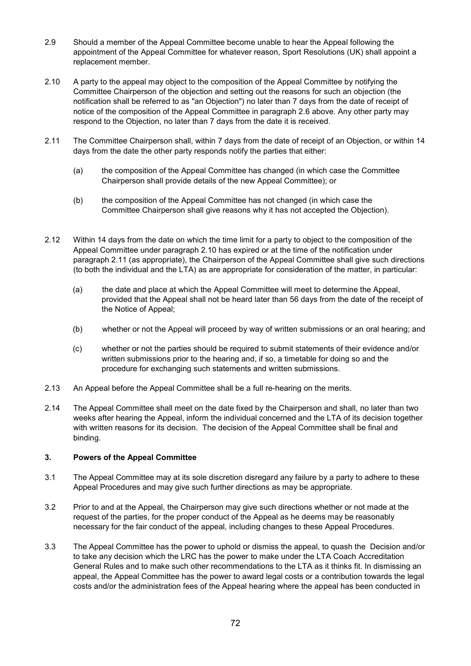- 2.9 Should a member of the Appeal Committee become unable to hear the Appeal following the appointment of the Appeal Committee for whatever reason, Sport Resolutions (UK) shall appoint a replacement member.
- 2.10 A party to the appeal may object to the composition of the Appeal Committee by notifying the Committee Chairperson of the objection and setting out the reasons for such an objection (the notification shall be referred to as "an Objection") no later than 7 days from the date of receipt of notice of the composition of the Appeal Committee in paragraph 2.6 above. Any other party may respond to the Objection, no later than 7 days from the date it is received.
- 2.11 The Committee Chairperson shall, within 7 days from the date of receipt of an Objection, or within 14 days from the date the other party responds notify the parties that either:
	- (a) the composition of the Appeal Committee has changed (in which case the Committee Chairperson shall provide details of the new Appeal Committee); or
	- (b) the composition of the Appeal Committee has not changed (in which case the Committee Chairperson shall give reasons why it has not accepted the Objection).
- 2.12 Within 14 days from the date on which the time limit for a party to object to the composition of the Appeal Committee under paragraph 2.10 has expired or at the time of the notification under paragraph 2.11 (as appropriate), the Chairperson of the Appeal Committee shall give such directions (to both the individual and the LTA) as are appropriate for consideration of the matter, in particular:
	- (a) the date and place at which the Appeal Committee will meet to determine the Appeal, provided that the Appeal shall not be heard later than 56 days from the date of the receipt of the Notice of Appeal;
	- (b) whether or not the Appeal will proceed by way of written submissions or an oral hearing; and
	- (c) whether or not the parties should be required to submit statements of their evidence and/or written submissions prior to the hearing and, if so, a timetable for doing so and the procedure for exchanging such statements and written submissions.
- 2.13 An Appeal before the Appeal Committee shall be a full re-hearing on the merits.
- 2.14 The Appeal Committee shall meet on the date fixed by the Chairperson and shall, no later than two weeks after hearing the Appeal, inform the individual concerned and the LTA of its decision together with written reasons for its decision. The decision of the Appeal Committee shall be final and binding.

### **3. Powers of the Appeal Committee**

- 3.1 The Appeal Committee may at its sole discretion disregard any failure by a party to adhere to these Appeal Procedures and may give such further directions as may be appropriate.
- 3.2 Prior to and at the Appeal, the Chairperson may give such directions whether or not made at the request of the parties, for the proper conduct of the Appeal as he deems may be reasonably necessary for the fair conduct of the appeal, including changes to these Appeal Procedures.
- 3.3 The Appeal Committee has the power to uphold or dismiss the appeal, to quash the Decision and/or to take any decision which the LRC has the power to make under the LTA Coach Accreditation General Rules and to make such other recommendations to the LTA as it thinks fit. In dismissing an appeal, the Appeal Committee has the power to award legal costs or a contribution towards the legal costs and/or the administration fees of the Appeal hearing where the appeal has been conducted in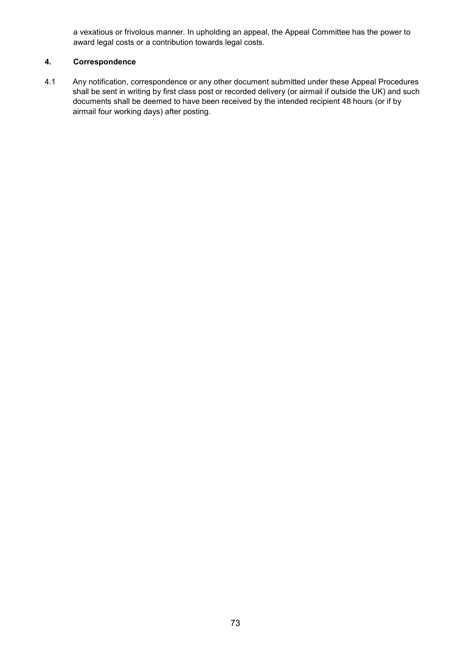a vexatious or frivolous manner. In upholding an appeal, the Appeal Committee has the power to award legal costs or a contribution towards legal costs.

# **4. Correspondence**

4.1 Any notification, correspondence or any other document submitted under these Appeal Procedures shall be sent in writing by first class post or recorded delivery (or airmail if outside the UK) and such documents shall be deemed to have been received by the intended recipient 48 hours (or if by airmail four working days) after posting.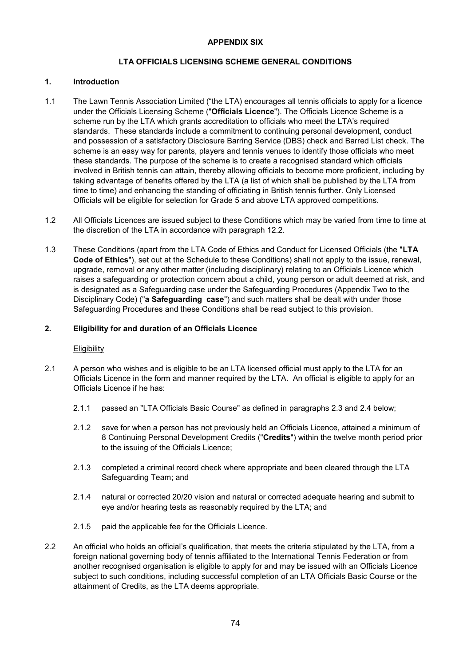## **LTA OFFICIALS LICENSING SCHEME GENERAL CONDITIONS**

### **1. Introduction**

- 1.1 The Lawn Tennis Association Limited ("the LTA) encourages all tennis officials to apply for a licence under the Officials Licensing Scheme ("**Officials Licence**"). The Officials Licence Scheme is a scheme run by the LTA which grants accreditation to officials who meet the LTA's required standards. These standards include a commitment to continuing personal development, conduct and possession of a satisfactory Disclosure Barring Service (DBS) check and Barred List check. The scheme is an easy way for parents, players and tennis venues to identify those officials who meet these standards. The purpose of the scheme is to create a recognised standard which officials involved in British tennis can attain, thereby allowing officials to become more proficient, including by taking advantage of benefits offered by the LTA (a list of which shall be published by the LTA from time to time) and enhancing the standing of officiating in British tennis further. Only Licensed Officials will be eligible for selection for Grade 5 and above LTA approved competitions.
- 1.2 All Officials Licences are issued subject to these Conditions which may be varied from time to time at the discretion of the LTA in accordance with paragraph 12.2.
- 1.3 These Conditions (apart from the LTA Code of Ethics and Conduct for Licensed Officials (the "**LTA Code of Ethics**"), set out at the Schedule to these Conditions) shall not apply to the issue, renewal, upgrade, removal or any other matter (including disciplinary) relating to an Officials Licence which raises a safeguarding or protection concern about a child, young person or adult deemed at risk, and is designated as a Safeguarding case under the Safeguarding Procedures (Appendix Two to the Disciplinary Code) ("**a Safeguarding case**") and such matters shall be dealt with under those Safeguarding Procedures and these Conditions shall be read subject to this provision.

#### **2. Eligibility for and duration of an Officials Licence**

#### **Eligibility**

- 2.1 A person who wishes and is eligible to be an LTA licensed official must apply to the LTA for an Officials Licence in the form and manner required by the LTA. An official is eligible to apply for an Officials Licence if he has:
	- 2.1.1 passed an "LTA Officials Basic Course" as defined in paragraphs 2.3 and 2.4 below;
	- 2.1.2 save for when a person has not previously held an Officials Licence, attained a minimum of 8 Continuing Personal Development Credits ("**Credits**") within the twelve month period prior to the issuing of the Officials Licence;
	- 2.1.3 completed a criminal record check where appropriate and been cleared through the LTA Safeguarding Team; and
	- 2.1.4 natural or corrected 20/20 vision and natural or corrected adequate hearing and submit to eye and/or hearing tests as reasonably required by the LTA; and
	- 2.1.5 paid the applicable fee for the Officials Licence.
- 2.2 An official who holds an official's qualification, that meets the criteria stipulated by the LTA, from a foreign national governing body of tennis affiliated to the International Tennis Federation or from another recognised organisation is eligible to apply for and may be issued with an Officials Licence subject to such conditions, including successful completion of an LTA Officials Basic Course or the attainment of Credits, as the LTA deems appropriate.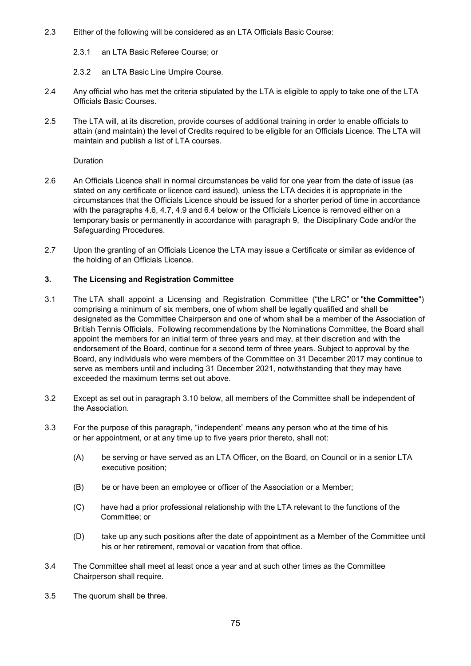- 2.3 Either of the following will be considered as an LTA Officials Basic Course:
	- 2.3.1 an LTA Basic Referee Course; or

2.3.2 an LTA Basic Line Umpire Course.

- 2.4 Any official who has met the criteria stipulated by the LTA is eligible to apply to take one of the LTA Officials Basic Courses.
- 2.5 The LTA will, at its discretion, provide courses of additional training in order to enable officials to attain (and maintain) the level of Credits required to be eligible for an Officials Licence. The LTA will maintain and publish a list of LTA courses.

# Duration

- 2.6 An Officials Licence shall in normal circumstances be valid for one year from the date of issue (as stated on any certificate or licence card issued), unless the LTA decides it is appropriate in the circumstances that the Officials Licence should be issued for a shorter period of time in accordance with the paragraphs 4.6, 4.7, 4.9 and 6.4 below or the Officials Licence is removed either on a temporary basis or permanently in accordance with paragraph 9, the Disciplinary Code and/or the Safeguarding Procedures.
- 2.7 Upon the granting of an Officials Licence the LTA may issue a Certificate or similar as evidence of the holding of an Officials Licence.

## **3. The Licensing and Registration Committee**

- 3.1 The LTA shall appoint a Licensing and Registration Committee ("the LRC" or "**the Committee**") comprising a minimum of six members, one of whom shall be legally qualified and shall be designated as the Committee Chairperson and one of whom shall be a member of the Association of British Tennis Officials. Following recommendations by the Nominations Committee, the Board shall appoint the members for an initial term of three years and may, at their discretion and with the endorsement of the Board, continue for a second term of three years. Subject to approval by the Board, any individuals who were members of the Committee on 31 December 2017 may continue to serve as members until and including 31 December 2021, notwithstanding that they may have exceeded the maximum terms set out above.
- 3.2 Except as set out in paragraph 3.10 below, all members of the Committee shall be independent of the Association.
- 3.3 For the purpose of this paragraph, "independent" means any person who at the time of his or her appointment, or at any time up to five years prior thereto, shall not:
	- (A) be serving or have served as an LTA Officer, on the Board, on Council or in a senior LTA executive position;
	- (B) be or have been an employee or officer of the Association or a Member;
	- (C) have had a prior professional relationship with the LTA relevant to the functions of the Committee; or
	- (D) take up any such positions after the date of appointment as a Member of the Committee until his or her retirement, removal or vacation from that office.
- 3.4 The Committee shall meet at least once a year and at such other times as the Committee Chairperson shall require.
- 3.5 The quorum shall be three.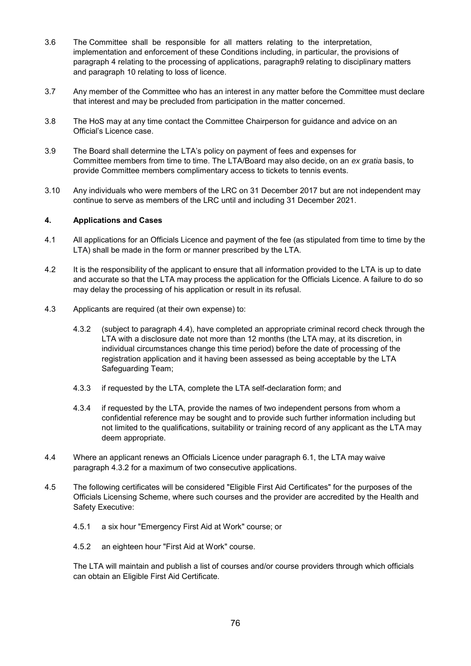- 3.6 The Committee shall be responsible for all matters relating to the interpretation, implementation and enforcement of these Conditions including, in particular, the provisions of paragraph 4 relating to the processing of applications, paragraph9 relating to disciplinary matters and paragraph 10 relating to loss of licence.
- 3.7 Any member of the Committee who has an interest in any matter before the Committee must declare that interest and may be precluded from participation in the matter concerned.
- 3.8 The HoS may at any time contact the Committee Chairperson for guidance and advice on an Official's Licence case.
- 3.9 The Board shall determine the LTA's policy on payment of fees and expenses for Committee members from time to time. The LTA/Board may also decide, on an *ex gratia* basis, to provide Committee members complimentary access to tickets to tennis events.
- 3.10 Any individuals who were members of the LRC on 31 December 2017 but are not independent may continue to serve as members of the LRC until and including 31 December 2021.

### **4. Applications and Cases**

- 4.1 All applications for an Officials Licence and payment of the fee (as stipulated from time to time by the LTA) shall be made in the form or manner prescribed by the LTA.
- 4.2 It is the responsibility of the applicant to ensure that all information provided to the LTA is up to date and accurate so that the LTA may process the application for the Officials Licence. A failure to do so may delay the processing of his application or result in its refusal.
- 4.3 Applicants are required (at their own expense) to:
	- 4.3.2 (subject to paragraph 4.4), have completed an appropriate criminal record check through the LTA with a disclosure date not more than 12 months (the LTA may, at its discretion, in individual circumstances change this time period) before the date of processing of the registration application and it having been assessed as being acceptable by the LTA Safeguarding Team;
	- 4.3.3 if requested by the LTA, complete the LTA self-declaration form; and
	- 4.3.4 if requested by the LTA, provide the names of two independent persons from whom a confidential reference may be sought and to provide such further information including but not limited to the qualifications, suitability or training record of any applicant as the LTA may deem appropriate.
- 4.4 Where an applicant renews an Officials Licence under paragraph 6.1, the LTA may waive paragraph 4.3.2 for a maximum of two consecutive applications.
- 4.5 The following certificates will be considered "Eligible First Aid Certificates" for the purposes of the Officials Licensing Scheme, where such courses and the provider are accredited by the Health and Safety Executive:
	- 4.5.1 a six hour "Emergency First Aid at Work" course; or
	- 4.5.2 an eighteen hour "First Aid at Work" course.

The LTA will maintain and publish a list of courses and/or course providers through which officials can obtain an Eligible First Aid Certificate.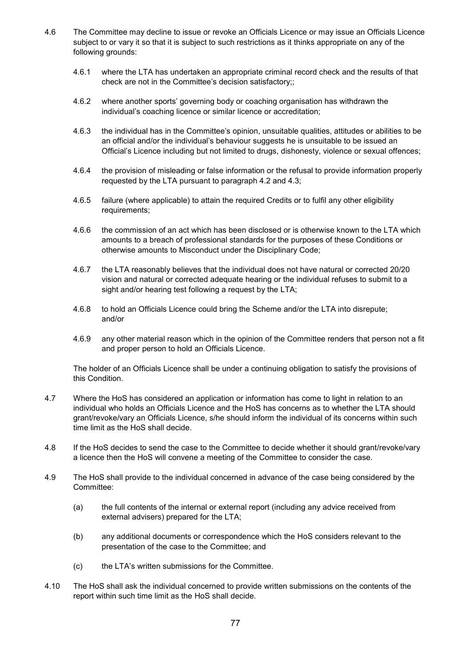- 4.6 The Committee may decline to issue or revoke an Officials Licence or may issue an Officials Licence subject to or vary it so that it is subject to such restrictions as it thinks appropriate on any of the following grounds:
	- 4.6.1 where the LTA has undertaken an appropriate criminal record check and the results of that check are not in the Committee's decision satisfactory;;
	- 4.6.2 where another sports' governing body or coaching organisation has withdrawn the individual's coaching licence or similar licence or accreditation;
	- 4.6.3 the individual has in the Committee's opinion, unsuitable qualities, attitudes or abilities to be an official and/or the individual's behaviour suggests he is unsuitable to be issued an Official's Licence including but not limited to drugs, dishonesty, violence or sexual offences;
	- 4.6.4 the provision of misleading or false information or the refusal to provide information properly requested by the LTA pursuant to paragraph 4.2 and 4.3;
	- 4.6.5 failure (where applicable) to attain the required Credits or to fulfil any other eligibility requirements;
	- 4.6.6 the commission of an act which has been disclosed or is otherwise known to the LTA which amounts to a breach of professional standards for the purposes of these Conditions or otherwise amounts to Misconduct under the Disciplinary Code;
	- 4.6.7 the LTA reasonably believes that the individual does not have natural or corrected 20/20 vision and natural or corrected adequate hearing or the individual refuses to submit to a sight and/or hearing test following a request by the LTA;
	- 4.6.8 to hold an Officials Licence could bring the Scheme and/or the LTA into disrepute; and/or
	- 4.6.9 any other material reason which in the opinion of the Committee renders that person not a fit and proper person to hold an Officials Licence.

The holder of an Officials Licence shall be under a continuing obligation to satisfy the provisions of this Condition.

- 4.7 Where the HoS has considered an application or information has come to light in relation to an individual who holds an Officials Licence and the HoS has concerns as to whether the LTA should grant/revoke/vary an Officials Licence, s/he should inform the individual of its concerns within such time limit as the HoS shall decide.
- 4.8 If the HoS decides to send the case to the Committee to decide whether it should grant/revoke/vary a licence then the HoS will convene a meeting of the Committee to consider the case.
- 4.9 The HoS shall provide to the individual concerned in advance of the case being considered by the Committee:
	- (a) the full contents of the internal or external report (including any advice received from external advisers) prepared for the LTA;
	- (b) any additional documents or correspondence which the HoS considers relevant to the presentation of the case to the Committee; and
	- (c) the LTA's written submissions for the Committee.
- 4.10 The HoS shall ask the individual concerned to provide written submissions on the contents of the report within such time limit as the HoS shall decide.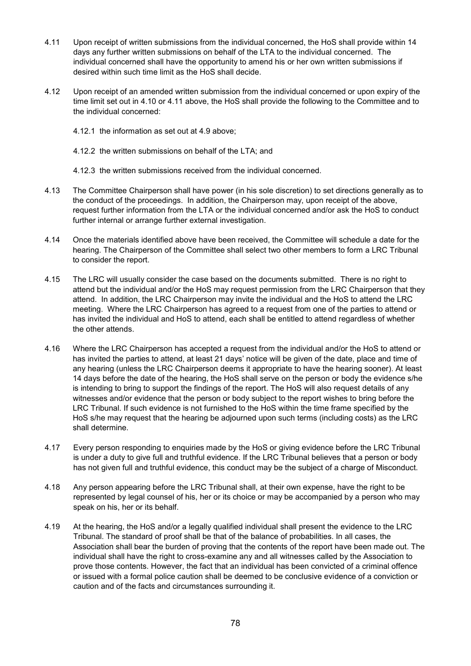- 4.11 Upon receipt of written submissions from the individual concerned, the HoS shall provide within 14 days any further written submissions on behalf of the LTA to the individual concerned. The individual concerned shall have the opportunity to amend his or her own written submissions if desired within such time limit as the HoS shall decide.
- 4.12 Upon receipt of an amended written submission from the individual concerned or upon expiry of the time limit set out in 4.10 or 4.11 above, the HoS shall provide the following to the Committee and to the individual concerned:
	- 4.12.1 the information as set out at 4.9 above;
	- 4.12.2 the written submissions on behalf of the LTA; and
	- 4.12.3 the written submissions received from the individual concerned.
- 4.13 The Committee Chairperson shall have power (in his sole discretion) to set directions generally as to the conduct of the proceedings. In addition, the Chairperson may, upon receipt of the above, request further information from the LTA or the individual concerned and/or ask the HoS to conduct further internal or arrange further external investigation.
- 4.14 Once the materials identified above have been received, the Committee will schedule a date for the hearing. The Chairperson of the Committee shall select two other members to form a LRC Tribunal to consider the report.
- 4.15 The LRC will usually consider the case based on the documents submitted. There is no right to attend but the individual and/or the HoS may request permission from the LRC Chairperson that they attend. In addition, the LRC Chairperson may invite the individual and the HoS to attend the LRC meeting. Where the LRC Chairperson has agreed to a request from one of the parties to attend or has invited the individual and HoS to attend, each shall be entitled to attend regardless of whether the other attends.
- 4.16 Where the LRC Chairperson has accepted a request from the individual and/or the HoS to attend or has invited the parties to attend, at least 21 days' notice will be given of the date, place and time of any hearing (unless the LRC Chairperson deems it appropriate to have the hearing sooner). At least 14 days before the date of the hearing, the HoS shall serve on the person or body the evidence s/he is intending to bring to support the findings of the report. The HoS will also request details of any witnesses and/or evidence that the person or body subject to the report wishes to bring before the LRC Tribunal. If such evidence is not furnished to the HoS within the time frame specified by the HoS s/he may request that the hearing be adjourned upon such terms (including costs) as the LRC shall determine.
- 4.17 Every person responding to enquiries made by the HoS or giving evidence before the LRC Tribunal is under a duty to give full and truthful evidence. If the LRC Tribunal believes that a person or body has not given full and truthful evidence, this conduct may be the subject of a charge of Misconduct.
- 4.18 Any person appearing before the LRC Tribunal shall, at their own expense, have the right to be represented by legal counsel of his, her or its choice or may be accompanied by a person who may speak on his, her or its behalf.
- 4.19 At the hearing, the HoS and/or a legally qualified individual shall present the evidence to the LRC Tribunal. The standard of proof shall be that of the balance of probabilities. In all cases, the Association shall bear the burden of proving that the contents of the report have been made out. The individual shall have the right to cross-examine any and all witnesses called by the Association to prove those contents. However, the fact that an individual has been convicted of a criminal offence or issued with a formal police caution shall be deemed to be conclusive evidence of a conviction or caution and of the facts and circumstances surrounding it.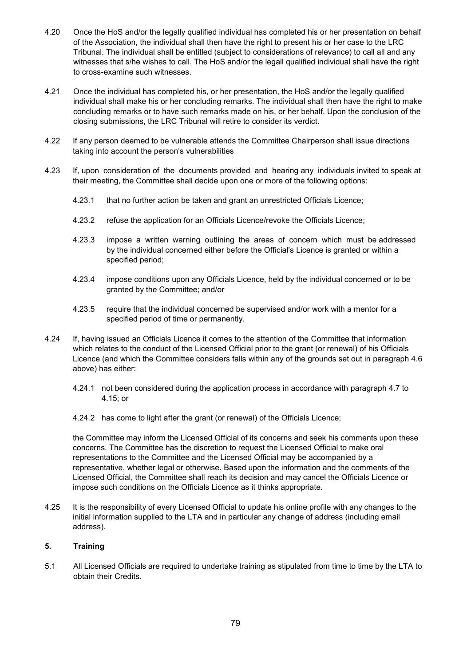- 4.20 Once the HoS and/or the legally qualified individual has completed his or her presentation on behalf of the Association, the individual shall then have the right to present his or her case to the LRC Tribunal. The individual shall be entitled (subject to considerations of relevance) to call all and any witnesses that s/he wishes to call. The HoS and/or the legall qualified individual shall have the right to cross-examine such witnesses.
- 4.21 Once the individual has completed his, or her presentation, the HoS and/or the legally qualified individual shall make his or her concluding remarks. The individual shall then have the right to make concluding remarks or to have such remarks made on his, or her behalf. Upon the conclusion of the closing submissions, the LRC Tribunal will retire to consider its verdict.
- 4.22 If any person deemed to be vulnerable attends the Committee Chairperson shall issue directions taking into account the person's vulnerabilities
- 4.23 If, upon consideration of the documents provided and hearing any individuals invited to speak at their meeting, the Committee shall decide upon one or more of the following options:
	- 4.23.1 that no further action be taken and grant an unrestricted Officials Licence;
	- 4.23.2 refuse the application for an Officials Licence/revoke the Officials Licence;
	- 4.23.3 impose a written warning outlining the areas of concern which must be addressed by the individual concerned either before the Official's Licence is granted or within a specified period;
	- 4.23.4 impose conditions upon any Officials Licence, held by the individual concerned or to be granted by the Committee; and/or
	- 4.23.5 require that the individual concerned be supervised and/or work with a mentor for a specified period of time or permanently.
- 4.24 If, having issued an Officials Licence it comes to the attention of the Committee that information which relates to the conduct of the Licensed Official prior to the grant (or renewal) of his Officials Licence (and which the Committee considers falls within any of the grounds set out in paragraph 4.6 above) has either:
	- 4.24.1 not been considered during the application process in accordance with paragraph 4.7 to 4.15; or
	- 4.24.2 has come to light after the grant (or renewal) of the Officials Licence;

the Committee may inform the Licensed Official of its concerns and seek his comments upon these concerns. The Committee has the discretion to request the Licensed Official to make oral representations to the Committee and the Licensed Official may be accompanied by a representative, whether legal or otherwise. Based upon the information and the comments of the Licensed Official, the Committee shall reach its decision and may cancel the Officials Licence or impose such conditions on the Officials Licence as it thinks appropriate.

4.25 It is the responsibility of every Licensed Official to update his online profile with any changes to the initial information supplied to the LTA and in particular any change of address (including email address).

### **5. Training**

5.1 All Licensed Officials are required to undertake training as stipulated from time to time by the LTA to obtain their Credits.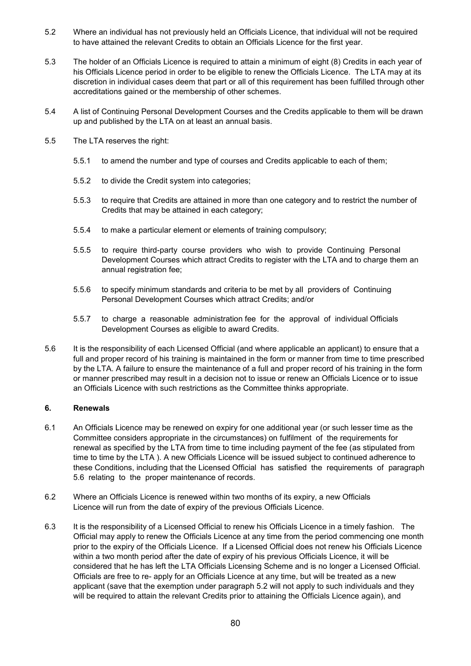- 5.2 Where an individual has not previously held an Officials Licence, that individual will not be required to have attained the relevant Credits to obtain an Officials Licence for the first year.
- 5.3 The holder of an Officials Licence is required to attain a minimum of eight (8) Credits in each year of his Officials Licence period in order to be eligible to renew the Officials Licence. The LTA may at its discretion in individual cases deem that part or all of this requirement has been fulfilled through other accreditations gained or the membership of other schemes.
- 5.4 A list of Continuing Personal Development Courses and the Credits applicable to them will be drawn up and published by the LTA on at least an annual basis.
- 5.5 The LTA reserves the right:
	- 5.5.1 to amend the number and type of courses and Credits applicable to each of them;
	- 5.5.2 to divide the Credit system into categories;
	- 5.5.3 to require that Credits are attained in more than one category and to restrict the number of Credits that may be attained in each category;
	- 5.5.4 to make a particular element or elements of training compulsory;
	- 5.5.5 to require third-party course providers who wish to provide Continuing Personal Development Courses which attract Credits to register with the LTA and to charge them an annual registration fee;
	- 5.5.6 to specify minimum standards and criteria to be met by all providers of Continuing Personal Development Courses which attract Credits; and/or
	- 5.5.7 to charge a reasonable administration fee for the approval of individual Officials Development Courses as eligible to award Credits.
- 5.6 It is the responsibility of each Licensed Official (and where applicable an applicant) to ensure that a full and proper record of his training is maintained in the form or manner from time to time prescribed by the LTA. A failure to ensure the maintenance of a full and proper record of his training in the form or manner prescribed may result in a decision not to issue or renew an Officials Licence or to issue an Officials Licence with such restrictions as the Committee thinks appropriate.

### **6. Renewals**

- 6.1 An Officials Licence may be renewed on expiry for one additional year (or such lesser time as the Committee considers appropriate in the circumstances) on fulfilment of the requirements for renewal as specified by the LTA from time to time including payment of the fee (as stipulated from time to time by the LTA ). A new Officials Licence will be issued subject to continued adherence to these Conditions, including that the Licensed Official has satisfied the requirements of paragraph 5.6 relating to the proper maintenance of records.
- 6.2 Where an Officials Licence is renewed within two months of its expiry, a new Officials Licence will run from the date of expiry of the previous Officials Licence.
- 6.3 It is the responsibility of a Licensed Official to renew his Officials Licence in a timely fashion. The Official may apply to renew the Officials Licence at any time from the period commencing one month prior to the expiry of the Officials Licence. If a Licensed Official does not renew his Officials Licence within a two month period after the date of expiry of his previous Officials Licence, it will be considered that he has left the LTA Officials Licensing Scheme and is no longer a Licensed Official. Officials are free to re- apply for an Officials Licence at any time, but will be treated as a new applicant (save that the exemption under paragraph 5.2 will not apply to such individuals and they will be required to attain the relevant Credits prior to attaining the Officials Licence again), and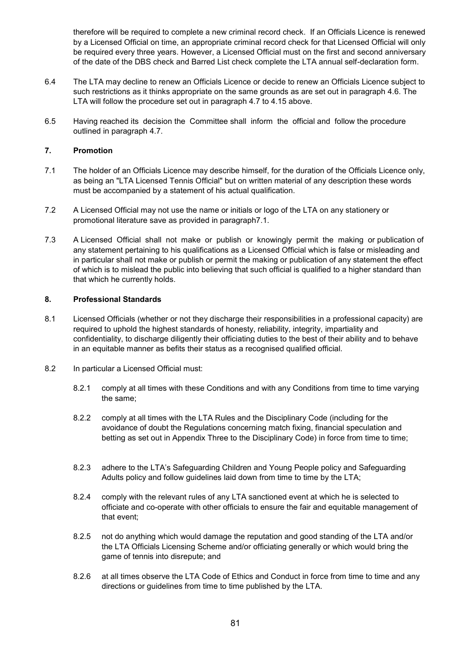therefore will be required to complete a new criminal record check. If an Officials Licence is renewed by a Licensed Official on time, an appropriate criminal record check for that Licensed Official will only be required every three years. However, a Licensed Official must on the first and second anniversary of the date of the DBS check and Barred List check complete the LTA annual self-declaration form.

- 6.4 The LTA may decline to renew an Officials Licence or decide to renew an Officials Licence subject to such restrictions as it thinks appropriate on the same grounds as are set out in paragraph 4.6. The LTA will follow the procedure set out in paragraph 4.7 to 4.15 above.
- 6.5 Having reached its decision the Committee shall inform the official and follow the procedure outlined in paragraph 4.7.

### **7. Promotion**

- 7.1 The holder of an Officials Licence may describe himself, for the duration of the Officials Licence only, as being an "LTA Licensed Tennis Official" but on written material of any description these words must be accompanied by a statement of his actual qualification.
- 7.2 A Licensed Official may not use the name or initials or logo of the LTA on any stationery or promotional literature save as provided in paragraph7.1.
- 7.3 A Licensed Official shall not make or publish or knowingly permit the making or publication of any statement pertaining to his qualifications as a Licensed Official which is false or misleading and in particular shall not make or publish or permit the making or publication of any statement the effect of which is to mislead the public into believing that such official is qualified to a higher standard than that which he currently holds.

## **8. Professional Standards**

- 8.1 Licensed Officials (whether or not they discharge their responsibilities in a professional capacity) are required to uphold the highest standards of honesty, reliability, integrity, impartiality and confidentiality, to discharge diligently their officiating duties to the best of their ability and to behave in an equitable manner as befits their status as a recognised qualified official.
- 8.2 In particular a Licensed Official must:
	- 8.2.1 comply at all times with these Conditions and with any Conditions from time to time varying the same;
	- 8.2.2 comply at all times with the LTA Rules and the Disciplinary Code (including for the avoidance of doubt the Regulations concerning match fixing, financial speculation and betting as set out in Appendix Three to the Disciplinary Code) in force from time to time;
	- 8.2.3 adhere to the LTA's Safeguarding Children and Young People policy and Safeguarding Adults policy and follow guidelines laid down from time to time by the LTA;
	- 8.2.4 comply with the relevant rules of any LTA sanctioned event at which he is selected to officiate and co-operate with other officials to ensure the fair and equitable management of that event;
	- 8.2.5 not do anything which would damage the reputation and good standing of the LTA and/or the LTA Officials Licensing Scheme and/or officiating generally or which would bring the game of tennis into disrepute; and
	- 8.2.6 at all times observe the LTA Code of Ethics and Conduct in force from time to time and any directions or guidelines from time to time published by the LTA.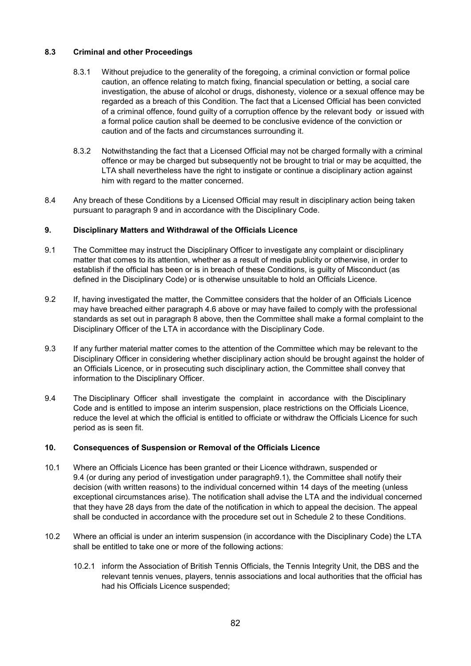### **8.3 Criminal and other Proceedings**

- 8.3.1 Without prejudice to the generality of the foregoing, a criminal conviction or formal police caution, an offence relating to match fixing, financial speculation or betting, a social care investigation, the abuse of alcohol or drugs, dishonesty, violence or a sexual offence may be regarded as a breach of this Condition. The fact that a Licensed Official has been convicted of a criminal offence, found guilty of a corruption offence by the relevant body or issued with a formal police caution shall be deemed to be conclusive evidence of the conviction or caution and of the facts and circumstances surrounding it.
- 8.3.2 Notwithstanding the fact that a Licensed Official may not be charged formally with a criminal offence or may be charged but subsequently not be brought to trial or may be acquitted, the LTA shall nevertheless have the right to instigate or continue a disciplinary action against him with regard to the matter concerned.
- 8.4 Any breach of these Conditions by a Licensed Official may result in disciplinary action being taken pursuant to paragraph 9 and in accordance with the Disciplinary Code.

## **9. Disciplinary Matters and Withdrawal of the Officials Licence**

- 9.1 The Committee may instruct the Disciplinary Officer to investigate any complaint or disciplinary matter that comes to its attention, whether as a result of media publicity or otherwise, in order to establish if the official has been or is in breach of these Conditions, is guilty of Misconduct (as defined in the Disciplinary Code) or is otherwise unsuitable to hold an Officials Licence.
- 9.2 If, having investigated the matter, the Committee considers that the holder of an Officials Licence may have breached either paragraph 4.6 above or may have failed to comply with the professional standards as set out in paragraph 8 above, then the Committee shall make a formal complaint to the Disciplinary Officer of the LTA in accordance with the Disciplinary Code.
- 9.3 If any further material matter comes to the attention of the Committee which may be relevant to the Disciplinary Officer in considering whether disciplinary action should be brought against the holder of an Officials Licence, or in prosecuting such disciplinary action, the Committee shall convey that information to the Disciplinary Officer.
- 9.4 The Disciplinary Officer shall investigate the complaint in accordance with the Disciplinary Code and is entitled to impose an interim suspension, place restrictions on the Officials Licence, reduce the level at which the official is entitled to officiate or withdraw the Officials Licence for such period as is seen fit.

### **10. Consequences of Suspension or Removal of the Officials Licence**

- 10.1 Where an Officials Licence has been granted or their Licence withdrawn, suspended or 9.4 (or during any period of investigation under paragraph9.1), the Committee shall notify their decision (with written reasons) to the individual concerned within 14 days of the meeting (unless exceptional circumstances arise). The notification shall advise the LTA and the individual concerned that they have 28 days from the date of the notification in which to appeal the decision. The appeal shall be conducted in accordance with the procedure set out in Schedule 2 to these Conditions.
- 10.2 Where an official is under an interim suspension (in accordance with the Disciplinary Code) the LTA shall be entitled to take one or more of the following actions:
	- 10.2.1 inform the Association of British Tennis Officials, the Tennis Integrity Unit, the DBS and the relevant tennis venues, players, tennis associations and local authorities that the official has had his Officials Licence suspended;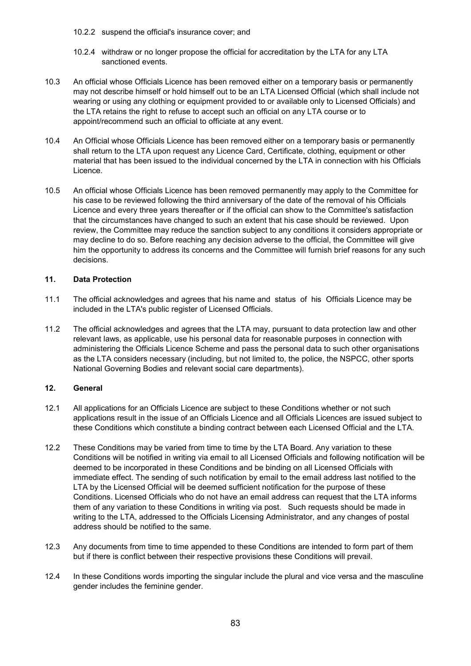- 10.2.2 suspend the official's insurance cover; and
- 10.2.4 withdraw or no longer propose the official for accreditation by the LTA for any LTA sanctioned events.
- 10.3 An official whose Officials Licence has been removed either on a temporary basis or permanently may not describe himself or hold himself out to be an LTA Licensed Official (which shall include not wearing or using any clothing or equipment provided to or available only to Licensed Officials) and the LTA retains the right to refuse to accept such an official on any LTA course or to appoint/recommend such an official to officiate at any event.
- 10.4 An Official whose Officials Licence has been removed either on a temporary basis or permanently shall return to the LTA upon request any Licence Card, Certificate, clothing, equipment or other material that has been issued to the individual concerned by the LTA in connection with his Officials Licence.
- 10.5 An official whose Officials Licence has been removed permanently may apply to the Committee for his case to be reviewed following the third anniversary of the date of the removal of his Officials Licence and every three years thereafter or if the official can show to the Committee's satisfaction that the circumstances have changed to such an extent that his case should be reviewed. Upon review, the Committee may reduce the sanction subject to any conditions it considers appropriate or may decline to do so. Before reaching any decision adverse to the official, the Committee will give him the opportunity to address its concerns and the Committee will furnish brief reasons for any such decisions.

## **11. Data Protection**

- 11.1 The official acknowledges and agrees that his name and status of his Officials Licence may be included in the LTA's public register of Licensed Officials.
- 11.2 The official acknowledges and agrees that the LTA may, pursuant to data protection law and other relevant laws, as applicable, use his personal data for reasonable purposes in connection with administering the Officials Licence Scheme and pass the personal data to such other organisations as the LTA considers necessary (including, but not limited to, the police, the NSPCC, other sports National Governing Bodies and relevant social care departments).

# **12. General**

- 12.1 All applications for an Officials Licence are subject to these Conditions whether or not such applications result in the issue of an Officials Licence and all Officials Licences are issued subject to these Conditions which constitute a binding contract between each Licensed Official and the LTA.
- 12.2 These Conditions may be varied from time to time by the LTA Board. Any variation to these Conditions will be notified in writing via email to all Licensed Officials and following notification will be deemed to be incorporated in these Conditions and be binding on all Licensed Officials with immediate effect. The sending of such notification by email to the email address last notified to the LTA by the Licensed Official will be deemed sufficient notification for the purpose of these Conditions. Licensed Officials who do not have an email address can request that the LTA informs them of any variation to these Conditions in writing via post. Such requests should be made in writing to the LTA, addressed to the Officials Licensing Administrator, and any changes of postal address should be notified to the same.
- 12.3 Any documents from time to time appended to these Conditions are intended to form part of them but if there is conflict between their respective provisions these Conditions will prevail.
- 12.4 In these Conditions words importing the singular include the plural and vice versa and the masculine gender includes the feminine gender.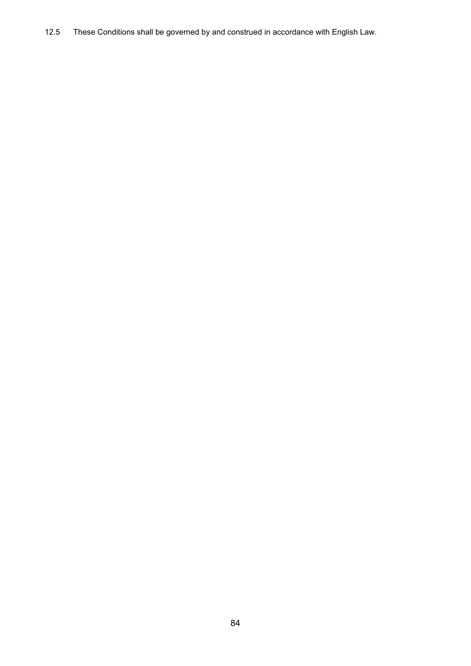12.5 These Conditions shall be governed by and construed in accordance with English Law.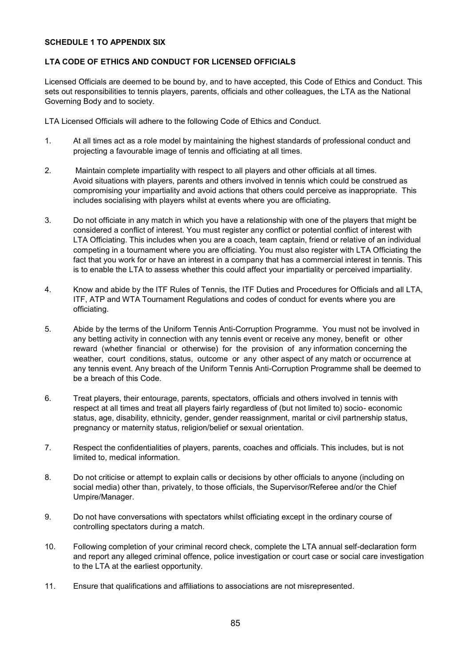### **SCHEDULE 1 TO APPENDIX SIX**

#### **LTA CODE OF ETHICS AND CONDUCT FOR LICENSED OFFICIALS**

Licensed Officials are deemed to be bound by, and to have accepted, this Code of Ethics and Conduct. This sets out responsibilities to tennis players, parents, officials and other colleagues, the LTA as the National Governing Body and to society.

LTA Licensed Officials will adhere to the following Code of Ethics and Conduct.

- 1. At all times act as a role model by maintaining the highest standards of professional conduct and projecting a favourable image of tennis and officiating at all times.
- 2. Maintain complete impartiality with respect to all players and other officials at all times. Avoid situations with players, parents and others involved in tennis which could be construed as compromising your impartiality and avoid actions that others could perceive as inappropriate. This includes socialising with players whilst at events where you are officiating.
- 3. Do not officiate in any match in which you have a relationship with one of the players that might be considered a conflict of interest. You must register any conflict or potential conflict of interest with LTA Officiating. This includes when you are a coach, team captain, friend or relative of an individual competing in a tournament where you are officiating. You must also register with LTA Officiating the fact that you work for or have an interest in a company that has a commercial interest in tennis. This is to enable the LTA to assess whether this could affect your impartiality or perceived impartiality.
- 4. Know and abide by the ITF Rules of Tennis, the ITF Duties and Procedures for Officials and all LTA, ITF, ATP and WTA Tournament Regulations and codes of conduct for events where you are officiating.
- 5. Abide by the terms of the Uniform Tennis Anti-Corruption Programme. You must not be involved in any betting activity in connection with any tennis event or receive any money, benefit or other reward (whether financial or otherwise) for the provision of any information concerning the weather, court conditions, status, outcome or any other aspect of any match or occurrence at any tennis event. Any breach of the Uniform Tennis Anti-Corruption Programme shall be deemed to be a breach of this Code.
- 6. Treat players, their entourage, parents, spectators, officials and others involved in tennis with respect at all times and treat all players fairly regardless of (but not limited to) socio- economic status, age, disability, ethnicity, gender, gender reassignment, marital or civil partnership status, pregnancy or maternity status, religion/belief or sexual orientation.
- 7. Respect the confidentialities of players, parents, coaches and officials. This includes, but is not limited to, medical information.
- 8. Do not criticise or attempt to explain calls or decisions by other officials to anyone (including on social media) other than, privately, to those officials, the Supervisor/Referee and/or the Chief Umpire/Manager.
- 9. Do not have conversations with spectators whilst officiating except in the ordinary course of controlling spectators during a match.
- 10. Following completion of your criminal record check, complete the LTA annual self-declaration form and report any alleged criminal offence, police investigation or court case or social care investigation to the LTA at the earliest opportunity.
- 11. Ensure that qualifications and affiliations to associations are not misrepresented.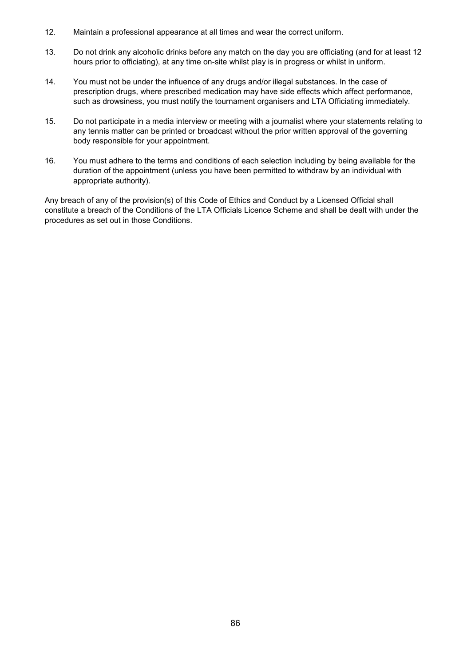- 12. Maintain a professional appearance at all times and wear the correct uniform.
- 13. Do not drink any alcoholic drinks before any match on the day you are officiating (and for at least 12 hours prior to officiating), at any time on-site whilst play is in progress or whilst in uniform.
- 14. You must not be under the influence of any drugs and/or illegal substances. In the case of prescription drugs, where prescribed medication may have side effects which affect performance, such as drowsiness, you must notify the tournament organisers and LTA Officiating immediately.
- 15. Do not participate in a media interview or meeting with a journalist where your statements relating to any tennis matter can be printed or broadcast without the prior written approval of the governing body responsible for your appointment.
- 16. You must adhere to the terms and conditions of each selection including by being available for the duration of the appointment (unless you have been permitted to withdraw by an individual with appropriate authority).

Any breach of any of the provision(s) of this Code of Ethics and Conduct by a Licensed Official shall constitute a breach of the Conditions of the LTA Officials Licence Scheme and shall be dealt with under the procedures as set out in those Conditions.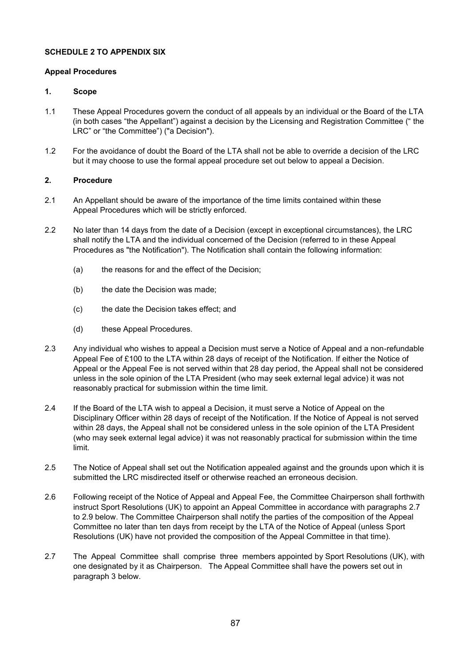## **SCHEDULE 2 TO APPENDIX SIX**

## **Appeal Procedures**

## **1. Scope**

- 1.1 These Appeal Procedures govern the conduct of all appeals by an individual or the Board of the LTA (in both cases "the Appellant") against a decision by the Licensing and Registration Committee (" the LRC" or "the Committee") ("a Decision").
- 1.2 For the avoidance of doubt the Board of the LTA shall not be able to override a decision of the LRC but it may choose to use the formal appeal procedure set out below to appeal a Decision.

## **2. Procedure**

- 2.1 An Appellant should be aware of the importance of the time limits contained within these Appeal Procedures which will be strictly enforced.
- 2.2 No later than 14 days from the date of a Decision (except in exceptional circumstances), the LRC shall notify the LTA and the individual concerned of the Decision (referred to in these Appeal Procedures as "the Notification"). The Notification shall contain the following information:
	- (a) the reasons for and the effect of the Decision;
	- (b) the date the Decision was made;
	- (c) the date the Decision takes effect; and
	- (d) these Appeal Procedures.
- 2.3 Any individual who wishes to appeal a Decision must serve a Notice of Appeal and a non-refundable Appeal Fee of £100 to the LTA within 28 days of receipt of the Notification. If either the Notice of Appeal or the Appeal Fee is not served within that 28 day period, the Appeal shall not be considered unless in the sole opinion of the LTA President (who may seek external legal advice) it was not reasonably practical for submission within the time limit.
- 2.4 If the Board of the LTA wish to appeal a Decision, it must serve a Notice of Appeal on the Disciplinary Officer within 28 days of receipt of the Notification. If the Notice of Appeal is not served within 28 days, the Appeal shall not be considered unless in the sole opinion of the LTA President (who may seek external legal advice) it was not reasonably practical for submission within the time limit.
- 2.5 The Notice of Appeal shall set out the Notification appealed against and the grounds upon which it is submitted the LRC misdirected itself or otherwise reached an erroneous decision.
- 2.6 Following receipt of the Notice of Appeal and Appeal Fee, the Committee Chairperson shall forthwith instruct Sport Resolutions (UK) to appoint an Appeal Committee in accordance with paragraphs 2.7 to 2.9 below. The Committee Chairperson shall notify the parties of the composition of the Appeal Committee no later than ten days from receipt by the LTA of the Notice of Appeal (unless Sport Resolutions (UK) have not provided the composition of the Appeal Committee in that time).
- 2.7 The Appeal Committee shall comprise three members appointed by Sport Resolutions (UK), with one designated by it as Chairperson. The Appeal Committee shall have the powers set out in paragraph 3 below.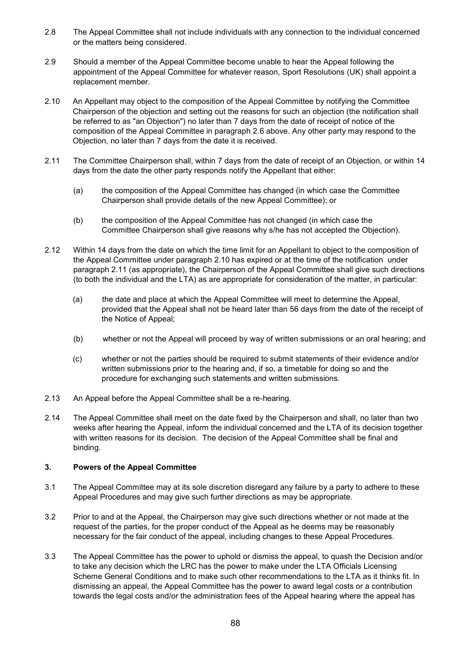- 2.8 The Appeal Committee shall not include individuals with any connection to the individual concerned or the matters being considered.
- 2.9 Should a member of the Appeal Committee become unable to hear the Appeal following the appointment of the Appeal Committee for whatever reason, Sport Resolutions (UK) shall appoint a replacement member.
- 2.10 An Appellant may object to the composition of the Appeal Committee by notifying the Committee Chairperson of the objection and setting out the reasons for such an objection (the notification shall be referred to as "an Objection") no later than 7 days from the date of receipt of notice of the composition of the Appeal Committee in paragraph 2.6 above. Any other party may respond to the Objection, no later than 7 days from the date it is received.
- 2.11 The Committee Chairperson shall, within 7 days from the date of receipt of an Objection, or within 14 days from the date the other party responds notify the Appellant that either:
	- (a) the composition of the Appeal Committee has changed (in which case the Committee Chairperson shall provide details of the new Appeal Committee); or
	- (b) the composition of the Appeal Committee has not changed (in which case the Committee Chairperson shall give reasons why s/he has not accepted the Objection).
- 2.12 Within 14 days from the date on which the time limit for an Appellant to object to the composition of the Appeal Committee under paragraph 2.10 has expired or at the time of the notification under paragraph 2.11 (as appropriate), the Chairperson of the Appeal Committee shall give such directions (to both the individual and the LTA) as are appropriate for consideration of the matter, in particular:
	- (a) the date and place at which the Appeal Committee will meet to determine the Appeal, provided that the Appeal shall not be heard later than 56 days from the date of the receipt of the Notice of Appeal;
	- (b) whether or not the Appeal will proceed by way of written submissions or an oral hearing; and
	- (c) whether or not the parties should be required to submit statements of their evidence and/or written submissions prior to the hearing and, if so, a timetable for doing so and the procedure for exchanging such statements and written submissions.
- 2.13 An Appeal before the Appeal Committee shall be a re-hearing.
- 2.14 The Appeal Committee shall meet on the date fixed by the Chairperson and shall, no later than two weeks after hearing the Appeal, inform the individual concerned and the LTA of its decision together with written reasons for its decision. The decision of the Appeal Committee shall be final and binding.

# **3. Powers of the Appeal Committee**

- 3.1 The Appeal Committee may at its sole discretion disregard any failure by a party to adhere to these Appeal Procedures and may give such further directions as may be appropriate.
- 3.2 Prior to and at the Appeal, the Chairperson may give such directions whether or not made at the request of the parties, for the proper conduct of the Appeal as he deems may be reasonably necessary for the fair conduct of the appeal, including changes to these Appeal Procedures.
- 3.3 The Appeal Committee has the power to uphold or dismiss the appeal, to quash the Decision and/or to take any decision which the LRC has the power to make under the LTA Officials Licensing Scheme General Conditions and to make such other recommendations to the LTA as it thinks fit. In dismissing an appeal, the Appeal Committee has the power to award legal costs or a contribution towards the legal costs and/or the administration fees of the Appeal hearing where the appeal has